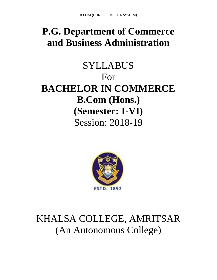# **P.G. Department of Commerce and Business Administration**

# SYLLABUS For **BACHELOR IN COMMERCE B.Com (Hons.) (Semester: I-VI)** Session: 2018-19



# KHALSA COLLEGE, AMRITSAR (An Autonomous College)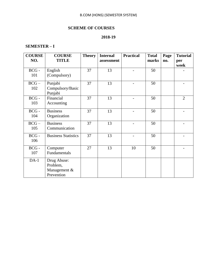# **SCHEME OF COURSES**

# **2018-19**

### **SEMESTER – I**

| <b>COURSE</b>  | <b>COURSE</b>                                         | <b>Theory</b> | <b>Internal</b> | <b>Practical</b> | <b>Total</b> | Page | <b>Tutorial</b> |
|----------------|-------------------------------------------------------|---------------|-----------------|------------------|--------------|------|-----------------|
| NO.            | <b>TITLE</b>                                          |               | assessment      |                  | marks        | no.  | per<br>week     |
| $BCG -$<br>101 | English<br>(Compulsory)                               | 37            | 13              |                  | 50           |      |                 |
| $BCG -$<br>102 | Punjabi<br>Compulsory/Basic<br>Punjabi                | 37            | 13              |                  | 50           |      |                 |
| $BCG -$<br>103 | Financial<br>Accounting                               | 37            | 13              |                  | 50           |      | $\overline{2}$  |
| $BCG -$<br>104 | <b>Business</b><br>Organization                       | 37            | 13              |                  | 50           |      |                 |
| $BCG -$<br>105 | <b>Business</b><br>Communication                      | 37            | 13              |                  | 50           |      |                 |
| $BCG -$<br>106 | <b>Business Statistics</b>                            | 37            | 13              |                  | 50           |      |                 |
| $BCG -$<br>107 | Computer<br>Fundamentals                              | 27            | 13              | 10               | 50           |      |                 |
| $DA-1$         | Drug Abuse:<br>Problem,<br>Management &<br>Prevention |               |                 |                  |              |      |                 |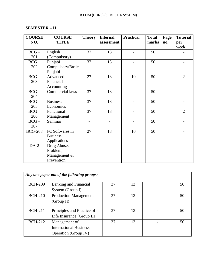# **SEMESTER – II**

| <b>COURSE</b>  | <b>COURSE</b>    | <b>Theory</b> | <b>Internal</b> | <b>Practical</b> | <b>Total</b> | Page | <b>Tutorial</b> |
|----------------|------------------|---------------|-----------------|------------------|--------------|------|-----------------|
| NO.            | <b>TITLE</b>     |               | assessment      |                  | marks        | no.  | per             |
|                |                  |               |                 |                  |              |      | week            |
| $BCG -$        | English          | 37            | 13              |                  | 50           |      |                 |
| 201            | (Compulsory)     |               |                 |                  |              |      |                 |
| $BCG -$        | Punjabi          | 37            | 13              |                  | 50           |      |                 |
| 202            | Compulsory/Basic |               |                 |                  |              |      |                 |
|                | Punjabi          |               |                 |                  |              |      |                 |
| $BCG -$        | Advanced         | 27            | 13              | 10               | 50           |      | $\overline{2}$  |
| 203            | Financial        |               |                 |                  |              |      |                 |
|                | Accounting       |               |                 |                  |              |      |                 |
| $BCG -$        | Commercial laws  | 37            | 13              |                  | 50           |      |                 |
| 204            |                  |               |                 |                  |              |      |                 |
| $BCG -$        | <b>Business</b>  | 37            | 13              |                  | 50           |      |                 |
| 205            | Economics        |               |                 |                  |              |      |                 |
| $BCG -$        | Functional       | 37            | 13              |                  | 50           |      | $\overline{2}$  |
| 206            | Management       |               |                 |                  |              |      |                 |
| $BCG -$        | Seminar          |               |                 |                  | 50           |      |                 |
| 207            |                  |               |                 |                  |              |      |                 |
| <b>BCG-208</b> | PC Softwares In  | 27            | 13              | 10               | 50           |      |                 |
|                | <b>Business</b>  |               |                 |                  |              |      |                 |
|                | Applications     |               |                 |                  |              |      |                 |
| $DA-2$         | Drug Abuse:      |               |                 |                  |              |      |                 |
|                | Problem,         |               |                 |                  |              |      |                 |
|                | Management &     |               |                 |                  |              |      |                 |
|                | Prevention       |               |                 |                  |              |      |                 |

|                | Any one paper out of the following groups: |    |    |  |    |  |  |  |  |  |  |
|----------------|--------------------------------------------|----|----|--|----|--|--|--|--|--|--|
| <b>BCH-209</b> | <b>Banking and Financial</b>               | 37 | 13 |  | 50 |  |  |  |  |  |  |
|                | System (Group I)                           |    |    |  |    |  |  |  |  |  |  |
| <b>BCH-210</b> | <b>Production Management</b>               | 37 | 13 |  | 50 |  |  |  |  |  |  |
|                | (Group II)                                 |    |    |  |    |  |  |  |  |  |  |
|                |                                            |    |    |  |    |  |  |  |  |  |  |
| <b>BCH-211</b> | Principles and Practice of                 | 37 | 13 |  | 50 |  |  |  |  |  |  |
|                | Life Insurance (Group III)                 |    |    |  |    |  |  |  |  |  |  |
| <b>BCH-212</b> | Management of                              | 37 | 13 |  | 50 |  |  |  |  |  |  |
|                | <b>International Business</b>              |    |    |  |    |  |  |  |  |  |  |
|                | <b>Operation</b> (Group IV)                |    |    |  |    |  |  |  |  |  |  |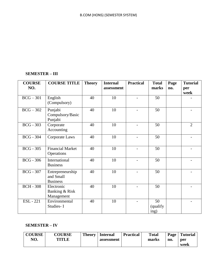# **SEMESTER – III**

| <b>COURSE</b><br>NO. | <b>COURSE TITLE</b>                              | <b>Theory</b> | <b>Internal</b><br>assessment | <b>Practical</b>         | <b>Total</b><br>marks  | Page<br>no. | <b>Tutorial</b><br>per<br>week |
|----------------------|--------------------------------------------------|---------------|-------------------------------|--------------------------|------------------------|-------------|--------------------------------|
| $BCG - 301$          | English<br>(Compulsory)                          | 40            | 10                            |                          | 50                     |             |                                |
| $BCG - 302$          | Punjabi<br>Compulsory/Basic<br>Punjabi           | 40            | 10                            |                          | 50                     |             |                                |
| <b>BCG</b> - 303     | Corporate<br>Accounting                          | 40            | 10                            |                          | 50                     |             | $\overline{2}$                 |
| <b>BCG</b> - 304     | Corporate Laws                                   | 40            | 10                            | $\overline{\phantom{0}}$ | 50                     |             |                                |
| <b>BCG</b> - 305     | <b>Financial Market</b><br>Operations            | 40            | 10                            | $\overline{\phantom{0}}$ | 50                     |             |                                |
| <b>BCG</b> - 306     | International<br><b>Business</b>                 | 40            | 10                            |                          | 50                     |             |                                |
| <b>BCG</b> - 307     | Entrepreneurship<br>and Small<br><b>Business</b> | 40            | 10                            |                          | 50                     |             |                                |
| <b>BCH - 308</b>     | Electronic<br>Banking & Risk<br>Management       | 40            | 10                            |                          | 50                     |             |                                |
| <b>ESL</b> - 221     | Environmental<br>Studies-I                       | 40            | 10                            |                          | 50<br>(qualify<br>ing) |             |                                |

# **SEMESTER – IV**

| <b>COURSE</b> | <b>COURSE</b> | <b>Theory</b> | Internal   | <b>Practical</b> | <b>Total</b> | Page | <b>Tutorial</b> |
|---------------|---------------|---------------|------------|------------------|--------------|------|-----------------|
| NO.           | TITLE         |               | assessment |                  | marks        | no.  | per             |
|               |               |               |            |                  |              |      | week            |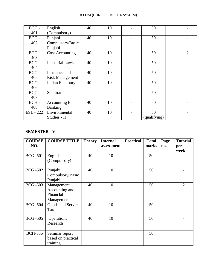| $BCG -$          | English                                 | 40 | 10 | 50                 |                |
|------------------|-----------------------------------------|----|----|--------------------|----------------|
| 401              | (Compulsory)                            |    |    |                    |                |
| $BCG -$          | Punjabi                                 | 40 | 10 | 50                 |                |
| 402              | Compulsory/Basic<br>Punjabi             |    |    |                    |                |
| $BCG -$<br>403   | <b>Cost Accounting</b>                  | 40 | 10 | 50                 | $\overline{2}$ |
| $BCG -$<br>404   | <b>Industrial Laws</b>                  | 40 | 10 | 50                 |                |
| $BCG -$<br>405   | Insurance and<br><b>Risk Management</b> | 40 | 10 | 50                 |                |
| $BCG -$<br>406   | Indian Economy                          | 40 | 10 | 50                 |                |
| $BCG -$<br>407   | Seminar                                 |    |    | 50                 |                |
| BCH-<br>408      | Accounting for<br>Banking               | 40 | 10 | 50                 |                |
| <b>ESL</b> - 222 | Environmental<br>Studies - II           | 40 | 10 | 50<br>(qualifying) |                |

# **SEMESTER - V**

| <b>COURSE</b><br>NO. | <b>COURSE TITLE</b>                                     | <b>Theory</b> | <b>Internal</b><br>assessment | <b>Practical</b> | <b>Total</b><br>marks | Page<br>no. | <b>Tutorial</b><br>per<br>week |
|----------------------|---------------------------------------------------------|---------------|-------------------------------|------------------|-----------------------|-------------|--------------------------------|
| <b>BCG</b> -501      | English<br>(Compulsory)                                 | 40            | 10                            |                  | 50                    |             |                                |
| <b>BCG-502</b>       | Punjabi<br>Compulsory/Basic<br>Punjabi                  | 40            | 10                            |                  | 50                    |             |                                |
| <b>BCG-503</b>       | Management<br>Accounting and<br>Financial<br>Management | 40            | 10                            |                  | 50                    |             | $\overline{2}$                 |
| <b>BCG-504</b>       | Goods and Service<br>Tax                                | 40            | 10                            |                  | 50                    |             |                                |
| <b>BCG</b> -505      | Operations<br>Research                                  | 40            | 10                            |                  | 50                    |             |                                |
| <b>BCH-506</b>       | Seminar report<br>based on practical<br>training        |               |                               |                  | 50                    |             |                                |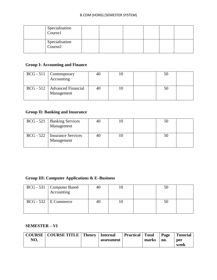| Specialisation<br>$\overline{\text{Course1}}$ |  |  |  |
|-----------------------------------------------|--|--|--|
| Specialisation<br>Course2                     |  |  |  |

# **Group I: Accounting and Finance**

| $BCG - 511$ Contemporary<br>Accounting       | 40 |  | 50 |  |
|----------------------------------------------|----|--|----|--|
| BCG - 512   Advanced Financial<br>Management |    |  | 50 |  |

# **Group II: Banking and Insurance**

| $BCG - 521$ | <b>Banking Services</b><br>Management        | -4t. |  | 50 |  |
|-------------|----------------------------------------------|------|--|----|--|
|             | BCG - 522   Insurance Services<br>Management |      |  | 50 |  |

# **Group III: Computer Applications & E–Business**

| $BCG - 531$ Computer Based<br>Accounting |  | 50 |  |
|------------------------------------------|--|----|--|
| $BCG - 532$ E Commerce                   |  | 50 |  |

# **SEMESTER – VI**

|     | COURSE   COURSE TITLE   Theory | Internal   | <b>Practical</b> Total |       | Page | <b>Tutorial</b> |
|-----|--------------------------------|------------|------------------------|-------|------|-----------------|
| NO. |                                | assessment |                        | marks | no.  | per             |
|     |                                |            |                        |       |      | week            |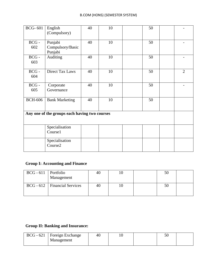| <b>BCG-601</b> | English<br>(Compulsory)                       | 40 | 10 | 50 |                |
|----------------|-----------------------------------------------|----|----|----|----------------|
| $BCG -$<br>602 | Punjabi<br>Compulsory/Basic<br>Punjabi        | 40 | 10 | 50 |                |
| $BCG -$<br>603 | Auditing                                      | 40 | 10 | 50 |                |
| $BCG -$<br>604 | <b>Direct Tax Laws</b>                        | 40 | 10 | 50 | $\overline{2}$ |
| $BCG -$<br>605 | Corporate<br>Governance                       | 40 | 10 | 50 |                |
| <b>BCH-606</b> | <b>Bank Marketing</b>                         | 40 | 10 | 50 |                |
|                | Any one of the groups each having two courses |    |    |    |                |
|                | Specialisation<br>Course1                     |    |    |    |                |
|                | Specialisation<br>Course2                     |    |    |    |                |

# **Group I: Accounting and Finance**

| $BCG - 611$ Portfolio | Management                     |    |  | 50 |  |
|-----------------------|--------------------------------|----|--|----|--|
|                       | BCG - 612   Financial Services | 40 |  | 50 |  |

# **Group II: Banking and Insurance:**

| BCG - 621   Foreign Exchange | 40 |  |  |
|------------------------------|----|--|--|
| Management                   |    |  |  |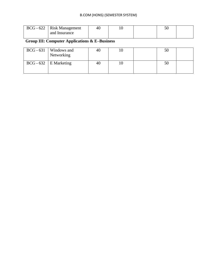| $BCG - 622$ Risk Management | 40 |  |  |
|-----------------------------|----|--|--|
| and Insurance               |    |  |  |

# **Group III: Computer Applications & E–Business**

| $BCG - 631$ Windows and<br>Networking | 40 |  |  |
|---------------------------------------|----|--|--|
| $BCG - 632$ E Marketing               | 46 |  |  |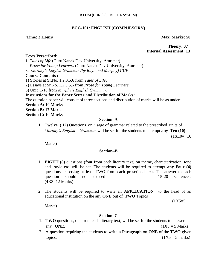#### **BCG-101: ENGLISH (COMPULSORY)**

#### **Time: 3 Hours Max. Marks: 50**

#### **Theory: 37 Internal Assessment: 13**

#### **Texts Prescribed:**

1. *Tales of Life* (Guru Nanak Dev University, Amritsar) 2. *Prose for Young Learners* (Guru Nanak Dev University, Amritsar) 3. *Murphy"s English Grammar (by Raymond Murphy) CUP* **Course Contents :** 1) Stories at Sr.No. 1,2,3,5,6 from *Tales of Life*. 2) Essays at Sr.No. 1,2,3,5,6 from *Prose for Young Learners.* 3) Unit 1-18 from *Murphy"s English Grammar.* **Instructions for the Paper Setter and Distribution of Marks:**

The question paper will consist of three sections and distribution of marks will be as under:

**Section A: 10 Marks**

**Section B: 17 Marks**

**Section C: 10 Marks**

#### **Section–A**

**1. Twelve ( 12)** Questions on usage of grammar related to the prescribed units of *Murphy"s English Grammar* will be set for the students to attempt **any Ten (10)** 

 $(1X10= 10$ 

Marks)

#### **Section–B**

- 1. **EIGHT (8)** questions (four from each literary text) on theme, characterization, tone and style etc. will be set. The students will be required to attempt **any Four (4)** questions, choosing at least TWO from each prescribed text. The answer to each question should not exceed 15-20 sentences. (4X3=12 Marks)
- 2. The students will be required to write an **APPLICATION** to the head of an educational institution on the any **ONE** out of **TWO** Topics

 $(1X5=5$ 

Marks)

#### **Section–C**

- 1. **TWO** questions, one from each literary text, will be set for the students to answer any **ONE.**  $(1X5 = 5 \text{ Marks})$
- 2. A question requiring the students to write **a Paragraph** on **ONE** of the **TWO** given topics.  $(1X5 = 5 \text{ marks})$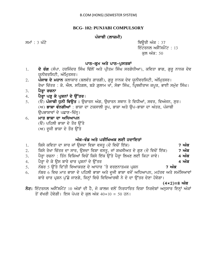### **BCG- 102: PUNJABI COMPULSORY**

# ਪੰਜਾਬੀ (ਲਾਜ਼ਮੀ)

smW : 3 GMty iQaUrI AMk : 37 ਇੰਟਰਨਲ ਅਸੈੱਸਮੈਂਟ:  $13$ ਕਲ ਅੰਕ: 50

#### ਪਾਠ-ਕ੍ਰਮ ਅਤੇ ਪਾਠ-ਪੁਸਤਕਾਂ

- 1. **ਦੋ ਰੰਗ** (ਸੰਪਾ. ਹਰਜਿੰਦਰ ਸਿੰਘ ਢਿੱਲੋਂ ਅਤੇ ਪ੍ਰੀਤਮ ਸਿੰਘ ਸਰਗੋਧੀਆ), ਕਵਿਤਾ ਭਾਗ, ਗੁਰੂ ਨਾਨਕ ਦੇਵ ਯੁਨੀਵਰਸਿਟੀ, ਅੰਮ੍ਰਿਤਸਰ।
- 2. ਪੰਜਾਬ ਦੇ ਮਹਾਨ ਕਲਾਕਾਰ (ਬਲਵੰਤ ਗਾਰਗੀ), ਗੁਰੁ ਨਾਨਕ ਦੇਵ ਯੁਨੀਵਰਸਿਟੀ, ਅੰਮ੍ਰਿਤਸਰ। ਰੇਖਾ ਚਿੱਤਰ : ਕੇ. ਐਲ. ਸਹਿਗਲ, ਬੜੇ ਗ਼ੁਲਾਮ ਖਾਂ, ਸੋਭਾ ਸਿੰਘ, ਪ੍ਰਿਥਵੀਰਾਜ ਕਪੂਰ, ਭਾਈ ਸਮੁੰਦ ਸਿੰਘ।
- 3**. ਪੈਰ੍ਹਾ ਰਚਨਾ**

# 4. ਪੈਰ੍ਹਾ ਪੜ੍ਹ ਕੇ ਪ੍ਰਸ਼ਨਾਂ ਦੇ ਉੱਤਰ।

- 5. (ੳ) **ਪੰਜਾਬੀ ਧੁਨੀ ਵਿਊਤ :** ਊਚਾਰਨ ਅੰਗ, ਊਚਾਰਨ ਸਥਾਨ ਤੇ ਵਿਧੀਆਂ, ਸਵਰ, ਵਿਅੰਜਨ, ਸੁਰ। (ਅ) **ਭਾਸ਼ਾ ਵੰਨਗੀਆਂ** : ਭਾਸ਼ਾ ਦਾ ਟਕਸਾਲੀ ਰੂਪ, ਭਾਸ਼ਾ ਅਤੇ ਉਪ-ਭਾਸ਼ਾ ਦਾ ਅੰਤਰ, ਪੰਜਾਬੀ ਉਪਭਾਸ਼ਾਵਾਂ ਦੇ ਪਛਾਣ-ਚਿੰਨ੍ਹ।
- 6. **ਮਾਤ ਭਾਸ਼ਾ ਦਾ ਅਧਿਆਪਨ** 
	- (ੳ) ਪਹਿਲੀ ਭਾਸ਼ਾ ਦੇ ਤੌਰ ੳੱਤੇ
	- $(M)$  ਦੂਜੀ ਭਾਸ਼ਾ ਦੇ ਤੌਰ ਉੱਤੇ

# ਅੰਕ-ਵੰਡ ਅਤੇ ਪਰੀਖਿਅਕ ਲਈ ਹਦਾਇਤਾ<u>ਂ</u>

- 1. ਕਿਸੇ ਕਵਿਤਾ ਦਾ ਸਾਰ ਜਾਂ ਉਸਦਾ ਵਿਸ਼ਾ ਵਸਤੂ (ਦੋ ਵਿਚੋਂ ਇੱਕ) **18 ਅੰਕ**
- 2. ਕਿਸੇ ਰੇਖਾ ਚਿੱਤਰ ਦਾ ਸਾਰ, ਉਸਦਾ ਵਿਸ਼ਾ ਵਸਤੂ, ਜਾਂ ਸ਼ਖਸੀਅਤ ਦੇ ਗੁਣ (ਦੋ ਵਿਚੋਂ ਇੱਕ) **7 ਅੰਕ**
- 3. ਪੈਰ੍ਹਾ ਰਚਨਾ : ਤਿੰਨ ਵਿਸ਼ਿਆਂ ਵਿਚੋਂ ਕਿਸੇ ਇੱਕ ਉੱਤੇ ਪੈਰ੍ਹਾ ਲਿਖਣ ਲਈ ਕਿਹਾ ਜਾਵੇ। 4 **ਅੰਕ**
- 4. ਪੈਰਾ ਦੇ ਕੇ ਉਸ ਬਾਰੇ ਚਾਰ ਪੁਸ਼ਨਾਂ ਦੇ ਉੱਤਰ **ਵਿੱਚ ਕਰਦਾ ਹੈ ਅਤੇ ਬਾਰੇ ਵਿੱਚ ਅੰਕ**
- 5. ਨੰਬਰ 5 ਉੱਤੇ ਦਿੱਤੀ ਵਿਆਕਰਣ ਦੇ ਆਧਾਰ 'ਤੇ ਵਰਣਨਾਤਮਕ ਪ੍ਰਸ਼ਨ **7 ਅੰਕ**
- <u>6. ਨੰਬਰ 6 ਵਿਚ ਮਾਤ ਭਾਸ਼ਾ ਦੇ ਪਹਿਲੀ ਭਾਸ਼ਾ ਅਤੇ ਦੂਜੀ ਭਾਸ਼ਾ ਵਜੋਂ ਅਧਿਆਪਨ, ਮਹੱਤਵ ਅਤੇ ਸਮੱਸਿਆਵਾਂ</u> <u>ਬਾਰੇ ਚਾਰ ਪੁਸ਼ਨ ਪੱਛੇ ਜਾਣਗੇ, ਜਿਨ੍ਹਾਂ ਵਿਚੋ ਵਿਦਿਆ</u>ਰਥੀ ਨੇ ਦੋ ਦਾ ਉੱਤਰ ਦੇਣਾ ਹੋਵੇਗਾ।

(4×2)=8 ਅੰਕ

 $\overline{5z}$ : ਇੰਟਰਨਲ ਅਸੈੱਸਮੈਂਟ 10 ਅੰਕਾਂ ਦੀ ਹੈ, ਜੋ ਕਾਲਜ ਵਲੋਂ ਨਿਰਧਾਰਿਤ ਦਿਸ਼ਾ ਨਿਰਦੇਸ਼ਾਂ ਅਨੁਸਾਰ ਇਨ੍ਹਾਂ ਅੰਕਾਂ ਤੋਂ ਵੱਖਰੀ ਹੋਵੇਗੀ। ਇਸ ਪੇਪਰ ਦੇ ਕਲ ਅੰਕ 40+10 = 50 ਹਨ।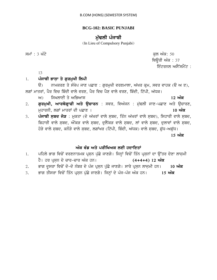### **BCG-102: BASIC PUNJABI**

# ਮੱਢਲੀ ਪੰਜਾਬੀ

(In Lieu of Compulsory Punjabi)

ਸਮਾਂ : 3 ਘੰਟੇ  $\overline{z}$ ਥਿੰੳਰੀ ਅੰਕ $: 37$ ਇੰਟਰਨਲ ਅਸੈੱਸਮੈਂਟ  $\cdot$ 

13

# 1. ਪੰਜਾਬੀ ਭਾਸਾ ਤੇ ਗਰਮਖੀ ਲਿਪੀ

 $\Theta$ ) ਨਾਮਕਰਣ ਤੇ ਸੰਖੇਪ ਜਾਣ ਪਛਾਣ : ਗੁਰਮੁਖੀ ਵਰਣਮਾਲਾ, ਅੱਖਰ ਕੁਮ, ਸਵਰ ਵਾਹਕ (ੳ ਅ ੲ), ਲਗਾਂ ਮਾਤਰਾਂ, ਪੈਰ ਵਿਚ ਬਿੰਦੀ ਵਾਲੇ ਵਰਣ, ਪੈਰ ਵਿਚ ਪੈਣ ਵਾਲੇ ਵਰਣ, ਬਿੰਦੀ, ਟਿੱਪੀ, ਅੱਧਕ।

ਅ) ਸਿਖਲਾਈ ਤੇ ਅਭਿਆਸ

- 2. **ਗੁਰਮੁਖੀ, ਆਰਥੋਗ੍ਰਾਫੀ ਅਤੇ ਉਚਾਰਨ** : ਸਵਰ, ਵਿਅੰਜਨ : ਮੁੱਢਲੀ ਜਾਣ-ਪਛਾਣ ਅਤੇ ਉਚਾਰਣ, muhwrnI, lgW mwqrW dI pCwx [ **10 AMk**
- 3. **ਪੰਜਾਬੀ ਸ਼ਬਦ ਜੋੜ** : ਮਕਤਾ (ਦੋ ਅੱਖਰਾਂ ਵਾਲੇ ਸਬਦ, ਤਿੰਨ ਅੱਖਰਾਂ ਵਾਲੇ ਸਬਦ), ਸਿਹਾਰੀ ਵਾਲੇ ਸਬਦ, ਬਿਹਾਰੀ ਵਾਲੇ ਸਬਦ, ਔਂਕੜ ਵਾਲੇ ਸਬਦ, ਦਲੈਂਕੜ ਵਾਲੇ ਸਬਦ, ਲਾਂ ਵਾਲੇ ਸਬਦ, ਦਲਾਵਾਂ ਵਾਲੇ ਸਬਦ, ਹੋੜੇ ਵਾਲੇ ਸਬਦ, ਕਨੌੜੇ ਵਾਲੇ ਸਬਦ, ਲਗਾਂਖਰ (ਟਿੱਪੀ, ਬਿੰਦੀ, ਅੱਧਕ) ਵਾਲੇ ਸਬਦ, ਸ਼ੱਧ-ਅਸ਼ੱਧ। <u>15 ਅੰਕ</u>

# ਅੰਕ ਵੰਡ ਅਤੇ ਪਰੀਖਿਅਕ ਲਈ ਹਦਾਇ**ਤਾਂ**

- 1. ਪਹਿਲੇ ਭਾਗ ਵਿਚੋਂ ਵਰਣਨਾਤਮਕ ਪ੍ਰਸ਼ਨ ਪੁੱਛੇ ਜਾਣਗੇ। ਜਿਨ੍ਹਾਂ ਵਿਚੋਂ ਤਿੰਨ ਪ੍ਰਸ਼ਨਾਂ ਦਾ ਉੱਤਰ ਦੇਣਾ ਲਾਜ਼ਮੀ ਹੈ। ਹਰ ਪੁਸਨ ਦੇ ਚਾਰ<sup>ੂ</sup>ਚਾਰ ਅੰਕ ਹਨ। (4+4+4) 12 **ਅੰਕ** 2. ਭਾਗ ਦੂਸਰਾ ਵਿਚੋਂ ਦੋ-ਦੋ ਨੰਬਰ ਦੇ ਪੰਜ ਪ੍ਰਸਨ ਪੱਛੇ ਜਾਣਗੇ। ਸਾਰੇ ਪ੍ਰਸਨ ਲਾਜੂਮੀ ਹਨ। 10 **ਅੰਕ**
- 3. ਭਾਗ ਤੀਸਰਾ ਵਿਚੋਂ ਤਿੰਨ ਪ੍ਰਸ਼ਨ ਪੁੱਛੇ ਜਾਣਗੇ। ਜਿਨ੍ਹਾਂ ਦੇ ਪੰਜ<sup>ੁ</sup>ਪੰਜ ਅੰਕ ਹਨ। 15 **ਅੰਕ**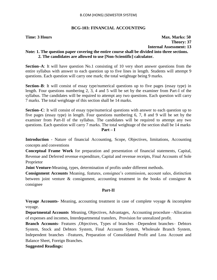#### **BCG-103: FINANCIAL ACCOUNTING**

**Time: 3 Hours Max. Marks: 50 Theory: 37 Internal Assessment: 13**

# **Note: 1. The question paper covering the entire course shall be divided into three sections. 2. The candidates are allowed to use [Non-Scientific] calculator.**

**Section–A**: It will have question No.1 consisting of 10 very short answer questions from the entire syllabus with answer to each question up to five lines in length. Students will attempt 9 questions. Each question will carry one mark; the total weightage being 9 marks.

**Section–B**: It will consist of essay type/numerical questions up to five pages (essay type) in length. Four questions numbering 2, 3, 4 and 5 will be set by the examiner from Part-I of the syllabus. The candidates will be required to attempt any two questions. Each question will carry 7 marks. The total weightage of this section shall be 14 marks.

**Section–C**: It will consist of essay type/numerical questions with answer to each question up to five pages (essay type) in length. Four questions numbering 6, 7, 8 and 9 will be set by the examiner from Part-II of the syllabus. The candidates will be required to attempt any two questions. Each question will carry 7 marks. The total weightage of the section shall be 14 marks **Part – I**

**Introduction** - Nature of financial Accounting, Scope, Objectives, limitations, Accounting concepts and conventions

**Conceptual Frame Work** for preparation and presentation of financial statements, Capital, Revenue and Deferred revenue expenditure, Capital and revenue receipts, Final Accounts of Sole Proprietor

**Joint Venture-**Meaning, types, determination of profits under different methods.

**Consignment Accounts** Meaning, features, consignee's commission, account sales, distinction between joint venture & consignment, accounting treatment in the books of consignor & consignee

#### **Part-II**

**Voyage Accounts-** Meaning, accounting treatment in case of complete voyage & incomplete voyage.

**Departmental Accounts** Meaning, Objectives, Advantages, Accounting procedure –Allocation of expenses and incomes, Interdepartmental transfers, Provision for unrealized profit.

**Branch Accounts**- Features ,Objectives, Types of branches –Dependent branches– Debtors System, Stock and Debtors System, Final Accounts System, Wholesale Branch System, Independent branches –Features, Preparation of Consolidated Profit and Loss Account and Balance Sheet, Foreign Branches.

**Suggested Readings:**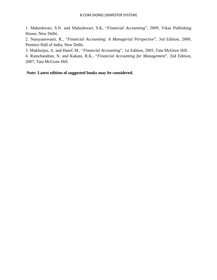1. Maheshwari, S.N. and Maheshwari, S.K, "*Financial Accounting*", 2009, Vikas Publishing House, New Delhi.

2. Narayanswami, R., "*Financial Accounting*: *A Managerial Perspective*", 3rd Edition, 2008, Prentice Hall of India, New Delhi.

3. Mukherjee, A. and Hanif, M., "*Financial Accounting*", 1st Edition, 2003, Tata McGraw Hill.

4. Ramchandran, N. and Kakani, R.K., "*Financial Accounting for Management*", 2nd Edition, 2007, Tata McGraw Hill.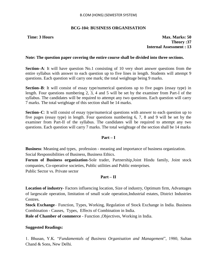### **BCG-104: BUSINESS ORGANISATION**

**Time: 3 Hours Max. Marks: 50 Theory :37 Internal Assessment : 13**

#### **Note: The question paper covering the entire course shall be divided into three sections.**

**Section–A**: It will have question No.1 consisting of 10 very short answer questions from the entire syllabus with answer to each question up to five lines in length. Students will attempt 9 questions. Each question will carry one mark; the total weightage being 9 marks.

**Section–B**: It will consist of essay type/numerical questions up to five pages (essay type) in length. Four questions numbering 2, 3, 4 and 5 will be set by the examiner from Part-I of the syllabus. The candidates will be required to attempt any two questions. Each question will carry 7 marks. The total weightage of this section shall be 14 marks.

**Section–C**: It will consist of essay type/numerical questions with answer to each question up to five pages (essay type) in length. Four questions numbering 6, 7, 8 and 9 will be set by the examiner from Part-II of the syllabus. The candidates will be required to attempt any two questions. Each question will carry 7 marks. The total weightage of the section shall be 14 marks

#### **Part – I**

**Business**: Meaning and types, profession - meaning and importance of business organization. Social Responsibilities of Business, Business Ethics.

**Forum of Business organization**-Sole trader, Partnership,Joint Hindu family, Joint stock companies, Co-operative societies, Public utilities and Public enterprises.

Public Sector vs. Private sector

### **Part – II**

**Location of industry**- Factors influencing location, Size of industry, Optimum firm, Advantages of largescale operation, limitation of small scale operation,Industrial estates, District Industries Centres.

**Stock Exchange**– Function, Types, Working, Regulation of Stock Exchange in India. Business Combination - Causes, Types, Effects of Combination in India.

**Role of Chamber of commerce** - Function ,Objectives, Working in India.

### **Suggested Readings:**

1. Bhusan, Y.K. "*Fundamentals of Business Organisation and Management*", 1980, Sultan Chand & Sons, New Delhi.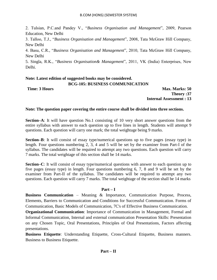2. Tulsian, P.C.and Pandey V., "*Business Organisation and Management*", 2009, Pearson Education, New Delhi

3. Talloo, T.J., "*Business Organisation and Management*", 2008, Tata McGraw Hill Company, New Delhi

4. Basu, C.R., "*Business Organisation and Management*", 2010, Tata McGraw Hill Company, New Delhi

5. Singla, R.K., "*Business Organisation& Management*", 2011, VK (India) Enterprises, New Delhi.

#### **Note: Latest edition of suggested books may be considered. BCG-105: BUSINESS COMMUNICATION**

**Time: 3 Hours Max. Marks: 50 Theory :37 Internal Assessment : 13**

# **Note: The question paper covering the entire course shall be divided into three sections.**

**Section–A**: It will have question No.1 consisting of 10 very short answer questions from the entire syllabus with answer to each question up to five lines in length. Students will attempt 9 questions. Each question will carry one mark; the total weightage being 9 marks.

**Section–B**: It will consist of essay type/numerical questions up to five pages (essay type) in length. Four questions numbering 2, 3, 4 and 5 will be set by the examiner from Part-I of the syllabus. The candidates will be required to attempt any two questions. Each question will carry 7 marks. The total weightage of this section shall be 14 marks.

**Section–C**: It will consist of essay type/numerical questions with answer to each question up to five pages (essay type) in length. Four questions numbering 6, 7, 8 and 9 will be set by the examiner from Part-II of the syllabus. The candidates will be required to attempt any two questions. Each question will carry 7 marks. The total weightage of the section shall be 14 marks

### **Part – I**

**Business Communication** – Meaning & Importance, Communication Purpose, Process, Elements, Barriers to Communication and Conditions for Successful Communication. Forms of Communication, Basic Models of Communication, 7C's of Effective Business Communication.

**Organizational Communication**: Importance of Communication in Management, Formal and Informal Communication, Internal and external communication Presentation Skills: Presentation on any Chosen Topic, Oral Presentations, Principles of Oral Presentations, Factors affecting presentations.

**Business Etiquette**: Understanding Etiquette, Cross-Cultural Etiquette, Business manners. Business to Business Etiquette.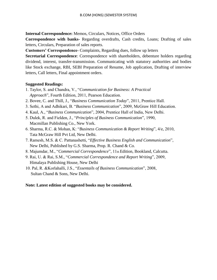**Internal Correspondence:** Memos, Circulars, Notices, Office Orders

**Correspondence with banks-** Regarding overdrafts, Cash credits, Loans; Drafting of sales letters, Circulars, Preparation of sales reports.

**Customers' Correspondence**- Complaints, Regarding dues, follow up letters

**Secretarial Correspondence**: Correspondence with shareholders, debenture holders regarding dividend, interest, transfer-transmission. Communicating with statutory authorities and bodies like Stock exchange, RBI, SEBI Preparation of Resume, Job application, Drafting of interview letters, Call letters, Final appointment orders.

#### **Suggested Readings:**

- 1. Taylor, S. and Chandra, V., "*Communication for Business: A Practical Approach*", Fourth Edition, 2011, Pearson Education.
- 2. Bovee, C. and Thill, J., "*Business Communication Today*", 2011, Prentice Hall.
- 3. Sethi, A and Adhikari, B. "*Business Communication*", 2009, McGraw Hill Education.
- 4. Kaul, A., "*Business Communication*", 2004, Prentice Hall of India, New Delhi.
- 5. Dulek, R. and Fielden, J., "*Principles of Business Communication*", 1990, Macmillan Publishing Co., New York.
- 6. Sharma, R.C. & Mohan, K: "*Business Communication & Report Writing*", 4/e, 2010, Tata McGraw Hill Pvt Ltd, New Delhi.
- 7. Ramesh, M.S. & C. Pattanashetti, "*Effective Business English and Communication*", New Delhi, Published by G.S. Sharma, Prop. R. Chand & Co.
- 8. Majumdar, M., "*Commercial Correspondence*", 11th Edition, Bookland, Calcutta.
- 9. Rai, U. & Rai, S.M., "*Commercial Correspondence and Report Writing*", 2009, Himalaya Publishing House, New Delhi
- 10. Pal, R. &Korlahalli, J.S., "*Essentails of Business Communication*", 2008, Sultan Chand & Sons, New Delhi.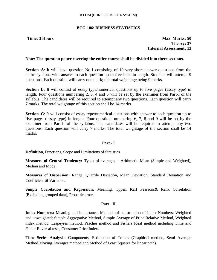#### **BCG-106: BUSINESS STATISTICS**

**Time: 3** Hours **Max. Marks: 50 Theory: 37 Internal Assessment: 13**

#### **Note: The question paper covering the entire course shall be divided into three sections.**

**Section–A**: It will have question No.1 consisting of 10 very short answer questions from the entire syllabus with answer to each question up to five lines in length. Students will attempt 9 questions. Each question will carry one mark; the total weightage being 9 marks.

**Section–B**: It will consist of essay type/numerical questions up to five pages (essay type) in length. Four questions numbering 2, 3, 4 and 5 will be set by the examiner from Part-I of the syllabus. The candidates will be required to attempt any two questions. Each question will carry 7 marks. The total weightage of this section shall be 14 marks.

**Section–C**: It will consist of essay type/numerical questions with answer to each question up to five pages (essay type) in length. Four questions numbering 6, 7, 8 and 9 will be set by the examiner from Part-II of the syllabus. The candidates will be required to attempt any two questions. Each question will carry 7 marks. The total weightage of the section shall be 14 marks.

#### **Part - I**

**Definition**, Functions, Scope and Limitations of Statistics.

**Measures of Central Tendency:** Types of averages – Arithmetic Mean (Simple and Weighted), Median and Mode.

**Measures of Dispersion:** Range, Quartile Deviation, Mean Deviation, Standard Deviation and Coefficient of Variation.

**Simple Correlation and Regression:** Meaning, Types, Karl Pearsons& Rank Correlation (Excluding grouped data), Probable error.

#### **Part - II**

**Index Numbers:** Meaning and importance, Methods of construction of Index Numbers: Weighted and unweighted; Simple Aggregative Method, Simple Average of Price Relative Method, Weighted index method: Laspeyres method, Pasches method and Fishers Ideal method including Time and Factor Reversal tests, Consumer Price Index.

**Time Series Analysis:** Components, Estimation of Trends (Graphical method, Semi Average Method,Moving Averages method and Method of Least Squares for linear path).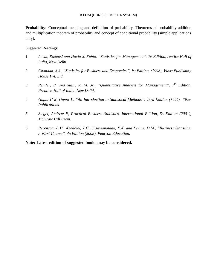**Probability:** Conceptual meaning and definition of probability, Theorems of probability-addition and multiplication theorem of probability and concept of conditional probability (simple applications only).

#### **Suggested Readings:**

- *1. Levin, Richard and David S. Rubin. "Statistics for Management". 7th Edition, rentice Hall of India, New Delhi.*
- *2. Chandan, J.S., "Statistics for Business and Economics", Ist Edition, (1998), Vikas Publishing House Pvt. Ltd.*
- *3. Render, B. and Stair, R. M. Jr., "Quantitative Analysis for Management", 7th Edition, Prentice-Hall of India, New Delhi.*
- *4. Gupta C B, Gupta V, "An Introduction to Statistical Methods", 23rd Edition (1995), Vikas Publications.*
- *5. Siegel, Andrew F, Practical Business Statistics. International Edition, 5th Edition (2001), McGraw Hill Irwin.*
- *6. Berenson, L.M., Krehbiel, T.C., Vishwanathan, P.K. and Levine, D.M., "Business Statistics: A First Course", 4th Edition (2008), Pearson Education.*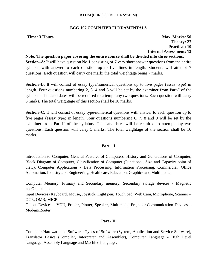#### **BCG-107 COMPUTER FUNDAMENTALS**

# **Time: 3 Hours Max. Marks: 50 Theory: 27 Practical: 10 Internal Assessment: 13**

#### **Note: The question paper covering the entire course shall be divided into three sections.**

**Section–A**: It will have question No.1 consisting of 7 very short answer questions from the entire syllabus with answer to each question up to five lines in length. Students will attempt 7 questions. Each question will carry one mark; the total weightage being 7 marks.

**Section–B**: It will consist of essay type/numerical questions up to five pages (essay type) in length. Four questions numbering 2, 3, 4 and 5 will be set by the examiner from Part-I of the syllabus. The candidates will be required to attempt any two questions. Each question will carry 5 marks. The total weightage of this section shall be 10 marks.

**Section–C**: It will consist of essay type/numerical questions with answer to each question up to five pages (essay type) in length. Four questions numbering 6, 7, 8 and 9 will be set by the examiner from Part-II of the syllabus. The candidates will be required to attempt any two questions. Each question will carry 5 marks. The total weightage of the section shall be 10 marks.

#### **Part – I**

Introduction to Computer, General Features of Computers, History and Generations of Computer, Block Diagram of Computer, Classification of Computer (Functional, Size and Capacity point of view), Computer Applications - Data Processing, Information Processing, Commercial, Office Automation, Industry and Engineering, Healthcare, Education, Graphics and Multimedia.

Computer Memory: Primary and Secondary memory, Secondary storage devices - Magnetic andOptical media.

Input Devices (Keyboard, Mouse, Joystick, Light pen, Touch pad, Web Cam, Microphone, Scanner – OCR, OMR, MICR.

Output Devices – VDU, Printer, Plotter, Speaker, Multimedia Projector.Communication Devices – Modem/Router.

#### **Part - II**

Computer Hardware and Software, Types of Software (System, Application and Service Software), Translator Basics (Compiler, Interpreter and Assembler), Computer Language - High Level Language, Assembly Language and Machine Language.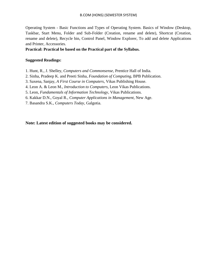Operating System - Basic Functions and Types of Operating System. Basics of Window (Desktop, Taskbar, Start Menu, Folder and Sub-Folder (Creation, rename and delete), Shortcut (Creation, rename and delete), Recycle bin, Control Panel, Window Explorer, To add and delete Applications and Printer, Accessories.

**Practical: Practical be based on the Practical part of the Syllabus.**

#### **Suggested Readings:**

- 1. Hunt, R., J. Shelley, *Computers and Commonsense*, Prentice Hall of India.
- 2. Sinha, Pradeep K. and Preeti Sinha, *Foundation of Computing*, BPB Publication.
- 3. Saxena, Sanjay, *A First Course in Computers*, Vikas Publishing House.
- 4. Leon A. & Leon M., *Introduction to Computers*, Leon Vikas Publications.
- 5. Leon, *Fundamentals of Information Technology*, Vikas Publications.
- 6. Kakkar D.N., Goyal R., *Computer Applications in Management*, New Age.
- 7. Basandra S.K., *Computers Today*, Galgotia.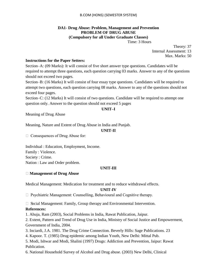#### **DA1- Drug Abuse: Problem, Management and Prevention PROBLEM OF DRUG ABUSE (Compulsory for all Under Graduate Classes)**

Time: 3 Hours

Theory: 37

Internal Assessment: 13

Max. Marks: 50

#### **Instructions for the Paper Setters:**

Section–A: (09 Marks): It will consist of five short answer type questions. Candidates will be required to attempt three questions, each question carrying 03 marks. Answer to any of the questions should not exceed two pages.

Section–B: (16 Marks) It will consist of four essay type questions. Candidates will be required to attempt two questions, each question carrying 08 marks. Answer to any of the questions should not exceed four pages.

Section–C: (12 Marks) It will consist of two questions. Candidate will be required to attempt one question only. Answer to the question should not exceed 5 pages

#### **UNIT–I**

Meaning of Drug Abuse

Meaning, Nature and Extent of Drug Abuse in India and Punjab.

#### **UNIT-II**

 $\Box$  Consequences of Drug Abuse for:

Individual : Education, Employment, Income. Family : Violence. Society : Crime. Nation : Law and Order problem.

#### **UNIT-III**

#### **Management of Drug Abuse**

Medical Management: Medication for treatment and to reduce withdrawal effects.

#### **UNIT-IV**

 $\Box$  Psychiatric Management: Counselling, Behavioural and Cognitive therapy.

 $\Box$  Social Management: Family, Group therapy and Environmental Intervention.

#### **References:**

1. Ahuja, Ram (2003), Social Problems in India, Rawat Publication, Jaipur.

2. Extent, Pattern and Trend of Drug Use in India, Ministry of Social Justice and Empowerment, Government of India, 2004.

3. Inciardi, J.A. 1981. The Drug Crime Connection. Beverly Hills: Sage Publications. 23

4. Kapoor. T. (1985) Drug epidemic among Indian Youth, New Delhi: Mittal Pub.

5. Modi, Ishwar and Modi, Shalini (1997) Drugs: Addiction and Prevention, Jaipur: Rawat Publication.

6. National Household Survey of Alcohol and Drug abuse. (2003) New Delhi, Clinical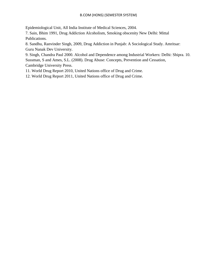Epidemiological Unit, All India Institute of Medical Sciences, 2004.

7. Sain, Bhim 1991, Drug Addiction Alcoholism, Smoking obscenity New Delhi: Mittal Publications.

8. Sandhu, Ranvinder Singh, 2009, Drug Addiction in Punjab: A Sociological Study. Amritsar: Guru Nanak Dev University.

9. Singh, Chandra Paul 2000. Alcohol and Dependence among Industrial Workers: Delhi: Shipra. 10. Sussman, S and Ames, S.L. (2008). Drug Abuse: Concepts, Prevention and Cessation, Cambridge University Press.

11. World Drug Report 2010, United Nations office of Drug and Crime.

12. World Drug Report 2011, United Nations office of Drug and Crime.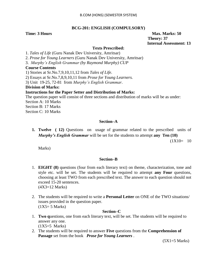#### **BCG-201: ENGLISH (COMPULSORY)**

**Time: 3 Hours Max.** Marks: 50  **Theory: 37 Internal Assessment: 13**

#### **Texts Prescribed:**

1. *Tales of Life* (Guru Nanak Dev University, Amritsar)

2. *Prose for Young Learners* (Guru Nanak Dev University, Amritsar)

3. *Murphy"s English Grammar (by Raymond Murphy) CUP*

#### **Course Contents**

1) Stories at Sr.No.7,9,10,11,12 from *Tales of Life*.

2) Essays at Sr.No.7,8,9,10,11 from *Prose for Young Learners.*

3) Unit 19-25, 72-81 from *Murphy"s English Grammar*.

**Division of Marks:**

#### **Instructions for the Paper Setter and Distribution of Marks:**

The question paper will consist of three sections and distribution of marks will be as under: Section A: 10 Marks Section B: 17 Marks Section C: 10 Marks

### **Section–A**

**1. Twelve ( 12)** Questions on usage of grammar related to the prescribed units of *Murphy's English Grammar* will be set for the students to attempt **any Ten (10)**

 $(1X10= 10$ 

Marks)

#### **Section–B**

- 1. **EIGHT (8)** questions (four from each literary text) on theme, characterization, tone and style etc. will be set. The students will be required to attempt **any Four** questions, choosing at least TWO from each prescribed text. The answer to each question should not exceed 15-20 sentences. (4X3=12 Marks)
- 2. The students will be required to write a **Personal Letter** on ONE of the TWO situations/ issues provided in the question paper.  $(1X5=5$  Marks)

#### **Section–C**

1. **Two q**uestions, one from each literary text, will be set. The students will be required to answer any one.

(1X5=5 Marks)

2. The students will be required to answer **Five** questions from the **Comprehension of Passage** set from the book *Prose for Young Learners* .

 $(5X1=5$  Marks)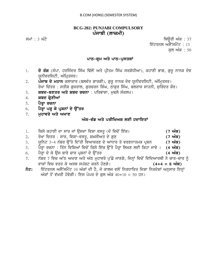# **BCG-202: PUNJABI COMPULSORY** ਪੰਜਾਬੀ (ਲਾਜ਼ਮੀ)

smW : 3 GMty iQaUrI AMk : 37 ਇੰਟਰਨਲ ਅਸੈੱਸਮੈਂਟ : 13 ਕਲ ਅੰਕ : 50

#### ਪਾਠ-ਕੁਮ ਅਤੇ ਪਾਠ-ਪੁਸਤਕਾਂ

- 1. **ਦੋ ਰੰਗ** (ਸੰਪਾ. ਹਰਜਿੰਦਰ ਸਿੰਘ ਢਿੱਲੋਂ ਅਤੇ ਪ੍ਰੀਤਮ ਸਿੰਘ ਸਰਗੋਧੀਆ), ਕਹਾਣੀ ਭਾਗ, ਗੁਰੂ ਨਾਨਕ ਦੇਵ ਯਨੀਵਰਸਿਟੀ, ਅੰਮਿਤਸਰ।
- 2. ਪੌੌਜਾਬ ਦੇ ਮਹਾਨ ਕਲਾਕਾਰ (ਬਲਵੰਤ ਗਾਰਗੀ), ਗੁਰੂ ਨਾਨਕ ਦੇਵ ਯੂਨੀਵਰਸਿਟੀ, ਅੰਮ੍ਰਿਤਸਰ। ਰੇਖਾ ਚਿੱਤਰ : ਸਤੀਸ਼ ਗ਼ਜਰਾਲ, ਗਰਚਰਨ ਸਿੰਘ, ਠਾਕਰ ਸਿੰਘ, ਬਲਰਾਜ ਸਾਹਨੀ, ਸੁਰਿੰਦਰ ਕੌਰ।
- 3. **ਸ਼ਬਦ-ਬਣਤਰ ਅਤੇ ਸ਼ਬਦ ਰਚਨਾ** : ਪਰਿਭਾਸ਼ਾ, ਮਢਲੇ ਸੰਕਲਪ।
- 4. **ਸ਼ਬਦ ਸ਼੍ਰੇਣੀਆਂ**
- 5. ਪੈਰਾ ਰਚਨਾ
- 6. ਪੈਰਾ ਪੜ੍ਹ ਕੇ ਪ੍ਰਸ਼ਨਾਂ ਦੇ ਉੱਤਰ
- 7. **ਮਹਾਵਰੇ ਅਤੇ ਅਖਾਣ**

# <u> ਅੰਕ-ਵੰਡ ਅਤੇ ਪਰੀਖਿਅਕ ਲਈ ਹਦਾਇਤਾਂ</u>

- 1. ਕਿਸੇ ਕਹਾਣੀ ਦਾ ਸਾਰ ਜਾਂ ਉਸਦਾ ਵਿਸ਼ਾ ਵਸਤੁ (ਦੋ ਵਿਚੋਂ ਇੱਕ) **1. 1996 (7 ਅੰਕ)** 2. ਰੇਖਾ ਚਿਤਰ : ਸਾਰ, ਵਿਸ਼ਾ-ਵਸਤੂ, ਸ਼ਖ਼ਸੀਅਤ ਦੇ ਗੁਣ **ਵਿੱਚ ਕਰਨ ਵਿੱਚ ਕੰਮ ਕਰਨ (7 ਅੰਕ)** 3. ਯੂਨਿਟ 3-4 ਨੰਬਰ ਉੱਤੇ ਦਿੱਤੀ ਵਿਆਕਰਣ ਦੇ ਆਧਾਰ ਤੇ ਵਰਣਨਾਤਮਕ ਪ੍ਰਸ਼ਨ **(7 ਅੰਕ)** 5. ਪੈਂਰ੍ਹਾ ਰਚਨਾ : ਤਿੰਨ ਵਿਸ਼ਿਆਂ ਵਿਚੋਂ ਕਿਸੇ ਇੱਕ ਉੱਤੇ ਪੈਰ੍ਹਾ ਲਿਖਣ ਲਈ ਕਿਹਾ ਜਾਵੇ । (4 **ਅੰਕ)** 6. ਪੈਰ੍ਹਾ ਦੇ ਕੇ ਉਸ ਬਾਰੇ ਚਾਰ ਪ੍ਰਸ਼ਨਾਂ ਦੇ ਉੱਤਰ **ਵਿੱਚ ਕਰਨ ਵਿੱਚ ਕਿਸੇ ਕਰਨ (4 ਅੰਕ)** 7. ਨੰਬਰ 7 ਵਿਚ ਅੱਠ ਅਖਾਣ ਅਤੇ ਅੱਠ ਮੁਹਾਵਰੇ ਪੁੱਛੇ ਜਾਣਗੇ, ਜਿਨ੍ਹਾਂ ਵਿਚੋਂ ਵਿਦਿਆਰਥੀ ਨੇ ਚਾਰ-ਚਾਰ ਨੂੰ vwkW ivc vrq ky ArQ sp`St krny hoxgy[ **(4+4 = 8 AMk)**  $\delta$ ਟ: ਇੰਟਰਨਲ ਅਸੈੱਸਮੈਂਟ 10 ਅੰਕਾਂ ਦੀ ਹੈ, ਜੋ ਕਾਲਜ ਵਲੋਂ ਨਿਰਧਾਰਿਤ ਦਿਸ਼ਾ ਨਿਰਦੇਸ਼ਾਂ ਅਨਸਾਰ ਇਨਾਂ
	- $\hat{M}$ ਕਾਂ ਤੋਂ ਵੱਖਰੀ ਹੋਵੇਗੀ। ਇਸ ਪੇਪਰ ਦੇ ਕੁਲ ਅੰਕ 40+10 = 50 ਹਨ।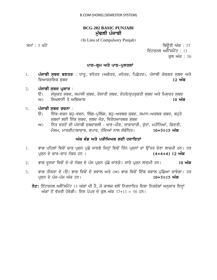# **BCG-202 BASIC PUNJABI** ਮੱਢਲੀ ਪੰਜਾਬੀ

(In Lieu of Compulsory Punjab)

smW : 3 GMty iQaUrI AMk : 37 ਇੰਟਰਨਲ ਅਸੈੱਸਮੈਂਟ : 13 ਕਲ ਅੰਕ : 50

#### **ਪਾਠ-ਕੁਮ ਅਤੇ ਪਾਠ-ਪਸਤਕਾਂ**

- 1. **ਪੰਜਾਬੀ ਸ਼ਬਦ ਬਣਤਰ** : ਧਾਤ, ਵਧੇਤਰ (ਅਗੇਤਰ, ਮਧੇਤਰ, ਪਿਛੇਤਰ), ਪੰਜਾਬੀ ਕੋਸਗਤ ਸਬਦ ਅਤੇ ਵਿਆਕਰਣਿਕ ਸਬਦ **ਵਿਆਕਰਣਿਕ ਸ਼ਬਦ ਹੈ, ਜਿਸ ਦੀ ਸ਼ਹਿਰ ਤੋਂ ਬਾਅਦ** 12 **ਅੰਕ**
- 2. ਪੰਜਾਬੀ ਸ਼ਬਦ ਪ**ਕਾਰ** :
	- ਉ) ਸੰਯੁਕਤ ਸ਼ਬਦ, ਸਮਾਸੀ ਸ਼ਬਦ, ਦੋਜਾਤੀ ਸ਼ਬਦ, ਦੋਹਰੇ/ਦੁਹਰਕਤੀ ਸ਼ਬਦ ਅਤੇ ਮਿਸਰਤ ਸ਼ਬਦ
	- $\mathcal{W}$ ) ਸਿਖਲਾਈ ਤੇ ਅਭਿਆਸ
- 3. ਪੰਜਾਬੀ ਸ਼ਬਦ ਰਚਨਾ **:** 
	- ਉ) ਇੱਕ-ਵਚਨ ਬਹੁ-ਵਚਨ, ਲਿੰਗ-ਪੁਲਿੰਗ, ਬਹੁ-ਅਰਥਕ ਸ਼ਬਦ, ਸਮਾਨ-ਅਰਥਕ ਸ਼ਬਦ, ਬਹੁਤੇ ਸਬਦਾਂ ਲਈ ਇੱਕ ਸਬਦ, ਸਬਦ ਜੋੜ, ਵਿਰੋਧਆਰਥਕ ਸਬਦ
	- $m$ ) ਨਿੱਤ ਵਰਤੋਂ ਦੀ ਪੰਜਾਬੀ ਸਬਦਾਵਲੀ : ਖਾਣ-ਪੀਣ, ਸਾਕਾਦਾਰੀ, ਰੱਤਾਂ, ਮਹੀਨਿਆਂ, ਗਿਣਤੀ, ਮੌਸਮ, ਮਾਰਕੀਟ/ਬਾਜਾਰ, ਵਪਾਰ, ਧੰਦਿਆਂ ਨਾਲ ਸੰਬੰਧਿਤ। 10+5=15 **ਅੰਕ**

# ਅੰਕ ਵੰਡ ਅਤੇ ਪਰੀਖਿਅਕ ਲਈ ਹਦਾਇਤਾ<u>ਂ</u>

- 1. ਭਾਗ ਪਹਿਲਾਂ ਵਿਚੋਂ ਚਾਰ ਪ੍ਰਸ਼ਨ ਪੁਛੇ ਜਾਣਗੇ ਜਿਨ੍ਹਾਂ ਵਿਚੋਂ ਤਿੰਨ ਪ੍ਰਸ਼ਨਾਂ ਦਾ ਉੱਤਰ ਦੇਣਾ ਲਾਜ਼ਮੀ ਹਨ। ਹਰ pRsæn dy cwr-cwr nMbr hn [ **(4+4+4) 12 AMk**
- 2. Bwg dUsrw ivcoN do-do nMbr dy pMj pRsæn pu`Cy jwxgy[ swry pRsæn lwjæmI hn[ **10 AMk**
- 3. ਭਾਗ ਤੀਸਰਾ ਦੇ (ੳ) ਭਾਗ ਵਿਚੋਂ ਦੋ ਸਵਾਲ ਅਤੇ (ਅ) ਭਾਗ ਵਿਚੋਂ ਇੱਕ ਸਵਾਲ ਪੁਛਿਆ ਜਾਵੇਗਾ। ਹਰ<br>ਪਸਨ ਦੇ ਪੰਜ-ਪੰਜ ਅੰਕ ਹਨ। ਪਸਨ ਦੇ ਪੰਜ-ਪੰਜ ਅੰਕ **ਹਨ**।
	- $\vec{\delta}$ ਟ: ਇੰਟਰਨਲ ਅਸੈੱਸਮੈਂਟ 13 ਅੰਕਾਂ ਦੀ ਹੈ, ਜੋ ਕਾਲਜ ਵਲੋਂ ਨਿਰਧਾਰਿਤ ਦਿਸ਼ਾ ਨਿਰਦੇਸ਼ਾਂ ਅਨੁਸਾਰ ਇਨ੍ਹਾਂ ਅੰਕਾਂ ਤੋਂ ਵੱਖਰੀ ਹੋਵੇਗੀ। ਇਸ ਪੇਪਰ ਦੇ ਕਲ ਅੰਕ 37+13 = 50 ਹਨ।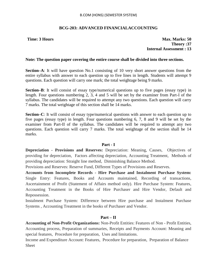### **BCG-203: ADVANCED FINANCIALACCOUNTING**

**Time: 3 Hours Max. Marks: 50 Theory :37 Internal Assessment : 13**

#### **Note: The question paper covering the entire course shall be divided into three sections.**

**Section–A**: It will have question No.1 consisting of 10 very short answer questions from the entire syllabus with answer to each question up to five lines in length. Students will attempt 9 questions. Each question will carry one mark; the total weightage being 9 marks.

**Section–B**: It will consist of essay type/numerical questions up to five pages (essay type) in length. Four questions numbering 2, 3, 4 and 5 will be set by the examiner from Part-I of the syllabus. The candidates will be required to attempt any two questions. Each question will carry 7 marks. The total weightage of this section shall be 14 marks.

**Section–C**: It will consist of essay type/numerical questions with answer to each question up to five pages (essay type) in length. Four questions numbering 6, 7, 8 and 9 will be set by the examiner from Part-II of the syllabus. The candidates will be required to attempt any two questions. Each question will carry 7 marks. The total weightage of the section shall be 14 marks.

#### **Part - I**

**Depreciation - Provisions and Reserves:** Depreciation: Meaning, Causes, Objectives of providing for depreciation, Factors affecting depreciation, Accounting Treatment, Methods of providing depreciation: Straight line method, Diminishing Balance Method.

Provisions and Reserves: Reserve Fund, Different Types of Provisions and Reserves.

**Accounts from Incomplete Records - Hire Purchase and Instalment Purchase System:**  Single Entry: Features, Books and Accounts maintained, Recording of transactions, Ascertainment of Profit (Statement of Affairs method only). Hire Purchase System: Features, Accounting Treatment in the Books of Hire Purchaser and Hire Vendor, Default and Repossession.

Instalment Purchase System: Difference between Hire purchase and Instalment Purchase Systems , Accounting Treatment in the books of Purchaser and Vendor.

#### **Part – II**

**Accounting of Non-Profit Organizations:** Non-Profit Entities: Features of Non - Profit Entities, Accounting process, Preparation of summaries, Receipts and Payments Account: Meaning and special features, Procedure for preparation, Uses and limitations.

Income and Expenditure Account: Features, Procedure for preparation, Preparation of Balance Sheet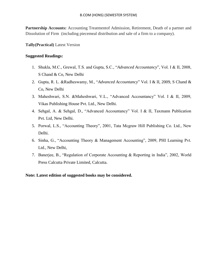Partnership Accounts: Accounting Treatment of Admission, Retirement, Death of a partner and Dissolution of Firm (including piecemeal distribution and sale of a firm to a company).

**Tally(Practical)** Latest Version

#### **Suggested Readings:**

- 1. Shukla, M.C., Grewal, T.S. and Gupta, S.C., "*Advanced Accountancy*", Vol. I & II, 2008, S Chand & Co, New Delhi
- 2. Gupta, R. L. &Radheswamy, M., "*Advanced Accountancy*" Vol. I & II, 2009, S Chand & Co, New Delhi
- 3. Maheshwari, S.N. &Maheshwari, V.L., "Advanced Accountancy" Vol. I & II, 2009, Vikas Publishing House Pvt. Ltd., New Delhi.
- 4. Sehgal, A. & Sehgal, D., "Advanced Accountancy" Vol. I & II, Taxmann Publication Pvt. Ltd, New Delhi.
- 5. Porwal, L.S., "Accounting Theory", 2001, Tata Mcgraw Hill Publishing Co. Ltd., New Delhi.
- 6. Sinha, G., "Accounting Theory & Management Accounting", 2009, PHI Learning Pvt. Ltd., New Delhi,
- 7. Banerjee, B., "Regulation of Corporate Accounting & Reporting in India", 2002, World Press Calcutta Private Limited, Calcutta.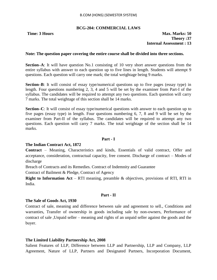#### **BCG-204: COMMERCIAL LAWS**

#### **Time: 3 Hours Max. Marks: 50 Theory :37 Internal Assessment : 13**

#### **Note: The question paper covering the entire course shall be divided into three sections.**

**Section–A**: It will have question No.1 consisting of 10 very short answer questions from the entire syllabus with answer to each question up to five lines in length. Students will attempt 9 questions. Each question will carry one mark; the total weightage being 9 marks.

**Section–B**: It will consist of essay type/numerical questions up to five pages (essay type) in length. Four questions numbering 2, 3, 4 and 5 will be set by the examiner from Part-I of the syllabus. The candidates will be required to attempt any two questions. Each question will carry 7 marks. The total weightage of this section shall be 14 marks.

**Section–C**: It will consist of essay type/numerical questions with answer to each question up to five pages (essay type) in length. Four questions numbering 6, 7, 8 and 9 will be set by the examiner from Part-II of the syllabus. The candidates will be required to attempt any two questions. Each question will carry 7 marks. The total weightage of the section shall be 14 marks.

#### **Part - I**

#### **The Indian Contract Act, 1872**

**Contract** – Meaning, Characteristics and kinds, Essentials of valid contract, Offer and acceptance, consideration, contractual capacity, free consent. Discharge of contract – Modes of discharge

Breach of Contracts and its Remedies. Contract of Indemnity and Guarantee

Contract of Bailment & Pledge, Contract of Agency

**Right to Information Act** – RTI meaning, preamble & objectives, provisions of RTI, RTI in India.

#### **Part - II**

#### **The Sale of Goods Act, 1930**

Contract of sale, meaning and difference between sale and agreement to sell., Conditions and warranties, Transfer of ownership in goods including sale by non-owners, Performance of contract of sale ,Unpaid seller – meaning and rights of an unpaid seller against the goods and the buyer.

#### **The Limited Liability Partnership Act, 2008**

Salient Features of LLP, Difference between LLP and Partnership, LLP and Company, LLP Agreement, Nature of LLP, Partners and Designated Partners, Incorporation Document,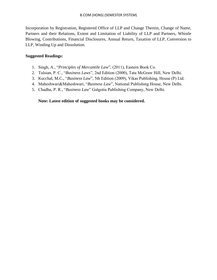Incorporation by Registration, Registered Office of LLP and Change Therein, Change of Name, Partners and their Relations, Extent and Limitation of Liability of LLP and Partners, Whistle Blowing, Contributions, Financial Disclosures, Annual Return, Taxation of LLP, Conversion to LLP, Winding Up and Dissolution.

## **Suggested Readings:**

- 1. Singh, A., "*Principles of Mercantile Law*", (2011), Eastern Book Co.
- 2. Tulsian, P. C., "*Business Laws*", 2nd Edition (2000), Tata McGraw Hill, New Delhi.
- 3. Kucchal, M.C., "*Business Law*", 5th Edition (2009), Vikas Publishing, House (P) Ltd.
- 4. Maheshwari&Maheshwari, "*Business Law*", National Publishing House, New Delhi.
- 5. Chadha, P. R., "*Business Law*" Galgotia Publishing Company, New Delhi.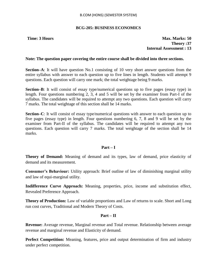#### **BCG-205: BUSINESS ECONOMICS**

**Time: 3 Hours Max. Marks: 50 Theory :37 Internal Assessment : 13**

#### **Note: The question paper covering the entire course shall be divided into three sections.**

**Section–A**: It will have question No.1 consisting of 10 very short answer questions from the entire syllabus with answer to each question up to five lines in length. Students will attempt 9 questions. Each question will carry one mark; the total weightage being 9 marks.

**Section–B**: It will consist of essay type/numerical questions up to five pages (essay type) in length. Four questions numbering 2, 3, 4 and 5 will be set by the examiner from Part-I of the syllabus. The candidates will be required to attempt any two questions. Each question will carry 7 marks. The total weightage of this section shall be 14 marks.

**Section–C**: It will consist of essay type/numerical questions with answer to each question up to five pages (essay type) in length. Four questions numbering 6, 7, 8 and 9 will be set by the examiner from Part-II of the syllabus. The candidates will be required to attempt any two questions. Each question will carry 7 marks. The total weightage of the section shall be 14 marks.

#### **Part – I**

**Theory of Demand:** Meaning of demand and its types, law of demand, price elasticity of demand and its measurement.

**Consumer's Behaviour:** Utility approach: Brief outline of law of diminishing marginal utility and law of equi-marginal utility.

**Indifference Curve Approach:** Meaning, properties, price, income and substitution effect, Revealed Preference Approach.

**Theory of Production:** Law of variable proportions and Law of returns to scale. Short and Long run cost curves, Traditional and Modern Theory of Costs.

#### **Part – II**

**Revenue:** Average revenue, Marginal revenue and Total revenue. Relationship between average revenue and marginal revenue and Elasticity of demand.

**Perfect Competition:** Meaning, features, price and output determination of firm and industry under perfect competition.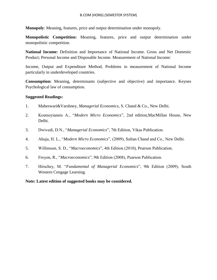**Monopoly**: Meaning, features, price and output determination under monopoly.

**Monopolistic Competition:** Meaning, features, price and output determination under monopolistic competition.

**National Income:** Definition and Importance of National Income. Gross and Net Domestic Product; Personal Income and Disposable Income. Measurement of National Income:

Income, Output and Expenditure Method, Problems in measurement of National Income particularly in underdeveloped countries.

**Consumption:** Meaning, determinants (subjective and objective) and importance. Keynes Psychological law of consumption.

#### **Suggested Readings:**

- 1. Maheswari&Varshney, *Managerial Economics*, S. Chand & Co., New Delhi.
- 2. Koutsoyiannis A., "*Modern Micro Economics*", 2nd edition,MacMillan House, New Delhi.
- 3. Dwivedi, D.N., "*Managerial Economics*", 7th Edition, Vikas Publication.
- 4. Ahuja, H. L., "*Modern Micro Economics*", (2009), Sultan Chand and Co., New Delhi.
- 5. Willimson, S. D., "*Macroeconomics*", 4th Edition (2010), Pearson Publication.
- 6. Froyen, R., "*Macroeconomics*", 9th Edition (2008), Pearson Publication.
- 7. Hirschey, M. "*Fundamental of Managerial Economics*", 9th Edition (2009), South Western Cengage Learning.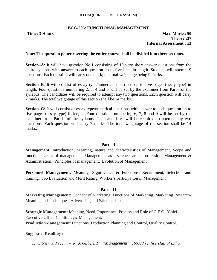#### **BCG-206: FUNCTIONAL MANAGEMENT**

#### **Note: The question paper covering the entire course shall be divided into three sections.**

**Section–A**: It will have question No.1 consisting of 10 very short answer questions from the entire syllabus with answer to each question up to five lines in length. Students will attempt 9 questions. Each question will carry one mark; the total weightage being 9 marks.

**Section–B**: It will consist of essay type/numerical questions up to five pages (essay type) in length. Four questions numbering 2, 3, 4 and 5 will be set by the examiner from Part-I of the syllabus. The candidates will be required to attempt any two questions. Each question will carry 7 marks. The total weightage of this section shall be 14 marks.

**Section–C**: It will consist of essay type/numerical questions with answer to each question up to five pages (essay type) in length. Four questions numbering 6, 7, 8 and 9 will be set by the examiner from Part-II of the syllabus. The candidates will be required to attempt any two questions. Each question will carry 7 marks. The total weightage of the section shall be 14 marks.

#### **Part – I**

**Management**: Introduction, Meaning, nature and characteristics of Management, Scope and functional areas of management, Management as a science, art or profession, Management & Administration, Principles of management, Evolution of Management.

**Personnel Management:** Meaning, Significance & Functions, Recruitment, Selection and training. Job Evaluation and Merit Rating, Worker"s participation in Management.

#### **Part – II**

**Marketing Management:** Concept of Marketing, Functions of Marketing, Marketing Research-Meaning and Techniques, Advertising and Salemanship.

**Strategic Management**: Meaning, Need, Importance, Process and Role of C.E.O. (Chief Executive Officer) in Strategic Management.

**ProductionManagement**: Functions, Production Planning and Control, Quality Control.

#### **Suggested Readings:**

*1. Stoner, J. Freeman, R. & Gilbert, D., "Management", 1995, Prentice Hall of India.*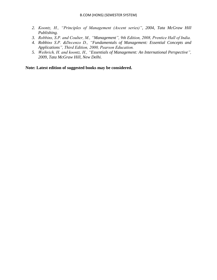- *2. Koontz, H., "Principles of Management (Ascent series)", 2004, Tata McGraw Hill Publishing.*
- *3. Robbins, S.P. and Coulter, M., "Management", 9th Edition, 2008, Prentice Hall of India.*
- *4. Robbins S.P. &Decenzo D., "Fundamentals of Management: Essential Concepts and Applications", Third Edition, 2000, Pearson Education.*
- *5. Weihrich, H. and koontz, H., "Essentials of Management: An International Perspective", 2009, Tata McGraw Hill, New Delhi.*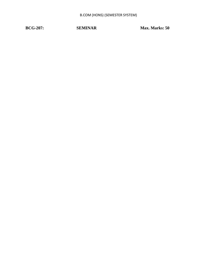**BCG-207:** SEMINAR Max. Marks: 50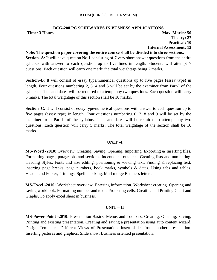## **BCG-208 PC SOFTWARES IN BUSNESS APPLICATIONS**

**Time: 3 Hours Max. Marks: 50 Theory: 27 Practical: 10 Internal Assessment: 13**

#### **Note: The question paper covering the entire course shall be divided into three sections.**

**Section–A**: It will have question No.1 consisting of 7 very short answer questions from the entire syllabus with answer to each question up to five lines in length. Students will attempt 7 questions. Each question will carry one mark; the total weightage being 7 marks.

**Section–B**: It will consist of essay type/numerical questions up to five pages (essay type) in length. Four questions numbering 2, 3, 4 and 5 will be set by the examiner from Part-I of the syllabus. The candidates will be required to attempt any two questions. Each question will carry 5 marks. The total weightage of this section shall be 10 marks.

**Section–C**: It will consist of essay type/numerical questions with answer to each question up to five pages (essay type) in length. Four questions numbering 6, 7, 8 and 9 will be set by the examiner from Part-II of the syllabus. The candidates will be required to attempt any two questions. Each question will carry 5 marks. The total weightage of the section shall be 10 marks.

### **UNIT –I**

**MS-Word -2010:** Overview, Creating, Saving, Opening, Importing, Exporting & Inserting files. Formatting pages, paragraphs and sections. Indents and outdants. Creating lists and numbering. Heading Styles, Fonts and size editing, positioning & viewing text. Finding & replacing text, inserting page breaks, page numbers, book marks, symbols & dates. Using tabs and tables, Header and Footer, Printings, Spell checking, Mail merge Business letters.

**MS-Excel -2010:** Worksheet overview. Entering information. Worksheet creating. Opening and saving workbook. Formatting number and texts. Protecting cells. Creating and Printing Chart and Graphs, To apply excel sheet in business.

### **UNIT – II**

**MS-Power Point -2010:** Presentation Basics, Menus and Toolbars. Creating, Opening, Saving, Printing and existing presentation, Creating and saving a presentation using auto content wizard. Design Templates. Different Views of Presentation, Insert slides from another presentation. Inserting pictures and graphics. Slide show, Business oriented presentation.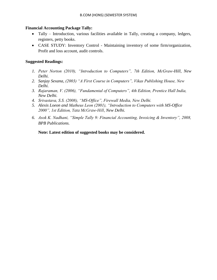# **Financial Accounting Package Tally:**

- Tally Introduction, various facilities available in Tally, creating a company, ledgers, registers, petty books.
- CASE STUDY: Inventory Control Maintaining inventory of some firm/organization, Profit and loss account, audit controls.

# **Suggested Readings:**

- *1. Peter Norton (2010), "Introduction to Computers", 7th Edition, McGraw-Hill, New Delhi.*
- *2. Sanjay Sexana, (2003) "A First Course in Computers", Vikas Publishing House, New Delhi.*
- *3. Rajaraman, V. (2006), "Fundamental of Computers", 4th Edition, Prentice Hall India, New Delhi.*
- *4. Srivastava, S.S. (2008), "MS-Office", Firewall Media, New Delhi.*
- *5. Alexis Loeon and Matheus Leon (2001), "Introduction to Computers with MS-Office 2000", 1st Edition, Tata McGraw-Hill, New Delhi.*
- *6. Asok K. Nadhani, "Simple Tally 9: Financial Accounting, Invoicing & Inventory", 2008, BPB Publications.*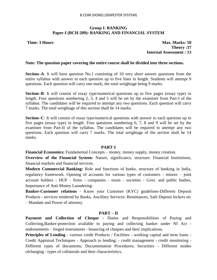# **Group I: BANKING Paper-I (BCH-209): BANKING AND FINANCIAL SYSTEM**

**Time: 3 Hours Max. Marks: 50 Theory :37 Internal Assessment : 13**

### **Note: The question paper covering the entire course shall be divided into three sections.**

**Section–A**: It will have question No.1 consisting of 10 very short answer questions from the entire syllabus with answer to each question up to five lines in length. Students will attempt 9 questions. Each question will carry one mark; the total weightage being 9 marks.

**Section–B**: It will consist of essay type/numerical questions up to five pages (essay type) in length. Four questions numbering 2, 3, 4 and 5 will be set by the examiner from Part-I of the syllabus. The candidates will be required to attempt any two questions. Each question will carry 7 marks. The total weightage of this section shall be 14 marks.

**Section–C**: It will consist of essay type/numerical questions with answer to each question up to five pages (essay type) in length. Four questions numbering 6, 7, 8 and 9 will be set by the examiner from Part-II of the syllabus. The candidates will be required to attempt any two questions. Each question will carry 7 marks. The total weightage of the section shall be 14 marks.

### **PART-I**

**Financial Economics:** Fundamental Concepts – money, money supply, money creation.

**Overview of the Financial System:** Nature, significance, structure: Financial Institutions, financial markets and financial services.

**Modern Commercial Banking:** Role and functions of banks, structure of banking in India, regulatory framework. Opening of accounts for various types of customers - minors – joint account holders - HUF - firms - companies - trusts - societies - Govt. and public bodies, Importance of Anti Money Laundering.

**Banker-Customer relations** - Know your Customer (KYC) guidelines-Different Deposit Products - services rendered by Banks, Ancillary Services: Remittances, Safe Deposit lockers etc – Mandate and Power of attorney.

### **PART – II**

**Payment and Collection of Cheque** - Duties and Responsibilities of Paying and Collecting,Banker-protection available to paying and collecting banker under NI Act endorsements – forged instruments - bouncing of cheques and their implications.

**Principles of Lending** - various credit Products / Facilities - working capital and term loans -Credit Appraisal Techniques - Approach to lending; - credit management - credit monitoring - Different types of documents; Documentation Procedures; Securities - Different modes ofcharging - types of collaterals and their characteristics.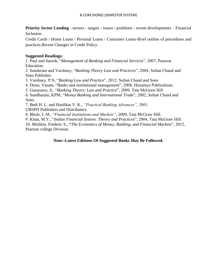**Priority Sector Lending** - sectors - targets - issues / problems - recent developments – Financial Inclusion.

Credit Cards / Home Loans / Personal Loans / Consumer Loans-Brief outline of procedures and practices.Recent Changes in Credit Policy.

# **Suggested Readings:**

1. Paul and Suresh, "*Management of Banking and Financial Services*", 2007, Pearson Education.

2. Sunderam and Varshney, "*Banking Theory Law and Practices*", 2004, Sultan Chand and Sons Publisher.

3. Varshney, P.N, "*Banking Law and Practice*", 2012, Sultan Chand and Sons

4. Desai, Vasant, "Banks and institutional management", 2008, Himalaya Publications.

5. Gurusamy, S., "*Banking Theory: Law and Practice*", 2009, Tata McGraw Hill

6. Sundharam, KPM, "*Money Banking and International Trade*", 2002, Sultan Chand and Sons.

7. Bedi H. L. and Hardikar V. K., *"Practical Banking Advances", 2001,*

UBSPD Publishers and Distributers.

8. Bhole, L.M., "*Financial Institutions and Markets"*, 2009, Tata McGraw Hill.

9. Khan, M.Y., "*Indian Financial System: Theory and Practices*", 2004, Tata McGraw Hill.

10. Mishkin, Frederic S.**, "***The Economics of Money, Banking, and Financial Markets*", 2012, Pearson college Division.

# **Note:-Latest Editions Of Suggested Books May Be Followed.**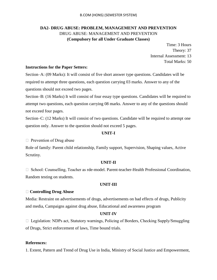# **DA2- DRUG ABUSE: PROBLEM, MANAGEMENT AND PREVENTION** DRUG ABUSE: MANAGEMENT AND PREVENTION **(Compulsory for all Under Graduate Classes)**

Time: 3 Hours Theory: 37 Internal Assessment: 13 Total Marks: 50

## **Instructions for the Paper Setters:**

Section–A: (09 Marks): It will consist of five short answer type questions. Candidates will be required to attempt three questions, each question carrying 03 marks. Answer to any of the questions should not exceed two pages.

Section–B: (16 Marks) It will consist of four essay type questions. Candidates will be required to attempt two questions, each question carrying 08 marks. Answer to any of the questions should not exceed four pages.

Section–C: (12 Marks) It will consist of two questions. Candidate will be required to attempt one question only. Answer to the question should not exceed 5 pages.

## **UNIT-I**

 $\Box$  Prevention of Drug abuse

Role of family: Parent child relationship, Family support, Supervision, Shaping values, Active Scrutiny.

### **UNIT-II**

 $\Box$  School: Counselling, Teacher as rde-model. Parent-teacher-Health Professional Coordination, Random testing on students.

### **UNIT-III**

### **Controlling Drug Abuse**

Media: Restraint on advertisements of drugs, advertisements on bad effects of drugs, Publicity and media, Campaigns against drug abuse, Educational and awareness program

### **UNIT-IV**

□ Legislation: NDPs act, Statutory warnings, Policing of Borders, Checking Supply/Smuggling of Drugs, Strict enforcement of laws, Time bound trials.

### **References:**

1. Extent, Pattern and Trend of Drug Use in India, Ministry of Social Justice and Empowerment,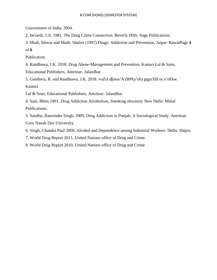Government of India, 2004.

2. Inciardi, J.A. 1981. The Drug Crime Connection. Beverly Hills: Sage Publications.

3. Modi, Ishwar and Modi, Shalini (1997) Drugs: Addiction and Prevention, Jaipur: RawatPage **4**  of **6** 

Publication.

4. Randhawa, J.K. 2018. Drug Abuse-Management and Prevention. Kasturi Lal & Sons,

Educational Publishers, Amritsar- Jalandhar.

5. Gandotra, R. and Randhawa, J.K. 2018. voZrI d**[**otos**'**A (BPky**'**oh) gqpzXB ns o**'**eEkw. Kasturi

Lal & Sons, Educational Publishers, Amritsar- Jalandhar.

4. Sain, Bhim 1991, Drug Addiction Alcoholism, Smoking obscenity New Delhi: Mittal Publications.

5. Sandhu, Ranvinder Singh, 2009, Drug Addiction in Punjab: A Sociological Study. Amritsar: Guru Nanak Dev University.

6. Singh, Chandra Paul 2000. Alcohol and Dependence among Industrial Workers: Delhi: Shipra.

7. World Drug Report 2011, United Nations office of Drug and Crime.

8. World Drug Report 2010, United Nations office of Drug and Crime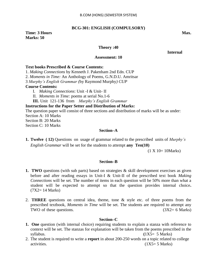# **BCG-301: ENGLISH (COMPULSORY)**

# **Time: 3 Hours Max. Max. Max. Marks: 50**

# **Theory :40**

 **Internal** 

### **Assessment: 10**

## **Text books Prescribed & Course Contents:**

1. *Making Connections* by Kenneth J. Pakenham 2nd Edn. CUP

2. *Moments in Time:* An Anthology of Poems*,* G.N.D.U. Amritsar

3 *Murphy"s English Grammar (*by Raymond Murphy*) CUP*

# **Course Contents:**

- I. *Making Connections*: Unit -I & Unit- II
- II. *Moments in Time:* poems at serial No.1-6

**III.** Unit 121-136 from *Murphy"s English Grammar*

## **Instructions for the Paper Setter and Distribution of Marks:**

The question paper will consist of three sections and distribution of marks will be as under:

Section A: 10 Marks

Section B: 20 Marks

Section C: 10 Marks

# **Section–A**

**1. Twelve ( 12)** Questions on usage of grammar related to the prescribed units of *Murphy"s English Grammar* will be set for the students to attempt **any Ten(10)** 

(1 X 10= 10Marks)

# **Section–B**

- **1. TWO** questions (with sub parts) based on strategies & skill development exercises as given before and after reading essays in Unit-I & Unit-II of the prescribed text book *Making Connections* will be set. The number of items in each question will be 50% more than what a student will be expected to attempt so that the question provides internal choice**.**   $(7X2 = 14 \text{ Marks})$
- 2. **THREE** questions on central idea, theme, tone & style etc. of three poems from the prescribed textbook, *Moments in Time* will be set. The students are required to attempt any TWO of these questions.  $(3X2 = 6 \text{ Marks})$

# **Section–C**

- **1. One** question (with internal choice) requiring students to explain a stanza with reference to context will be set. The stanzas for explanation will be taken from the poems prescribed in the syllabus. **(**1X5= 5 Marks)
- 2. The student is required to write a **report** in about 200-250 words on a topic related to college  $\alpha$  activities. (1X5= 5 Marks)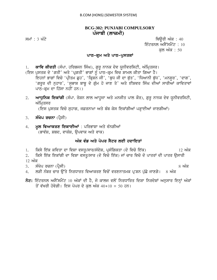# **BCG-302: PUNJABI COMPULSORY** ਪੰਜਾਬੀ (ਲਾਜ਼ਮੀ)

ਸਮਾਂ : 3 ਘੰਟੇ  $\overline{u}$  iQauri American control  $\overline{u}$  and  $\overline{u}$  iQauri  $\overline{u}$  and  $\overline{u}$  and  $\overline{u}$  iQauri  $\overline{u}$  and  $\overline{u}$  and  $\overline{u}$  and  $\overline{u}$  and  $\overline{u}$  and  $\overline{u}$  and  $\overline{u}$  and  $\overline{u}$  an ਇੰਟਰਨਲ ਅਸੈੱਸਮੈਂਟ :  $10$ ਕਲ ਅੰਕ : 50

# ਪਾਠ-ਕ੍ਰਮ ਅਤੇ ਪਾਠ-ਪੁਸਤਕਾ<u>ਂ</u>

1. **ਕਾਵਿ ਕੀਰਤੀ** (ਸੰਪਾ. ਹਰਿਭਜਨ ਸਿੰਘ), ਗੁਰੁ ਨਾਨਕ ਦੇਵ ਯੂਨੀਵਰਸਿਟੀ, ਅੰਮ੍ਰਿਤਸਰ।

(ਇਸ ਪੁਸਤਕ ਦੇ 'ਗਤੀ' ਅਤੇ 'ਪ੍ਰਗਤੀ' ਭਾਗਾਂ ਨੂੰ ਪਾਠ-ਕ੍ਰਮ ਵਿਚ ਸ਼ਾਮਲ ਕੀਤਾ ਗਿਆ ਹੈ। ਇਹਨਾਂ ਭਾਗਾਂ ਵਿਚੋ 'ਪ੍ਰੀਤਮ ਛੁਹ', 'ਕ੍ਰਿਸ਼ਨ ਜੀ', 'ਬੁਧ ਜੀ ਦਾ ਬੁੱਤ', 'ਧਿਆਨੀ ਬੁੱਧ', 'ਮਨਸੁਰ', 'ਦਾਗ', 'ਗਰੂਰ ਦੀ ਨੁਹਾਰ', 'ਸੁਭਾਸ਼ ਬਾਬੂ ਦੇ ਗੁੰਮ ਹੋ ਜਾਣ ਤੇ' ਅਤੇ ਈਸ਼ਵਰ ਸਿੰਘ ਦੀਆਂ ਸਾਰੀਅਾਂ ਕਾਵਿਤਾਵਾਂ ਪਾਠ-ਕ੍ਰਮ ਦਾ ਹਿੱਸਾ ਨਹੀਂ ਹਨ।)

2. ਅਾਧੁਨਿਕ ਇਕਾਂਗੀ (ਸੰਪਾ. ਰੋਸ਼ਨ ਲਾਲ ਆਹੁਜਾ ਅਤੇ ਮਨਜੀਤ ਪਾਲ ਕੌਰ), ਗੁਰੂ ਨਾਨਕ ਦੇਵ ਯੂਨੀਵਰਸਿਟੀ, ਅੰਮ੍ਰਿਤਸਰ

(ਇਸ ਪੁਸਤਕ ਵਿਚੋਂ ਸੁਹਾਗ, ਜਫ਼ਰਨਾਮਾ ਅਤੇ ਬੰਬ ਕੇਸ ਇਕਾਂਗੀਆਂ ਪੜ੍ਹਾਈਆਂ ਜਾਣਗੀਆਂ)

- 3. **ਸੰਖੇਪ ਰਚਨਾ** (ਪ੍ਰੈਸੀ)
- 4. **ਮੁਲ ਵਿਆਕਰਣ ਇਕਾਈਆਂ** : ਪਰਿਭਾਸ਼ਾ ਅਤੇ ਵੰਨਗੀਆਂ (ਭਾਵੰਸ਼, ਸ਼ਬਦ, ਵਾਕੰਸ਼, ਉਪਵਾਕ ਅਤੇ ਵਾਕ)

# <u>ਅੰਕ ਵੰਡ ਅਤੇ ਪੇਪਰ ਸੈਟਰ ਲਈ ਹਦਾਇਤਾਂ</u>

1. iksy ie`k kivqw dw ivSw vsqU/swr/sMdyS, pRsMigkqw (do ivco ie`k) 12 AMk

2. ਕਿਸੇ ਇੱਕ ਇਕਾਂਗੀ ਦਾ ਵਿਸ਼ਾ ਵਸਤ/ਸਾਰ (ਦੋ ਵਿਚੋ ਇੱਕ) ਜਾਂ ਚਾਰ ਵਿਚੋ ਦੋ ਪਾਤਰਾਂ ਦੀ ਪਾਤਰ ਉਸਾਰੀ <u>12 ਅੰਕ</u>

3. sMKyp rcnw (pRYsI) 8 AMk

- 4. ਲੜੀ ਨੰਬਰ ਚਾਰ ਉੱਤੇ ਨਿਰਧਾਰਤ ਵਿਆਕਰਣ ਵਿਚੋਂ ਵਰਣਨਾਤਮਕ ਪ੍ਰਸ਼ਨ ਪੁੱਛੇ ਜਾਣਗੇ। 8 ਅੰਕ
- $\overline{\delta}$ ਟ: ਇੰਟਰਨਲ ਅਸੈੱਸਮੈਂਟ 10 ਅੰਕਾਂ ਦੀ ਹੈ, ਜੋ ਕਾਲਜ ਵਲੋਂ ਨਿਰਧਾਰਿਤ ਦਿਸ਼ਾ ਨਿਰਦੇਸ਼ਾਂ ਅਨੁਸਾਰ ਇਨ੍ਹਾਂ ਅੰਕਾਂ ਤੋਂ ਵੱਖਰੀ ਹੋਵੇਗੀ। ਇਸ ਪੇਪਰ ਦੇ ਕਲ ਅੰਕ 40+10 = 50 ਹਨ।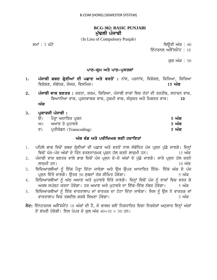# **BCG-302: BASIC PUNJABI** ਮੱਢਲੀ ਪੰਜਾਬੀ

(In Lieu of Compulsory Punjab)

ਸਮਾਂ : 3 ਘੰਟੇ ਪਰਿਆ ਤੇ ਕਿਉਰੀ ਅੰਕ : 40

ਇੰਟਰਨਲ ਅਸੈੱਸਮੈਂਟ : 10

ਕਲ ਅੰਕ : 50

# ਪਾਠ–ਕ੍ਰਮ ਅਤੇ ਪਾਠ–ਪੁਸਤਕਾਂ

- 1. ਪੰਜਾਬੀ ਸ਼ਬਦ ਸ਼੍ਰੇਣੀਆਂ ਦੀ ਪਛਾਣ ਅਤੇ ਵਰਤੋਂ: ਨਾਂਵ, ਪੜਨਾਂਵ, ਵਿਸ਼ੇਸ਼ਣ, ਕਿਰਿਆ, ਕਿਰਿਆ ivSySx, sMbMDk, Xojk, ivsimk[ **15 AMk**
- 2. ਪੰਜਾਬੀ ਵਾਕ ਬਣਤਰ : ਕਰਤਾ, ਕਰਮ, ਕਿਰਿਆ, ਪੰਜਾਬੀ ਵਾਕਾਂ ਵਿਚ ਤੱਤਾਂ ਦੀ ਤਰਤੀਬ, ਸਧਾਰਨ ਵਾਕ, ਬਿਆਨੀਆ ਵਾਕ, ਪੁਸ਼ਨਵਾਚਕ ਵਾਕ, ਹੁਕਮੀ ਵਾਕ, ਸੰਯੁਕਤ ਅਤੇ ਮਿਸ਼ਰਤ ਵਾਕ। 10 ਅੰਕ

# 3. ਪੁਕਾਰਜੀ ਪੰਜਾਬੀ **:**

| $\Theta$ | ਪੈਰ੍ਹਾ ਅਧਾਰਿਤ ਪੁਸ਼ਨ        | <u>5 ਅੰਕ</u> |
|----------|----------------------------|--------------|
|          | ਅ) ਅਖਾਣ ਤੇ ਮਹਾਵਰੇ          | <u>5 ਅੰਕ</u> |
|          | ੲ) ਪ੍ਰਤੀਕੋਡਨ (Transcoding) | <u>5 ਅੰਕ</u> |

# ਅੰਕ ਵੰਡ ਅਤੇ ਪਰੀਖਿਅਕ ਲਈ ਹਦਾਇਤਾ<u>ਂ</u>

- <u>1. ਪਹਿਲੇ ਭਾਗ ਵਿਚੋਂ ਸਬਦ ਸ੍ਰੇਣੀਆਂ ਦੀ ਪਛਾਣ ਅਤੇ ਵਰਤੋਂ ਨਾਲ ਸੰਬੰਧਿਤ ਪੰਜ ਪੁਸਨ ਪੱਛੇ ਜਾਣਗੇ। ਜਿਨ੍ਹਾਂ</u> ਵਿਚੋਂ ਪੰਜ-ਪੰਜ ਅੰਕਾਂ ਦੇ ਤਿੰਨ ਵਰਣਨਾਤਮਕ ਪ੍ਰਸ਼ਨ ਹੱਲ ਕਰਨੇ ਲਾਜ਼ਮੀ ਹਨ। ।5 ਅੰਕ
- 2. ਪੰਜਾਬੀ ਵਾਕ ਬਣਤਰ ਵਾਲੇ ਭਾਗ ਵਿਚੋਂ ਪੰਜ ਪੁਸਨ ਦੋ-ਦੋ ਅੰਕਾਂ ਦੇ ਪੱਛੇ ਜਾਣਗੇ। ਸਾਰੇ ਪੁਸਨ ਹੱਲ ਕਰਨੇ lwjæmI hn[ 10 AMk
- 3. ਵਿਦਿਆਰਥੀਆਂ ਨੂੰ ਇੱਕ ਪੈਰ੍ਹਾ ਦਿੱਤਾ ਜਾਵੇਗਾ ਅਤੇ ਉਸ ਉਪਰ ਆਧਾਰਿਤ ਇੱਕ- ਇੱਕ ਅੰਕ ਦੇ ਪੰਜ pRsæn id`qy jwxgy[ auqr 50 sæbdW q`k sIimq hovygw[ 5 AMk
- 4. ਵਿਦਿਆਰਥੀਆਂ ਨੂੰ ਅੱਠ ਅਖਾਣ ਅਤੇ ਮੁਹਾਵਰੇ ਦਿੱਤੇ ਜਾਣਗੇ। ਜਿਨ੍ਹਾਂ ਵਿਚੋਂ ਪੰਜ ਨੂੰ ਵਾਕਾਂ ਵਿਚ ਵਰਤ ਕੇ ਅਰਥ ਸਪੱਸਟ ਕਰਨਾ ਹੋਵੇਗਾ। ਹਰ ਅਖਾਣ ਅਤੇ ਮਹਾਵਰੇ ਦਾ ਇੱਕ-ਇੱਕ ਨੰਬਰ ਹੋਵੇਗਾ। 5 ਅੰਕ
- 5. ਵਿਦਿਆਰਥੀਆਂ ਨੂੰ ਇੱਕ ਵਾਰਤਾਲਾਪ ਜਾਂ ਵਾਰਤਕ ਦਾ ਟੋਟਾ ਦਿੱਤਾ ਜਾਵੇਗਾ। ਜਿਸ ਨੂੰ ਉਸ ਨੇ ਵਾਰਤਕ ਜਾਂ vwrqwlwp ivc qbdIl krky ilKxw hovygw[ 5 AMk
- $\vec{\delta}$ ਟ: ਇੰਨਟਰਨਲ ਅਸੈੱਸਮੈਂਟ 10 ਅੰਕਾਂ ਦੀ ਹੈ, ਜੋ ਕਾਲਜ ਵਲੋਂ ਨਿਰਧਾਰਿਤ ਦਿਸ਼ਾ ਨਿਰਦੇਸ਼ਾਂ ਅਨੁਸਾਰ ਇਨ੍ਹਾਂ ਅੰਕਾਂ ਤੋਂ ਵੱਖਰੀ ਹੋਵੇਗੀ। ਇਸ ਪੇਪਰ ਦੇ ਕਲ ਅੰਕ 40+10 = 50 ਹਨ।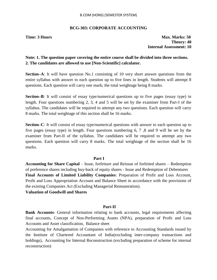# **BCG-303: CORPORATE ACCOUNTING**

**Time: 3 Hours Max. Marks: 50 Theory: 40 Internal Assessment: 10**

# **Note: 1. The question paper covering the entire course shall be divided into three sections. 2. The candidates are allowed to use [Non-Scientific] calculator.**

**Section–A**: It will have question No.1 consisting of 10 very short answer questions from the entire syllabus with answer to each question up to five lines in length. Students will attempt 8 questions. Each question will carry one mark; the total weightage being 8 marks.

**Section–B**: It will consist of essay type/numerical questions up to five pages (essay type) in length. Four questions numbering 2, 3, 4 and 5 will be set by the examiner from Part-I of the syllabus. The candidates will be required to attempt any two questions. Each question will carry 8 marks. The total weightage of this section shall be 16 marks.

**Section–C**: It will consist of essay type/numerical questions with answer to each question up to five pages (essay type) in length. Four questions numbering 6, 7 ,8 and 9 will be set by the examiner from Part-II of the syllabus. The candidates will be required to attempt any two questions. Each question will carry 8 marks. The total weightage of the section shall be 16 marks.

# **Part I**

**Accounting for Share Capital** – Issue, forfeiture and Reissue of forfeited shares – Redemption of preference shares including buy-back of equity shares - Issue and Redemption of Debentures **Final Accounts of Limited Liability Companies**: Preparation of Profit and Loss Account, Profit and Loss Appropriation Account and Balance Sheet in accordance with the provisions of the existing Companies Act (Excluding Managerial Remuneration).

# **Valuation of Goodwill and Shares**

# **Part-II**

**Bank Accounts**- General information relating to bank accounts, legal requirements affecting final accounts, Concept of Non-Performing Assets (NPA), preparation of Profit and Loss Accounts and Asset classification, Balance sheet

Accounting for Amalgamation of Companies with reference to Accounting Standards issued by the Institute of Chartered Accountant of India(excluding inter-company transactions and holdings), Accounting for Internal Reconstruction (excluding preparation of scheme for internal reconstruction)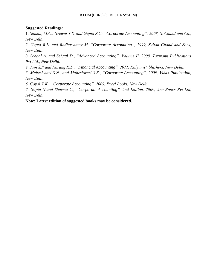# **Suggested Readings:**

1. *Shukla, M.C., Grewal T.S. and Gupta S.C: "Corporate Accounting", 2008, S. Chand and Co., New Delhi.*

*2. Gupta R.L, and Radhaswamy M, "Corporate Accounting", 1999, Sultan Chand and Sons, New Delhi.*

*3. Sehgal A. and Sehgal D., "Advanced Accounting", Volume II, 2008, Taxmann Publications Pvt Ltd., New Delhi.*

*4. Jain S.P and Narang K.L., "Financial Accounting", 2011, KalyaniPublilshers, New Delhi.*

*5. Maheshwari S.N., and Maheshwari S.K., "Corporate Accounting", 2009, Vikas Publication, New Delhi.*

*6. Goyal V.K., "Corporate Accounting", 2009, Excel Books, New Delhi.*

*7. Gupta N.and Sharma C., "Corporate Accounting", 2nd Edition, 2009, Ane Books Pvt Ltd, New Delhi*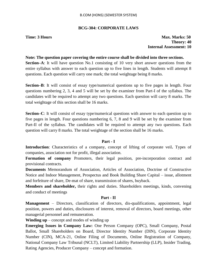# **BCG-304: CORPORATE LAWS**

**Time: 3 Hours Max. Marks: 50 Theory: 40 Internal Assessment: 10**

### **Note: The question paper covering the entire course shall be divided into three sections.**

**Section–A**: It will have question No.1 consisting of 10 very short answer questions from the entire syllabus with answer to each question up to five lines in length. Students will attempt 8 questions. Each question will carry one mark; the total weightage being 8 marks.

**Section–B**: It will consist of essay type/numerical questions up to five pages in length. Four questions numbering 2, 3, 4 and 5 will be set by the examiner from Part-I of the syllabus. The candidates will be required to attempt any two questions. Each question will carry 8 marks. The total weightage of this section shall be 16 marks.

**Section–C**: It will consist of essay type/numerical questions with answer to each question up to five pages in length. Four questions numbering 6, 7, 8 and 9 will be set by the examiner from Part-II of the syllabus. The candidates will be required to attempt any two questions. Each question will carry 8 marks. The total weightage of the section shall be 16 marks.

# **Part - I**

**Introduction**: Characteristics of a company, concept of lifting of corporate veil**.** Types of companies, association not for profit, illegal association.

**Formation of company** Promoters, their legal position, pre-incorporation contract and provisional contracts.

**Documents** Memorandum of Association, Articles of Association, Doctrine of Constructive Notice and Indoor Management, Prospectus and Book Building Share Capital – issue, allotment and forfeiture of share, De-mat of share, transmission of shares, buyback.

**Members and shareholder,** their rights and duties. Shareholders meetings, kinds, convening and conduct of meetings

# **Part - II**

**Management** – Directors, classification of directors, dis-qualifications, appointment, legal position, powers and duties, disclosures of interest, removal of directors, board meetings, other managerial personnel and remuneration.

**Winding up** – concept and modes of winding up

**Emerging Issues in Company Law:** One Person Company (OPC), Small Company, Postal Ballot, Small Shareholders on Board, Director Identity Number (DIN), Corporate Identity Number (CIN), MCA-21, Online Filing of Documents, Online Registration of Company, National Company Law Tribunal (NCLT), Limited Liability Partnership (LLP), Insider Trading, Rating Agencies, Producer Company – concept and formation.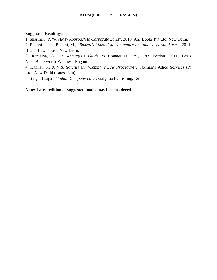# **Suggested Readings:**

1. Sharma J. P, "*An Easy Approach to Corporate Laws*", 2010, Ane Books Pvt Ltd, New Delhi.

2. Puliani R. and Puliani, M., "*Bharat"s Manual of Companies Act and Corporate Laws*", 2011, Bharat Law House, New Delhi.

3. Ramaiya, A., "*A Ramaiya"s Guide to Companies Act*", 17th Edition, 2011, Lexis NexisButterworthsWadhwa, Nagpur.

4. Kannal, S., & V.S. Sowrirajan, "*Company Law Procedure*", Taxman"s Allied Services (P) Ltd., New Delhi (Latest Edn).

5. Singh, Harpal, "*Indian Company Law*", Galgotia Publishing, Delhi.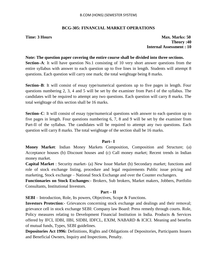# **BCG-305: FINANCIAL MARKET OPERATIONS**

**Time: 3 Hours Max. Marks: 50 Theory :40 Internal Assessment : 10**

# **Note: The question paper covering the entire course shall be divided into three sections.**

**Section–A**: It will have question No.1 consisting of 10 very short answer questions from the entire syllabus with answer to each question up to five lines in length. Students will attempt 8 questions. Each question will carry one mark; the total weightage being 8 marks.

**Section–B**: It will consist of essay type/numerical questions up to five pages in length. Four questions numbering 2, 3, 4 and 5 will be set by the examiner from Part-I of the syllabus. The candidates will be required to attempt any two questions. Each question will carry 8 marks. The total weightage of this section shall be 16 marks.

**Section–C**: It will consist of essay type/numerical questions with answer to each question up to five pages in length. Four questions numbering 6, 7, 8 and 9 will be set by the examiner from Part-II of the syllabus. The candidates will be required to attempt any two questions. Each question will carry 8 marks. The total weightage of the section shall be 16 marks.

### **Part– I**

**Money Market**: Indian Money Markets Composition, Composition and Structure; (a) Acceptance houses (b) Discount houses and (c) Call money market; Recent trends in Indian money market.

**Capital Market** : Security market- (a) New Issue Market (b) Secondary market; functions and role of stock exchange listing, procedure and legal requirements Public issue pricing and marketing, Stock exchange – National Stock Exchange and over the Counter exchangers.

**Functionaries on Stock Exchanges**:- Brokers, Sub brokers, Market makers, Jobbers, Portfolio Consultants, Institutional Investors.

# **Part – II**

**SEBI** – Introduction, Role, Its powers, Objectives, Scope & Functions.

**Investors Protection**:- Grievances concerning stock exchange and dealings and their removal; grievance cell in stock exchange SEBI: Company law Board: Press remedy through courts. Role, Policy measures relating to Development Financial Institution in India. Products & Services offered by IFCI, IDBI, IIBI, SIDBI, IDFCL, EXIM, NABARD & ICICI. Meaning and benefits of mutual funds, Types, SEBI guidelines.

**Depositories Act 1996:** Definitions, Rights and Obligations of Depositories, Participants Issuers and Beneficial Owners, Inquiry and Inspections, Penalty.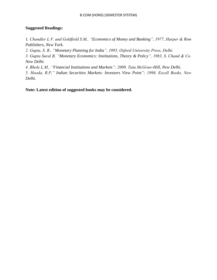# **Suggested Readings:**

1*. Chandler L.V. and Goldfield S.M., "Economics of Money and Banking", 1977, Harper & Row Publishers, New York.*

*2. Gupta, S. B., "Monetary Planning for India", 1995, Oxford University Press, Delhi.*

*3. Gupta Sural B, "Monetary Economics: Institutions, Theory & Policy", 1983, S. Chand & Co. New Delhi.*

*4. Bhole L.M., "Financial Institutions and Markets"; 2009, Tata McGraw-Hill, New Delhi.*

*5. Hooda, R.P," Indian Securities Markets- Investors View Point"; 1998, Excell Books, New Delhi.*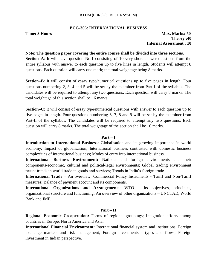## **BCG-306: INTERNATIONAL BUSINESS**

**Time: 3 Hours Max. Marks: 50 Theory :40 Internal Assessment : 10**

### **Note: The question paper covering the entire course shall be divided into three sections.**

**Section–A**: It will have question No.1 consisting of 10 very short answer questions from the entire syllabus with answer to each question up to five lines in length. Students will attempt 8 questions. Each question will carry one mark; the total weightage being 8 marks.

**Section–B**: It will consist of essay type/numerical questions up to five pages in length. Four questions numbering 2, 3, 4 and 5 will be set by the examiner from Part-I of the syllabus. The candidates will be required to attempt any two questions. Each question will carry 8 marks. The total weightage of this section shall be 16 marks.

**Section–C**: It will consist of essay type/numerical questions with answer to each question up to five pages in length. Four questions numbering 6, 7, 8 and 9 will be set by the examiner from Part-II of the syllabus. The candidates will be required to attempt any two questions. Each question will carry 8 marks. The total weightage of the section shall be 16 marks.

### **Part – I**

**Introduction to International Business:** Globalisation and its growing importance in world economy; Impact of globalization; International business contrasted with domestic business complexities of international business; Modes of entry into international business.

**International Business Environment:** National and foreign environments and their components-economic, cultural and political-legal environments; Global trading environment recent trends in world trade in goods and services; Trends in India"s foreign trade.

**International Trade** – An overview; Commercial Policy Instruments - Tariff and Non-Tariff measures; Balance of payment account and its components.

**International Organizations and Arrangements**: WTO – Its objectives, principles, organizational structure and functioning; An overview of other organizations – UNCTAD, World Bank and IMF.

# **Part – II**

**Regional Economic Co-operation:** Forms of regional groupings; Integration efforts among countries in Europe, North America and Asia.

**International Financial Environment:** International financial system and institutions; Foreign exchange markets and risk management; Foreign investments - types and flows; Foreign investment in Indian perspective.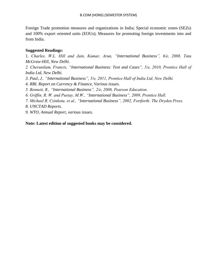Foreign Trade promotion measures and organizations in India; Special economic zones (SEZs) and 100% export oriented units (EOUs); Measures for promoting foreign investments into and from India.

# **Suggested Readings:**

1. *Charles, W.L. Hill and Jain, Kumar, Arun, "International Business", 6/e, 2008, Tata McGraw-Hill, New Delhi.*

*2. Cherunilam, Francis, "International Business: Text and Cases", 5/e, 2010, Prentice Hall of India Ltd, New Delhi.*

- *3. Paul, J., "International Business", 5/e, 2011, Prentice Hall of India Ltd, New Delhi.*
- *4. RBI. Report on Currency & Finance, Various issues.*
- *5. Bennett, R., "International Business", 2/e, 2008, Pearson Education.*
- *6. Griffin, R. W. and Pustay, M.W., "International Business", 2009, Prentice Hall.*
- *7. Michael R. Czinkota. et al., "International Business", 2002, Fortforth: The Dryden Press.*
- *8. UNCTAD Reports.*
- *9. WTO, Annual Report, various issues.*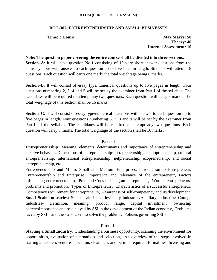### B.COM (HONS) (SEMESTER SYSTEM)

# **BCG-307: ENTREPRENEURSHIP AND SMALL BUSINESSES**

**Time: 3 Hours Max.Marks: 50 Max.Marks: 50 Theory: 40 Internal Assessment: 10**

**Note: The question paper covering the entire course shall be divided into three sections. Section–A**: It will have question No.1 consisting of 10 very short answer questions from the entire syllabus with answer to each question up to five lines in length. Students will attempt 8 questions. Each question will carry one mark; the total weightage being 8 marks.

**Section–B**: It will consist of essay type/numerical questions up to five pages in length. Four questions numbering 2, 3, 4 and 5 will be set by the examiner from Part-I of the syllabus. The candidates will be required to attempt any two questions. Each question will carry 8 marks. The total weightage of this section shall be 16 marks.

**Section–C**: It will consist of essay type/numerical questions with answer to each question up to five pages in length. Four questions numbering 6, 7, 8 and 9 will be set by the examiner from Part-II of the syllabus. The candidates will be required to attempt any two questions. Each question will carry 8 marks. The total weightage of the section shall be 16 marks.

### **Part - I**

**Entrepreneurship:** Meaning, elements, determinants and importance of entrepreneurship and creative behavior. Dimensions of entrepreneurship: intrapreneurship, technopreneurship, cultural entrepreneurship, international entrepreneurship, netpreneurship, ecopreneurship, and social entrepreneurship, etc.

Entrepreneurship and Micro, Small and Medium Enterprises. Introduction to Entrepreneur, Entrepreneurship and Enterprise, Importance and relevance of the entrepreneur, Factors influencing entrepreneurship, Pros and Cons of being an entrepreneur, Women entrepreneursproblems and promotion, Types of Entrepreneurs, Characteristics of a successful entrepreneur, Competency requirement for entrepreneurs, Awareness of self-competency and its development **Small Scale Industries:** Small scale industries/ Tiny industries/Ancillary industries/ Cottage Industries- Definition, meaning, product range, capital investment, ownership patternsImportance and role played by SSI in the development of the Indian economy, Problems faced by SSI"s and the steps taken to solve the problems, Policies governing SSI"s.

# **Part - II**

**Starting a Small Industry:** Understanding a business opportunity, scanning the environment for opportunities, evaluation of alternatives and selection, An overview of the steps involved in starting a business venture – location, clearances and permits required, formalities, licensing and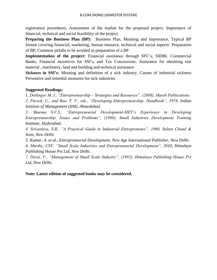registration procedures, Assessment of the market for the proposed project, Importance of financial, technical and social feasibility of the project.

**Preparing the Business Plan (BP):** Business Plan, Meaning and importance, Typical BP format covering financial, marketing, human resource, technical and social aspects- Preparation of BP, Common pitfalls to be avoided in preparation of a BP

**Implementation of the project:** Financial assistance through SFC"s, SIDBI, Commercial Banks, Financial incentives for SSI"s, and Tax Concessions, Assistance for obtaining raw material , machinery, land and building and technical assistance

**Sickness in SSI's:** Meaning and definition of a sick industry, Causes of industrial sickness Preventive and remedial measures for sick industries

# **Suggested Readings:**

1. *Dollinger M. J., "Entrepreneurship – Strategies and Resources", (2008), Marsh Publications.*

*2. Pareek, U., and Rao, T. V., eds., "Developing Entrepreneurship: Handbook", 1978, Indian Institute of Management (IIM), Ahmedabad.*

*3. Sharma S.V.S., "Entrepreneurial Development-SIET"s Experience in Developing Entrepreneurship: Issues and Problems", (1980), Small Industries Development Training Institute, Hyderabad.*

*4. Srivastava, S.B., "A Practical Guide to Industrial Entrepreneurs", 1980, Sultan Chand & Sons, New Delhi.*

*5. Kumar, A. et al., Entrepreneurial Development, New Age International Publisher, New Delhi.*

*6. Murthy, CSV, "Small Scale Industries and Entrepreneurial Development", 2010, Himalaya Publishing House Pvt Ltd, New Delhi.*

*7. Desai, V., "Management of Small Scale Industry", (1992), Himalaya Publishing House Pvt Ltd, New Delhi.*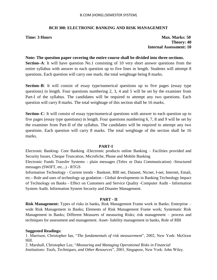# **BCH 308: ELECTRONIC BANKING AND RISK MANAGEMENT**

**Time: 3 Hours Max. Marks: 50 Theory: 40 Internal Assessment: 10**

### **Note: The question paper covering the entire course shall be divided into three sections.**

**Section–A**: It will have question No.1 consisting of 10 very short answer questions from the entire syllabus with answer to each question up to five lines in length. Students will attempt 8 questions. Each question will carry one mark; the total weightage being 8 marks.

**Section–B**: It will consist of essay type/numerical questions up to five pages (essay type questions) in length. Four questions numbering 2, 3, 4 and 5 will be set by the examiner from Part-I of the syllabus. The candidates will be required to attempt any two questions. Each question will carry 8 marks. The total weightage of this section shall be 16 marks.

**Section–C**: It will consist of essay type/numerical questions with answer to each question up to five pages (essay type questions) in length. Four questions numbering 6, 7, 8 and 9 will be set by the examiner from Part-II of the syllabus. The candidates will be required to attempt any two questions. Each question will carry 8 marks. The total weightage of the section shall be 16 marks.

### **PART-I**

Electronic Banking- Core Banking -Electronic products online Banking – Facilities provided and Security Issues, Cheque Truncation, Microfiche, Phone and Mobile Banking

Electronic Funds Transfer Systems - plain messages (Telex or Data Communication) -Structured messages (SWIFT, etc...) - RTGS

Information Technology - Current trends - Banknet, RBI net, Datanet, Nicnet, I-net, Internet, Email, etc.- Role and uses of technology up gradation - Global developments in Banking Technology Impact of Technology on Banks - Effect on Customers and Service Quality -Computer Audit - Information System Audit. Information System Security and Disaster Management.

### **PART - II**

**Risk Management:** Types of risks in banks, Risk Management Frame work in Banks: Enterprise – wide Risk Management in Banks; Elements of Risk Management Frame work; Systematic Risk Management in Banks; Different Measures of measuring Risks; risk management – process and techniques for assessment and management. Asset- liability management in banks, Role of RBI

### **Suggested Readings:**

1. Marrison, Christopher Ian, "*The fundamentals of risk measurement*", 2002, New York: McGraw Hill.

2. Marshall, Christopher Lee, "*Measuring and Managing Operational Risks in Financial Institutions: Tools, Techniques, and Other Resources*", 2001, Singapore, New York: John Wiley.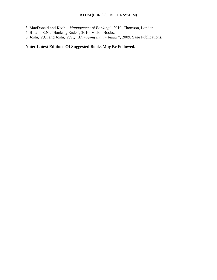3. MacDonald and Koch, "*Management of Banking*", 2010, Thomson, London.

- 4. Bidani, S.N., "Banking Risks", 2010, Vision Books.
- 5. Joshi, V.C. and Joshi, V.V., *"Managing Indian Banks"*, 2009, Sage Publications.

# **Note:-Latest Editions Of Suggested Books May Be Followed.**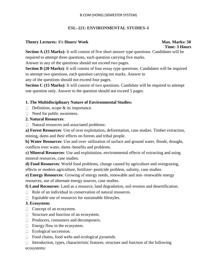# **ESL–221: ENVIRONMENTAL STUDIES–I**

# **Theory Lectures: 1½ Hours/ Week Max. Marks: 50**

# **Time: 3 Hours**

**Section A (15 Marks):** It will consist of five short answer type questions. Candidates will be required to attempt three questions, each question carrying five marks.

Answer to any of the questions should not exceed two pages.

**Section B (20 Marks):** It will consist of four essay type questions. Candidates will be required to attempt two questions, each question carrying ten marks. Answer to any of the questions should not exceed four pages.

**Section C (15 Marks):** It will consist of two questions. Candidate will be required to attempt one question only. Answer to the question should not exceed 5 pages.

# **1. The Multidisciplinary Nature of Environmental Studies:**

- $\Box$  Definition, scope & its importance.
- $\Box$  Need for public awareness.

# **2. Natural Resources**:

□ Natural resources and associated problems:

**a) Forest Resources**: Use of over exploitation, deforestation, case studies. Timber extraction, mining, dams and their effects on forests and tribal people.

**b) Water Resources**: Use and over–utilization of surface and ground water, floods, drought, conflicts over water, dams–benefits and problems.

**c) Mineral Resources**: Use and exploitation, environmental effects of extracting and using mineral resources, case studies.

**d) Food Resources**: World food problems, change caused by agriculture and overgrazing, effects or modern agriculture, fertilizer–pesticide problem, salinity, case studies.

**e) Energy Resources**: Growing of energy needs, renewable and non–renewable energy resources, use of alternate energy sources, case studies.

**f) Land Recourses**: Land as a resource, land degradation, soil erosion and desertification.

- $\Box$  Role of an individual in conservation of natural resources.
- $\Box$  Equitable use of resources for sustainable lifestyles.

# **3. Ecosystem:**

- □ Concept of an ecosystem.
- □ Structure and function of an ecosystem.
- □ Producers, consumers and decomposers.
- Energy flow in the ecosystem.
- Ecological succession.
- $\Box$  Food chains, food webs and ecological pyramids.

 $\Box$  Introduction, types, characteristic features, structure and function of the following ecosystems: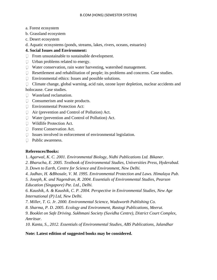- a. Forest ecosystem
- b. Grassland ecosystem
- c. Desert ecosystem
- d. Aquatic ecosystems (ponds, streams, lakes, rivers, oceans, estuaries)

# **4. Social Issues and Environment:**

- $\Box$  From unsustainable to sustainable development.
- Urban problems related to energy.
- Water conservation, rain water harvesting, watershed management.
- $\Box$  Resettlement and rehabilitation of people; its problems and concerns. Case studies.
- $\Box$  Environmental ethics: Issues and possible solutions.
- $\Box$  Climate change, global warning, acid rain, ozone layer depletion, nuclear accidents and holocause. Case studies.
- Wasteland reclamation.
- □ Consumerism and waste products.
- Environmental Protection Act:
- Air (prevention and Control of Pollution) Act.
- $\Box$  Water (prevention and Control of Pollution) Act.
- Wildlife Protection Act.
- **Forest Conservation Act.**
- $\Box$  Issues involved in enforcement of environmental legislation.
- **Public awareness.**

# **References/Books:**

1*. Agarwal, K. C. 2001. Environmental Biology, Nidhi Publications Ltd. Bikaner.*

- *2. Bharucha, E. 2005. Textbook of Environmental Studies, Universities Press, Hyderabad.*
- *3. Down to Earth, Centre for Science and Environment, New Delhi.*
- *4. Jadhav, H. &Bhosale, V. M. 1995. Environmental Protection and Laws. Himalaya Pub.*
- *5. Joseph, K. and Nagendran, R. 2004. Essentials of Environmental Studies, Pearson Education (Singapore) Pte. Ltd., Delhi.*

*6. Kaushik, A. & Kaushik, C. P. 2004. Perspective in Environmental Studies, New Age International (P) Ltd, New Delhi.*

- *7. Miller, T. G. Jr. 2000. Environmental Science, Wadsworth Publishing Co.*
- *8. Sharma, P. D. 2005. Ecology and Environment, Rastogi Publications, Meerut.*

*9. Booklet on Safe Driving. Sukhmani Society (Suvidha Centre), District Court Complex, Amritsar.*

*10. Kanta, S., 2012. Essentials of Environmental Studies, ABS Publications, Jalandhar*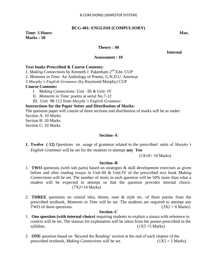# **BCG-401: ENGLISH (COMPULSORY)**

# **Time: 3 Hours Max. Max. Max. Marks : 50**

## **Theory : 40**

## *<u>Internal</u>*

## **Assessment : 10**

# **Text books Prescribed & Course Contents:**

1. *Making Connections* by Kenneth J. Pakenham 2nd Edn. CUP

2. *Moments in Time:* An Anthology of Poems*,* G.N.D.U. Amritsar

3 *Murphy"s English Grammar (*by Raymond Murphy*)* CUP

# **Course Contents:**

- I. *Making Connections*: Unit –III & Unit- IV
- II. *Moments in Time*: poems at serial No.7-12
- III. Unit 98-112 from *Murphy"s English Grammar*.

## **Instructions for the Paper Setter and Distribution of Marks:**

The question paper will consist of three sections and distribution of marks will be as under:

Section A: 10 Marks

Section B: 20 Marks

Section C: 10 Marks

## **Section–A**

**1. Twelve ( 12)** Questions on usage of grammar related to the prescribed units of *Murphy"s English Grammar* will be set for the students to attempt **any Ten** 

### (1X10= 10 Marks)

### **Section–B**

- 1. **TWO** questions (with sub parts) based on strategies & skill development exercises as given before and after reading essays in Unit-III & Unit-IV of the prescribed text book *Making Connections* will be set. The number of items in each question will be 50% more than what a student will be expected to attempt so that the question provides internal choice. (7X2=14 Marks)
- 2. **THREE** questions on central idea, theme, tone & style etc. of three poems from the prescribed textbook, *Moments in Time* will be set. The students are required to attempt any TWO of these questions. ( $3X2 = 6$  Marks)

## **Section–C**

- 1. **One question (with internal choice)** requiring students to explain a stanza with reference to context will be set. The stanzas for explanation will be taken from the poems prescribed in the  $syllabus.$  (1X5 =5 Marks)
- 2. **ONE** question based on "Beyond the Reading" section at the end of each chapter of the prescribed textbook, *Making Connections* will be set. (1X5 = 5 Marks)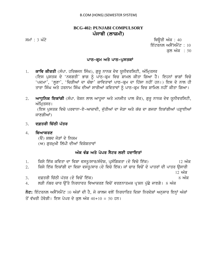# **BCG-402: PUNJABI COMPULSORY** ਪੰਜਾਬੀ (ਲਾਜ਼ਮੀ)

ਸਮਾਂ : 3 ਘੰਟੇ ਪਰਿਆ ਤੇ ਕਿਉਰੀ ਅੰਕ : 40 ਇੰਟਰਨਲ ਅਸੈੱਸਮੈਂਟ : 10 ਕਲ ਅੰਕ **:** 50

# ਪਾਠ-ਕ੍ਰਮ ਅਤੇ ਪਾਠ-ਪੁਸਤਕਾ<u>ਂ</u>

1. **ਕਾਵਿ ਕੀਰਤੀ** (ਸੰਪਾ. ਹਰਿਭਜਨ ਸਿੰਘ), ਗੁਰੁ ਨਾਨਕ ਦੇਵ ਯੂਨੀਵਰਸਿਟੀ, ਅੰਮ੍ਰਿਤਸਰ (ਇਸ ਪੁਸਤਕ ਦੇ 'ਨਵਗਤੀ' ਭਾਗ ਨੂੰ ਪਾੱਠ-ਕ੍ਰਮ ਵਿਚ ਸ਼ਾਮਲ ਕੀਤਾ ਗਿਆ ਹੈ। ਇਹਨਾਂ ਭਾਗਾਂ ਵਿਚੋ 'ਪਦਮਾ', 'ਲੁਣਾ', 'ਚਿੜੀਆਂ ਦਾ ਚੰਬਾ' ਕਾਵਿਤਾਵਾਂ ਪਾਠ-ਕ੍ਰਮ ਦਾ ਹਿੱਸਾ ਨਹੀਂ ਹਨ।) ਇਸ ਦੇ ਨਾਲ ਹੀ ਤਾਰਾ ਸਿੰਘ ਅਤੇ ਹਰਨਾਮ ਸਿੰਘ ਦੀਆਂ ਸਾਰੀਆਂ ਕਵਿਤਾਵਾਂ ਨੂੰ ਪਾਠ-ਕੂਮ ਵਿਚ ਸ਼ਾਮਿਲ ਨਹੀਂ ਕੀਤਾ ਗਿਆ।

2. ਅਾਧੁਨਿਕ ਇਕਾਂਗੀ (ਸੰਪਾ. ਰੋਸ਼ਨ ਲਾਲ ਆਹੁਜਾ ਅਤੇ ਮਨਜੀਤ ਪਾਲ ਕੌਰ), ਗੁਰੁ ਨਾਨਕ ਦੇਵ ਯੁਨੀਵਰਸਿਟੀ, ਅੰਮ੍ਰਿਤਸਰ।

(ਇਸ ਪੁਸਤਕ ਵਿਚੋ ਪਰਵਾਨਾ-ਏ-ਆਜ਼ਾਦੀ, ਜੁੱਤੀਆਂ ਦਾ ਜੋੜਾ ਅਤੇ ਕੱਚ ਦਾ ਗਜਰਾ ਇਕਾਂਗੀਆਂ ਪੜ੍ਹਾਈਆਂ ਜਾਣਗੀਆਂ)

- 3. **ਦਫ਼ਤਰੀ ਚਿੱਠੀ ਪੱਤਰ**
- 4. **ਵਿਆਕਰਣ**

(ੳ) ਸ਼ਬਦ ਜੋੜਾਂ ਦੇ ਨਿਯਮ

(ਅ) ਗਰਮਖੀ ਲਿੱਪੀ ਦੀਆਂ ਵਿਸ਼ੇਸ਼ਤਾਵਾਂ

# ਅੰਕ ਵੰਡ ਅਤੇ ਪੇਪਰ ਸੈਟਰ ਲਈ ਹਦਾਇਤਾ<u>ਂ</u>

- 1. iksy ie`k kivqw dw ivSw vsqU/swr/sMdyS, pRsMigkqw (do ivco ie`k) 12 AMk 2. fਿਕਸੇ ਇੱਕ ਇਕਾਂਗੀ ਦਾ ਵਿਸ਼ਾ ਵਸਤੁ/ਸਾਰ (ਦੋ ਵਿਚੋ ਇੱਕ) ਜਾਂ ਚਾਰ ਵਿਚੋਂ ਦੋ ਪਾਤਰਾਂ ਦੀ ਪਾਤਰ ਉਸਾਰੀ  $12$  ਅੱਕ 3. d&qrI ic`TI p`qr (do ivcoN ie`k) 8 AMk
- 4. ਲੜੀ ਨੰਬਰ ਚਾਰ ਉੱਤੇ ਨਿਰਧਾਰਤ ਵਿਆਕਰਣ ਵਿਚੋਂ ਵਰਣਨਾਤਮਕ ਪ੍ਰਸ਼ਨ ਪੁੱਛੇ ਜਾਣਗੇ। 8 ਅੰਕ

 $\overline{\delta}$ ਟ: ਇੰਟਰਨਲ ਅਸੈੱਸਮੈਂਟ 10 ਅੰਕਾਂ ਦੀ ਹੈ, ਜੋ ਕਾਲਜ ਵਲੋਂ ਨਿਰਧਾਰਿਤ ਦਿਸ਼ਾ ਨਿਰਦੇਸ਼ਾਂ ਅਨੁਸਾਰ ਇਨ੍ਹਾਂ ਅੰਕਾਂ ਤੋਂ ਵੱਖਰੀ ਹੋਵੇਗੀ। ਇਸ ਪੇਪਰ ਦੇ ਕਲ ਅੰਕ 40+10 = 50 ਹਨ।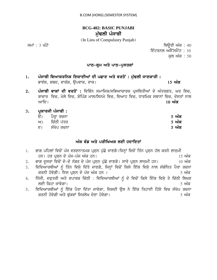# **BCG-402: BASIC PUNJABI** ਮੱਢਲੀ ਪੰਜਾਬੀ

(In Lieu of Compulsory Punjab)

 $\overline{H}$ ਸਮਾਂ : 3 ਘੰਟੇ ਪਹਿਲਾਂ ਬਾਅਦ ਤੋਂ ਬਾਅਦ ਤੋਂ ਬਾਅਦ ਤੋਂ ਬਾਅਦ ਤੋਂ ਬਾਅਦ ਤੋਂ ਬਾਅਦ ਤੋਂ ਬਾਅਦ ਤੋਂ ਬਾਅਦ ਤੋਂ ਬਾਅਦ ਤੋਂ ਬਾਅਦ ਤੋਂ ਬਾਅਦ ਤੋਂ ਬਾਅਦ ਤੋਂ ਬਾਅਦ ਤੋਂ ਬਾਅਦ ਤੋਂ ਬਾਅਦ ਤੋਂ ਬਾਅਦ ਤੋਂ ਬਾਅਦ ਤੋਂ ਬਾਅਦ ਤੋਂ ਬਾਅਦ ਤੋਂ ਬਾਅਦ ਤੋਂ ਬਾਅਦ ਤੋਂ ਬਾ

ਇੰਟਰਨਲ ਅਸੈੱਸਮੈਂਟ:  $10$ 

ਕਲ ਅੰਕ : 50

# **ਪਾਠ-ਕ੍ਰਮ ਅਤੇ ਪਾਠ-ਪੁਸਤਕਾਂ**

- 1. ਪੰਜਾਬੀ ਵਿਆਕਰਨਿਕ ਇਕਾਈਆਂ ਦੀ ਪਛਾਣ ਅਤੇ ਵਰਤੋਂ : ਮੁੱਢਲੀ ਜਾਣਕਾਰੀ : ਭਾਵੰਸ਼, ਸ਼ਬਦ, ਵਾਕੰਸ਼, ਉਪਵਾਕ, ਵਾਕ। ਇਸ ਦੇ ਸ਼ਾਹ ਦਾ ਸ਼ਾਹ ਦਾ ਸ਼ਾਹ **15 ਅੰਕ**
- 2. ਪੰਜਾਬੀ ਵਾਕਾਂ ਦੀ ਵਰਤੋਂ: ਵਿਭਿੰਨ ਸਮਾਜਿਕ/ਸਭਿਆਚਾਰਕ ਪ੍ਰਸਥਿਤੀਆਂ ਦੇ ਅੰਤਰਗਤ, ਘਰ ਵਿਚ, ਬਾਜ਼ਾਰ ਵਿਚ, ਮੇਲੇ ਵਿਚ, ਸ਼ੋਪਿੰਗ ਮਾਲ/ਸਿਨਮੇ ਵਿਚ, ਵਿਆਹ ਵਿਚ, ਧਾਰਮਿਕ ਸਥਾਨਾਂ ਵਿਚ, ਦੋਸਤਾਂ ਨਾਲ ਆਦਿ। ਇਸ ਤੋਂ ਇਸ ਤੋਂ ਇਸ ਤੋਂ ਇਸ ਤੋਂ ਇਸ ਤੋਂ ਇਸ ਤੋਂ ਇਸ ਤੋਂ ਇਸ ਤੋਂ ਇਸ ਤੋਂ ਇਸ ਤੋਂ ਇਸ ਤੋਂ ਇਸ ਤੋਂ ਇਸ ਤੋਂ ਇਸ ਤੋਂ ਇਸ ਤੋਂ ਇ
- 3. ਪ੍ਰਕਾਰਜੀ ਪੰਜਾਬੀ **:**

| $\Theta$ | ਪੈਰ੍ਹਾ ਰਚਨਾ   | <u>5 ਅੰਕ</u> |
|----------|---------------|--------------|
|          | ਅ) ਚਿੱਠੀ ਪੱਤਰ | <u>5 ਅੰਕ</u> |
|          | ੲ) ਸੰਖੇਪ ਰਚਨਾ | <u>5 ਅੰਕ</u> |

# ਅੰਕ ਵੰਡ ਅਤੇ ਪਰੀਖਿਅਕ ਲਈ ਹਦਾਇਤਾਂ

|    | ਭਾਗ ਪਹਿਲਾਂ ਵਿਚੋਂ ਪੰਜ ਵਰਣਨਾਤਮਕ ਪ੍ਰਸ਼ਨ ਪੁੱਛੇ ਜਾਣਗੇ।ਜਿਨ੍ਹਾਂ ਵਿਚੋਂ ਤਿੰਨ ਪ੍ਰਸ਼ਨ ਹੱਲ ਕਰਨੇ ਲਾਜ਼ਮੀ                      |  |
|----|-----------------------------------------------------------------------------------------------------------------|--|
|    | ਹਨ। ਹਰ ਪੁਸ਼ਨ ਦੇ ਪੰਜ-ਪੰਜ ਅੰਕ ਹਨ।<br><u>15 ਅੰਕ</u>                                                                |  |
| 2. | ਭਾਗ ਦੂਸਰਾ ਵਿਚੋਂ ਦੋ-ਦੋ ਨੰਬਰ ਦੇ ਪੰਜ ਪ੍ਰਸ਼ਨ ਪੁੱਛੇ ਜਾਣਗੇ। ਸਾਰੇ ਪ੍ਰਸ਼ਨ ਲਾਜ਼ਮੀ ਹਨ।<br>$10 \nvert \nmid \nmid \vec{a}$ |  |
| 3. | ਵਿਦਿਆਰਥੀਆਂ ਨੂੰ ਤਿੰਨ ਵਿਸ਼ੇ ਦਿੱਤੇ ਜਾਣਗੇ, ਜਿਨ੍ਹਾਂ ਵਿਚੋਂ ਕਿਸੇ ਇੱਕ ਵਿਸ਼ੇ ਨਾਲ ਸੰਬੰਧਿਤ ਪੈਰਾ ਰਚਨਾ                       |  |
|    | ਕਰਨੀ ਹੋਵੇਗੀ। ਇਸ ਪ੍ਰਸ਼ਨ ਦੇ ਪੰਜ ਅੰਕ ਹਨ ।<br>5 ਅੰਕ                                                                 |  |
| 4. | ਨਿੱਜੀ, ਦਫ਼ਤਰੀ ਅਤੇ ਵਪਾਰਕ ਚਿੱਠੀ : ਵਿਦਿਆਰਥੀਆਂ ਨੂੰ ਦੋ ਵਿਚੋਂ ਕਿਸੇ ਇੱਕ ਵਿਸ਼ੇ ਤੇ ਚਿੱਠੀ ਲਿਖਣ                            |  |
|    | ਲਈ ਕਿਹਾ ਜਾਵੇਗਾ।<br><u>5 ਅੰਕ</u>                                                                                 |  |
|    | ਫਿਜ਼ਿਆਰਸ਼ੀਆਂ ਨੂੰ ਇੱਕ ਮੈਗ ਜਿੱਤਾ ਜਾਵੇਗਾ, ਜਿਸਦੀ ਉਸ ਨੇ ਇੱਕ ਤਿਹਾਈ ਹਿੱਸੇ ਫਿਜ਼ ਸੰਮੇਪ ਰਜਨਾ                              |  |

5. ਵਿਦਿਆਰਥੀਆਂ ਨੂੰ ਇੱਕ ਪੈਰਾ ਦਿੱਤਾ ਜਾਵੇਗਾ, ਜਿਸਦੀ ਉਸ ਨੇ ਇੱਕ ਤਿਹਾਈ ਹਿੱਸੇ ਵਿਚ ਸੰਖੇਪ ਰਚਨਾ krnI hovygI Aqy Fu`kvW isrlyK dyxw hovygw[ 5 AMk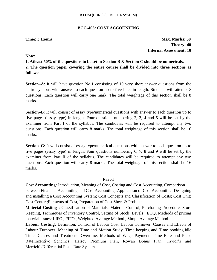### **BCG-403: COST ACCOUNTING**

**Time: 3 Hours Max. Marks: 50 Theory: 40 Internal Assessment: 10**

**Note:**

**1. Atleast 50% of the questions to be set in Section B & Section C should be numericals. 2. The question paper covering the entire course shall be divided into three sections as** 

**follows:**

**Section–A**: It will have question No.1 consisting of 10 very short answer questions from the entire syllabus with answer to each question up to five lines in length. Students will attempt 8 questions. Each question will carry one mark. The total weightage of this section shall be 8 marks.

**Section–B**: It will consist of essay type/numerical questions with answer to each question up to five pages (essay type) in length. Four questions numbering 2, 3, 4 and 5 will be set by the examiner from Part I of the syllabus. The candidates will be required to attempt any two questions. Each question will carry 8 marks. The total weightage of this section shall be 16 marks.

**Section–C**: It will consist of essay type/numerical questions with answer to each question up to five pages (essay type) in length. Four questions numbering 6, 7, 8 and 9 will be set by the examiner from Part II of the syllabus. The candidates will be required to attempt any two questions. Each question will carry 8 marks. The total weightage of this section shall be 16 marks.

### **Part-I**

**Cost Accounting:** Introduction, Meaning of Cost, Costing and Cost Accounting, Comparison between Financial Accounting and Cost Accounting; Application of Cost Accounting; Designing and installing a Cost Accounting System; Cost Concepts and Classification of Costs; Cost Unit; Cost Center ;Elements of Cost, Preparation of Cost Sheet & Problems.

**Material Costing :** Classification of Materials, Material Control, Purchasing Procedure, Store Keeping, Techniques of Inventory Control, Setting of Stock Levels , EOQ, Methods of pricing material issues: LIFO , FIFO , Weighted Average Method , SimpleAverage Method.

**Labour Costing:** Definition, Control of Labour Cost, Labour Turnover, Causes and Effects of Labour Turnover, Meaning of Time and Motion Study, Time keeping and Time booking,Idle Time, Causes and Treatment, Overtime, Methods of Wage Payment: Time Rate and Piece Rate, Incentive Schemes: Halsey Premium Plan, Rowan Bonus Plan, Taylor's and Merrick"sDifferential Piece Rate System.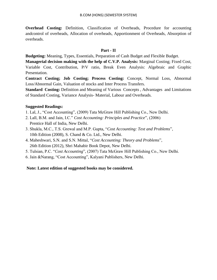**Overhead Costing:** Definition, Classification of Overheads, Procedure for accounting andcontrol of overheads, Allocation of overheads, Apportionment of Overheads, Absorption of overheads.

# **Part - II**

**Budgeting:** Meaning, Types, Essentials, Preparation of Cash Budget and Flexible Budget.

**Managerial decision making with the help of C.V.P. Analysis:** Marginal Costing; Fixed Cost, Variable Cost, Contribution, P/V ratio, Break Even Analysis: Algebraic and Graphic Presentation.

**Contract Costing; Job Costing; Process Costing:** Concept, Normal Loss, Abnormal Loss/Abnormal Gain, Valuation of stocks and Inter Process Transfers.

**Standard Costing:** Definition and Meaning of Various Concepts, Advantages and Limitations of Standard Costing, Variance Analysis- Material, Labour and Overheads.

# **Suggested Readings:**

- 1. Lal, J., "Cost Accounting", (2009) Tata McGraw Hill Publishing Co., New Delhi.
- 2. Lall, B.M. and Jain, I.C." *Cost Accounting: Principles and Practice*", (2006) Prentice Hall of India, New Delhi.
- 3. Shukla, M.C., T.S. Grewal and M.P. Gupta, "*Cost Accounting: Text and Problems*", 10th Edition (2008), S. Chand & Co. Ltd., New Delhi.
- 4. Maheshwari, S.N. and S.N. Mittal, "*Cost Accounting: Theory and Problems*", 26th Edition (2012), Shri Mahabir Book Depot, New Delhi.
- 5. Tulsian, P.C. "*Cost Accounting*", (2007) Tata McGraw Hill Publishing Co., New Delhi.
- 6. Jain &Narang, "Cost Accounting", Kalyani Publishers, New Delhi.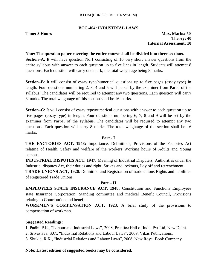# **BCG-404: INDUSTRIAL LAWS**

**Time: 3 Hours Max. Marks: 50 Theory: 40 Internal Assessment: 10**

# **Note: The question paper covering the entire course shall be divided into three sections.**

**Section–A**: It will have question No.1 consisting of 10 very short answer questions from the entire syllabus with answer to each question up to five lines in length. Students will attempt 8 questions. Each question will carry one mark; the total weightage being 8 marks.

**Section–B**: It will consist of essay type/numerical questions up to five pages (essay type) in length. Four questions numbering 2, 3, 4 and 5 will be set by the examiner from Part-I of the syllabus. The candidates will be required to attempt any two questions. Each question will carry 8 marks. The total weightage of this section shall be 16 marks.

**Section–C**: It will consist of essay type/numerical questions with answer to each question up to five pages (essay type) in length. Four questions numbering 6, 7, 8 and 9 will be set by the examiner from Part-II of the syllabus. The candidates will be required to attempt any two questions. Each question will carry 8 marks. The total weightage of the section shall be 16 marks.

# **Part - I**

**THE FACTORIES ACT, 1948:** Importance, Definitions, Provisions of the Factories Act relating of Health, Safety and welfare of the workers Working hours of Adults and Young persons.

**INDUSTRIAL DISPUTES ACT, 1947:** Meaning of Industrial Disputers, Authorities under the Industrial disputes Act, their duties and right, Strikes and lockouts, Lay off and retrenchment.

**TRADE UNIONS ACT, 1926**: Definition and Registration of trade unions Rights and liabilities of Registered Trade Unions.

# **Part – II**

**EMPLOYEES STATE INSURANCE ACT, 1948:** Constitution and Functions Employees state Insurance Corporation, Standing committee and medical Benefit Council, Provisions relating to Contribution and benefits.

**WORKMEN'S COMPENSATION ACT**, **1923**: A brief study of the provisions to compensation of workman.

# **Suggested Readings:**

1. Padhi, P.K., "Labour and Industrial Laws", 2008, Prentice Hall of India Pvt Ltd, New Delhi.

2. Srivastava, S.C., "Industrial Relations and Labour Laws", 2009, Vikas Publications.

3. Shukla, R.K., "Industrial Relations and Labour Laws", 2006, New Royal Book Company.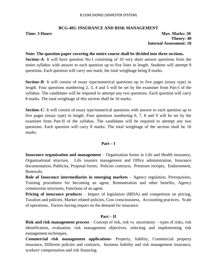# **BCG-405: INSURANCE AND RISK MANAGEMENT**

**Time: 3 Hours Max. Marks: 50 Theory: 40 Internal Assessment: 10**

## **Note: The question paper covering the entire course shall be divided into three sections.**

**Section–A**: It will have question No.1 consisting of 10 very short answer questions from the entire syllabus with answer to each question up to five lines in length. Students will attempt 8 questions. Each question will carry one mark; the total weightage being 8 marks.

**Section–B**: It will consist of essay type/numerical questions up to five pages (essay type) in length. Four questions numbering 2, 3, 4 and 5 will be set by the examiner from Part-I of the syllabus. The candidates will be required to attempt any two questions. Each question will carry 8 marks. The total weightage of this section shall be 16 marks.

**Section–C**: It will consist of essay type/numerical questions with answer to each question up to five pages (essay type) in length. Four questions numbering 6, 7, 8 and 9 will be set by the examiner from Part-II of the syllabus. The candidates will be required to attempt any two questions. Each question will carry 8 marks. The total weightage of the section shall be 16 marks.

# **Part – I**

**Insurance organization and management** – Organisation forms in Life and Health insurance, Organisational structure, Life insurers management and Office administration, Insurance documentation, Publicity, Proposal forms, Policies contracts, Premium receipts, Endorsement, Renewals.

**Role of Insurance intermediaries in emerging markets** – Agency regulation, Prerequisites, Training procedures for becoming an agent, Remuneration and other benefits, Agency commission structures, Functions of an agent.

**Pricing of insurance products** – Impact of legislation (IRDA) and competition on pricing, Taxation and policies, Market related policies, Cost consciousness, Accounting practices, Scale of operations, Factors having impact on the demand for insurance

# **Part – II**

**Risk and risk management process** – Concept of risk, risk vs. uncertainty – types of risks, risk identification, evaluation, risk management objectives, selecting and implementing risk management techniques.

**Commercial risk management applications**- Property, liability, Commercial property insurance, Different policies and contracts, business liability and risk management insurance, workers' compensation and risk financing.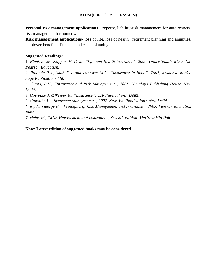**Personal risk management applications**–Property, liability-risk management for auto owners, risk management for homeowners.

**Risk management applications**- loss of life, loss of health, retirement planning and annuities, employee benefits, financial and estate planning.

# **Suggested Readings:**

1*. Black K. Jr., Skipper. H. D. Jr, "Life and Health Insurance", 2000, Upper Saddle River, NJ, Pearson Education.*

*2. Palande P.S., Shah R.S. and Lunawat M.L., "Insurance in India", 2007, Response Books, Sage Publications Ltd.*

*3. Gupta, P.K., "Insurance and Risk Management", 2005, Himalaya Publishing House, New Delhi.*

*4. Holyoake J. &Weiper B., "Insurance", CIB Publications, Delhi.*

*5. Ganguly A., "Insurance Management", 2002, New Age Publications, New Delhi.*

*6. Rejda, George E: "Principles of Risk Management and Insurance", 2005, Pearson Education India.*

*7. Heins W., "Risk Management and Insurance", Seventh Edition, McGraw Hill Pub.*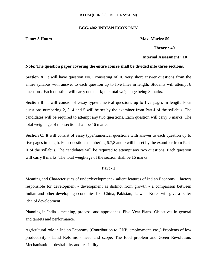### **BCG-406: INDIAN ECONOMY**

**Time: 3 Hours Max. Marks: 50** 

 **Theory : 40**

### **Internal Assessment : 10**

### **Note: The question paper covering the entire course shall be divided into three sections.**

**Section A**: It will have question No.1 consisting of 10 very short answer questions from the entire syllabus with answer to each question up to five lines in length. Students will attempt 8 questions. Each question will carry one mark; the total weightage being 8 marks.

**Section B**: It will consist of essay type/numerical questions up to five pages in length. Four questions numbering 2, 3, 4 and 5 will be set by the examiner from Part-I of the syllabus. The candidates will be required to attempt any two questions. Each question will carry 8 marks. The total weightage of this section shall be 16 marks.

**Section C**: It will consist of essay type/numerical questions with answer to each question up to five pages in length. Four questions numbering 6,7,8 and 9 will be set by the examiner from Part-II of the syllabus. The candidates will be required to attempt any two questions. Each question will carry 8 marks. The total weightage of the section shall be 16 marks.

### **Part - I**

Meaning and Characteristics of underdevelopment - salient features of Indian Economy – factors responsible for development - development as distinct from growth - a comparison between Indian and other developing economies like China, Pakistan, Taiwan, Korea will give a better idea of development.

Planning in India - meaning, process, and approaches. Five Year Plans- Objectives in general and targets and performance.

Agricultural role in Indian Economy (Contribution to GNP, employment, etc.,) Problems of low productivity - Land Reforms - need and scope. The food problem and Green Revolution; Mechanisation - desirability and feasibility.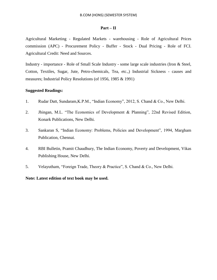## **Part – II**

Agricultural Marketing - Regulated Markets - warehousing - Role of Agricultural Prices commission (APC) - Procurement Policy - Buffer - Stock - Dual Pricing - Role of FCI. Agricultural Credit: Need and Sources.

Industry - importance - Role of Small Scale Industry - some large scale industries (Iron & Steel, Cotton, Textiles, Sugar, Jute, Petro-chemicals, Tea, etc.,) Industrial Sickness - causes and measures; Industrial Policy Resolutions (of 1956, 1985 & 1991)

### **Suggested Readings:**

- 1. Rudar Datt, Sundaram,K.P.M., "Indian Economy", 2012, S. Chand & Co., New Delhi.
- 2. Jhingan, M.L. "The Economics of Development & Planning", 22nd Revised Edition, Konark Publications, New Delhi.
- 3. Sankaran S, "Indian Economy: Problems, Policies and Development", 1994, Margham Publication, Chennai.
- 4. RBI Bulletin, Pramit Chaudhury, The Indian Economy, Poverty and Development, Vikas Publishing House, New Delhi.
- 5. Velayutham, "Foreign Trade, Theory & Practice", S. Chand & Co., New Delhi.

### **Note: Latest edition of text book may be used.**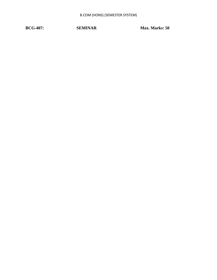**BCG-407:** SEMINAR Max. Marks: 50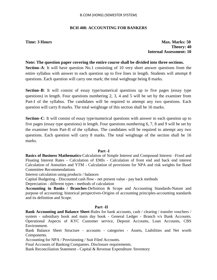### B.COM (HONS) (SEMESTER SYSTEM)

## **BCH 408: ACCOUNTING FOR BANKERS**

**Time: 3 Hours Max. Marks: 50 Theory: 40 Internal Assessment: 10**

### **Note: The question paper covering the entire course shall be divided into three sections.**

**Section–A**: It will have question No.1 consisting of 10 very short answer questions from the entire syllabus with answer to each question up to five lines in length. Students will attempt 8 questions. Each question will carry one mark; the total weightage being 8 marks.

**Section–B**: It will consist of essay type/numerical questions up to five pages (essay type questions) in length. Four questions numbering 2, 3, 4 and 5 will be set by the examiner from Part-I of the syllabus. The candidates will be required to attempt any two questions. Each question will carry 8 marks. The total weightage of this section shall be 16 marks.

**Section–C**: It will consist of essay type/numerical questions with answer to each question up to five pages (essay type questions) in length. Four questions numbering 6, 7, 8 and 9 will be set by the examiner from Part-II of the syllabus. The candidates will be required to attempt any two questions. Each question will carry 8 marks. The total weightage of the section shall be 16 marks.

### **Part -I**

**Basics of Business Mathematics**-Calculation of Simple Interest and Compound Interest –Fixed and Floating Interest Rates - Calculation of EMIs - Calculation of front end and back end interest Calculation of Annuities and YTM - Calculation of provisions for NPA and risk weights for Basel Committee Recommendations

Interest calculation using products / balances

Capital Budgeting - Discounted cash flow - net present value - pay back methods

Depreciation - different types - methods of calculation

**Accounting in Banks / Branches**-Definition & Scope and Accounting Standards-Nature and purpose of accounting; historical perspectives-Origins of accounting principles-accounting standards and its definition and Scope.

### **Part -II**

**Bank Accounting and Balance Sheet**-Rules for bank accounts, cash / clearing / transfer vouchers / system - subsidiary book and main day book - General Ledger - Branch v/s Bank Accounts. Operational Aspects of KYC Customer service, Deposit Accounts, Loan Accounts, CBS Environment.

Bank Balance Sheet Structure - accounts - categories - Assets, Liabilities and Net worth Components.

Accounting for NPA / Provisioning / Suit Filed Accounts.

Final Accounts of Banking Companies. Disclosure requirements.

Bank Reconciliation Statement - Capital & Revenue Expenditure /Inventory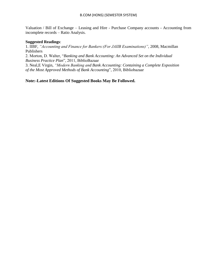Valuation / Bill of Exchange – Leasing and Hire - Purchase Company accounts - Accounting from incomplete records – Ratio Analysis.

### **Suggested Readings**:

1. IIBF, *"Accounting and Finance for Bankers:(For JAIIB Examinations)"*, 2008, Macmillan Publishers

2. Morton, D. Walter, "*Banking and Bank Accounting: An Advanced Set on the Individual Business Practice Plan*", 2011, BiblioBazaar

3. Neal,E Virgin, *"Modern Banking and Bank Accounting: Containing a Complete Exposition of the Most Approved Methods of Bank Accounting*", 2010, Bibliobazaar

**Note:-Latest Editions Of Suggested Books May Be Followed.**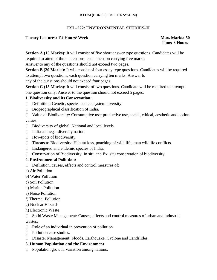# **ESL–222: ENVIRONMENTAL STUDIES–II**

# **Theory Lectures: 1½ Hours/ Week Max. Marks: 50**

 **Time: 3 Hours**

**Section A (15 Marks):** It will consist of five short answer type questions. Candidates will be required to attempt three questions, each question carrying five marks.

Answer to any of the questions should not exceed two pages.

Section B (20 Marks): It will consist of four essay type questions. Candidates will be required to attempt two questions, each question carrying ten marks. Answer to

any of the questions should not exceed four pages.

**Section C (15 Marks):** It will consist of two questions. Candidate will be required to attempt one question only. Answer to the question should not exceed 5 pages.

# **1. Biodiversity and its Conservation:**

- Definition: Genetic, species and ecosystem diversity.
- $\Box$  Biogeographical classification of India.

 Value of Biodiversity: Consumptive use; productive use, social, ethical, aesthetic and option values.

- $\Box$  Biodiversity of global, National and local levels.
- $\Box$  India as mega-diversity nation.
- $\Box$  Hot–spots of biodiversity.
- □ Threats to Biodiversity: Habitat loss, poaching of wild life, man wildlife conflicts.
- Endangered and endemic species of India.
- $\Box$  Conservation of Biodiversity: In situ and Ex–situ conservation of biodiversity.

# **2. Environmental Pollution:**

- $\Box$  Definition, causes, effects and control measures of:
- a) Air Pollution
- b) Water Pollution
- c) Soil Pollution
- d) Marine Pollution
- e) Noise Pollution
- f) Thermal Pollution
- g) Nuclear Hazards
- h) Electronic Waste

 Solid Waste Management: Causes, effects and control measures of urban and industrial wastes.

- $\Box$  Role of an individual in prevention of pollution.
- $\Box$  Pollution case studies.
- Disaster Management: Floods, Earthquake, Cyclone and Landslides.

# **3. Human Population and the Environment**

 $\Box$  Population growth, variation among nations.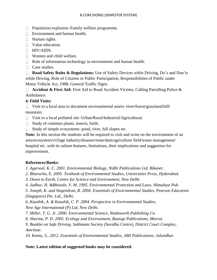- □ Population explosion–Family welfare programme.
- Environment and human health.
- **Human rights.**
- Value education.
- **HIV/AIDS.**
- Women and child welfare.
- Role of information technology in environment and human health.
- □ Case studies.

□ **Road Safety Rules & Regulations:** Use of Safety Devices while Driving, Do's and Don'ts while Driving, Role of Citizens or Public Participation, Responsibilities of Public under Motor Vehicle Act, 1988, General Traffic Signs.

□ **Accident & First Aid:** First Aid to Road Accident Victims, Calling Patrolling Police & Ambulance.

# **4. Field Visits:**

 $\Box$  Visit to a local area to document environmental assets–river/forest/grassland/hill/ mountain.

- Visit to a local polluted site–Urban/Rural/Industrial/Agricultural.
- $\Box$  Study of common plants, insects, birds.
- $\Box$  Study of simple ecosystems–pond, river, hill slopes etc.

**Note:** In this section the students will be required to visit and write on the environment of an area/ecosystem/vi1lage industry/disaster/mine/dam/agriculture field/waste management/ hospital etc. with its salient features, limitations, their implications and suggestion for improvement.

# **References/Books:**

*1. Agarwal, K. C. 2001. Environmental Biology, Nidhi Publications Ltd. Bikaner.*

- *2. Bharucha, E. 2005. Textbook of Environmental Studies, Universities Press, Hyderabad.*
- *3. Down to Earth, Centre for Science and Environment, New Delhi.*
- *4. Jadhav, H. &Bhosale, V. M. 1995. Environmental Protection and Laws. Himalaya Pub.*
- *5. Joseph, K. and Nagendran, R. 2004. Essentials of Environmental Studies, Pearson Education (Singapore) Pte. Ltd., Delhi.*
- *6. Kaushik, A. & Kaushik, C. P. 2004. Perspective in Environmental Studies, New Age International (P) Ltd, New Delhi.*
- *7. Miller, T. G. Jr. 2000. Environmental Science, Wadsworth Publishing Co.*
- *8. Sharma, P. D. 2005. Ecology and Environment, Rastogi Publications, Meerut.*

*9. Booklet on Safe Driving. Sukhmani Society (Suvidha Centre), District Court Complex, Amritsar.*

*10. Kanta, S., 2012. Essentials of Environmental Studies, ABS Publications, Jalandhar.*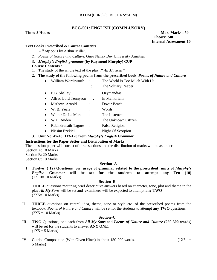#### B.COM (HONS) (SEMESTER SYSTEM)

#### **BCG-501: ENGLISH (COMPLUSORY)**

**Time: 3 Hours Max. Marks : 50 Max. Marks : 50 Theory :40 Internal Assessment:10**

#### **Text Books Prescribed & Course Contents**

- 1. *All My Sons* by Arthur Miller.
- *2. Poems of Nature and Culture,* Guru Nanak Dev University Amritsar
- **3.** *Murphy's English grammar* **(by Raymond Murphy) CUP**

#### **Course Contents :**

- 1. The study of the whole text of the play ,*" All My Sons"*
- **2. The study of the following poems from the prescribed book** *Poems of Nature and Culture*
	- William Wordsworth : The World Is Too Much With Us
		- : The Solitary Reaper
	- P.B. Shelley : Ozymandias
	- Alfred Lord Tennyson : In Memoriam
	- Mathew Arnold : Dover Beach
	- W. B. Yeats : Words
	- Walter De La Mare : The Listeners
	- W.H. Auden : The Unknown Citizen
	- Rabindranath Tagore : False Religion
	- Nissim Ezekiel : Night Of Scorpion

#### **3. Unit No. 47-48, 113-120 from** *Murphy's English Grammar*

#### **Instructions for the Paper Setter and Distribution of Marks:**

The question paper will consist of three sections and the distribution of marks will be as under:

Section A: 10 Marks Section B: 20 Marks

Section C: 10 Marks

#### **Section–A**

1. **Twelve ( 12) Questions on usage of grammar related to the prescribed units of** *Murphy's English Grammar* **will be set for the students to attempt any Ten (10)**  (1X10= 10 Marks)

#### **Section–B**

- I. **THREE** questions requiring brief descriptive answers based on character, tone, plot and theme in the play *All My Sons* will be set and examinees will be expected to attempt **any TWO**   $(2X5=10 \text{ Marks})$
- II. **THREE** questions on central idea, theme, tone or style etc. of the prescribed poems from the textbook, *Poems of Nature and Culture* will be set for the students to attempt **any TWO** questions.  $(2X5 = 10 \text{ Marks})$

#### **Section–C**

- III. **TWO** Questions, one each from *All My Sons* and *Poems of Nature and Culture* **(250-300 words)** will be set for the students to answer **ANY ONE.**   $(1X5 = 5 Marks)$
- IV. Guided Composition (With Given Hints) in about 150-200 words.  $(1X5 =$ 5 Marks)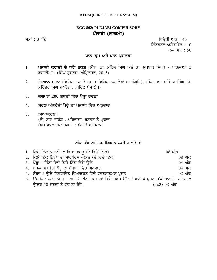# **BCG-502: PUNJABI COMPULSORY** ਪੰਜਾਬੀ (ਲਾਜ਼ਮੀ)

ਸਮਾਂ : 3 ਘੰਟੇ ਪਰਿਆ ਤੇ ਕਿਉਰੀ ਅੰਕ : 40 ਇੰਟਰਨਲ ਅਸੈੱਸਮੈਂਟ $\,$  :  $\,$  10  $\,$ ਕਲ ਅੰਕ : 50

## ਪਾਠ-ਕ੍ਰਮ ਅਤੇ ਪਾਠ-ਪੁਸਤਕਾਂ

- 1. ਪੰਜਾਬੀ ਕਹਾਣੀ ਦੇ ਨਵੇ<sup>:</sup> ਨਕਸ਼ (ਸੰਪਾ. ਡਾ. ਮਹਿਲ ਸਿੰਘ ਅਤੇ ਡਾ. ਸੁਖਬੀਰ ਸਿੰਘ) ਪਹਿਲੀਆਂ ਛੇ ਕਹਾਣੀਆਂ। (ਸਿੰਘ ਬੁਦਰਜ਼, ਅੰਮ੍ਰਿਤਸਰ, 2015)
- 2. **ਗਿਆਨ ਮਾਲਾ** (ਵਿਗਿਆਨਕ ਤੇ ਸਮਾਜ-ਵਿਗਿਆਨਕ ਲੇਖਾਂ ਦਾ ਸੰਗੁਹਿ), (ਸੰਪਾ. ਡਾ. ਸਤਿੰਦਰ ਸਿੰਘ, ਪ੍ਰੋ. ਮਹਿੰਦਰ ਸਿੰਘ ਬਨਵੈਤ), (ਪਹਿਲੇ ਪੰਜ ਲੇਖ)
- 3. **ਲਗਪਗ 200 ਸ਼ਬਦਾਂ ਵਿਚ ਪੈਰ੍ਹਾ ਰਚਨਾ**
- 4. **ਸਰਲ ਅੰਗਰੇਜ਼ੀ ਪੈਰ੍ਹੇ ਦਾ ਪੰਜਾਬੀ ਵਿਚ ਅਨੁਵਾਦ**

# 5. **ਵਿਆਕਰਣ** : (ੳ) ਨਾਂਵ ਵਾਕੰਸ਼ : ਪਰਿਭਾਸ਼ਾ, ਬਣਤਰ ਤੇ ਪ੍ਰਕਾਰ

 $(M)$  ਵਾਕਾਤਮਕ ਜਗਤਾਂ: ਮੇਲ ਤੇ ਅਧਿਕਾਰ

# ਅੰਕ-ਵੰਡ ਅਤੇ ਪਰੀਖਿਅਕ ਲਈ ਹਦਾਇਤਾ<u>ਂ</u>

| 1. ਕਿਸੇ ਇੱਕ ਕਹਾਣੀ ਦਾ ਵਿਸ਼ਾ-ਵਸਤੂ (ਦੋ ਵਿਚੋਂ ਇੱਕ)                                               | $08 \nvert \nmid \mathsf{M} \mathsf{R}$       |
|----------------------------------------------------------------------------------------------|-----------------------------------------------|
| 2. ਕਿਸੇ ਇੱਕ ਨਿਬੰਧ ਦਾ ਸਾਰ/ਵਿਸ਼ਾ-ਵਸਤੂ (ਦੋ ਵਿਚੋ ਇੱਕ)                                            | $08 \nvert \nmid \mathbf{w} \nmid \mathbf{w}$ |
| 3. ਪੈਰ੍ਹਾ : ਤਿੰਨਾਂ ਵਿਚੋ ਕਿਸੇ ਇੱਕ ਵਿਸ਼ੇ ਉੱਤੇ                                                  | $04 \n m\bar{\alpha}$                         |
| 4. ਸਰਲ ਅੰਗਰੇਜ਼ੀ ਪੈਰ੍ਹੇ ਦਾ ਪੰਜਾਬੀ ਵਿਚ ਅਨੁਵਾਦ                                                  | $04 \n m\overline{\alpha}$                    |
| 5. ਨੰਬਰ 5 ਉੱਤੇ ਨਿਰਧਾਰਿਤ ਵਿਆਕਰਣ ਵਿਚੋ ਵਰਣਨਾਤਮਕ ਪ੍ਰਸ਼ਨ                                          | $08 \n m\bar{\alpha}$                         |
| 6. ਉਪਰੋਕਤ ਲੜੀ ਨੰਬਰ 1 ਅਤੇ 2 ਦੀਆਂ ਪੁਸਤਕਾਂ ਵਿਚੋ ਸੰਖੇਪ ਉੱਤਰਾਂ ਵਾਲੇ 4 ਪ੍ਰਸ਼ਨ ਪੁੱਛੇ ਜਾਣਗੇ। ਹਰੇਕ ਦਾ |                                               |
| ਉੱਤਰ 50 ਸ਼ਬਦਾਂ ਤੋ ਵੱਧ ਨਾ ਹੋਵੇ।                                                               | (4x2) 08 ਅੰਕ                                  |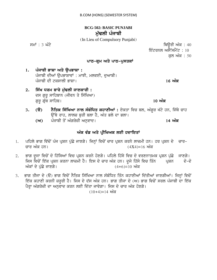# **BCG-502: BASIC PUNJABI**  ਮੱਢਲੀ ਪੰਜਾਬੀ

(In Lieu of Compulsory Punjabi)

smW : 3 GMty iQaUrI AMk : 40 ਇੰਟਰਨਲ ਅਸੈੱਸਮੈਂਟ :  $10^{-1}$ ਕਲ ਅੰਕ : 50

## **ਪਾਠ-ਕੁਮ ਅਤੇ ਪਾਠ-ਪਸਤਕਾਂ**

1. ਪੰਜਾਬੀ ਭਾਸ਼ਾ ਅਤੇ **ੳਪਭਾਸ਼ਾ** : ਪੰਜਾਬੀ ਦੀਆਂ ਉਪਭਾਸ਼ਾਵਾਂ: ਮਾਝੀ, ਮਲਵਈ, ਦਆਬੀ। pMjwbI dI tkswlI BwSw[ **16 AMk**

2. ਸਿੱਖ ਧਰਮ ਬਾਰੇ ਮੁੱਢਲੀ ਜਾਣਕਾਰੀ : ਦਸ ਗੁਰੂ ਸਾਹਿਬਾਨ (ਜੀਵਨ ਤੇ ਸਿੱਖਿਆ) gurU gRMQ swihb[ **10 AMk**

- 3. **(ੳ) ਨੈਤਿਕ ਸਿੱਖਿਆ ਨਾਲ ਸੰਬੰਧਿਤ ਕਹਾਣੀਆਂ :** ਏਕਤਾ ਵਿਚ ਬਲ, ਅੰਗਰ ਖੱਟੇ ਹਨ, ਜਿੱਥੇ ਚਾਹ ਉੱਥੇ ਰਾਹ, ਲਾਲਚ ਬਰੀ ਬਲਾ ਹੈ, ਅੰਤ ਭਲੇ ਦਾ ਭਲਾ।
	- **(A)** pMjwbI qoN AMgryzI Anuvwd[ **14 AMk**

# ਅੰਕ ਵੰਡ ਅਤੇ ਪ੍ਰੀਖਿਅਕ ਲਈ **ਹਦਾਇਤਾਂ**

- 1. ਪਹਿਲੇ ਭਾਗ ਵਿੱਚੋਂ ਪੰਜ ਪ੍ਰਸ਼ਨ ਪੁੱਛੇ ਜਾਣਗੇ। ਜਿਨ੍ਹਾਂ ਵਿਚੋਂ ਚਾਰ ਪ੍ਰਸ਼ਨ ਕਰਨੇ ਲਾਜ਼ਮੀ ਹਨ। ਹਰ ਪ੍ਰਸ਼ਨ ਦੇ ਚਾਰ-ਜ਼ਾਰ ਅੰਕ ਹਨ।  $(4X4)$ =16 ਅੰਕ
- 2. ਭਾਗ ਦਜਾ ਵਿਚੋਂ ਦੋ ਹਿੱਸਿਆਂ ਵਿਚ ਪੁਸ਼ਨ ਕਰਨੇ ਹੋਣਗੇ। ਪਹਿਲੇ ਹਿੱਸੇ ਵਿਚ ਦੋ ਵਰਣਨਾਤਮਕ ਪੁਸ਼ਨ ਪੱਛੇ ਜਾਣਗੇ। ਜਿਸ ਵਿਚੋਂ ਇੱਕ ਪ੍ਰਸ਼ਨ ਕਰਨਾ ਲਾਜ਼ਮੀ ਹੈ। ਇਸ ਦੇ ਚਾਰ ਅੰਕ ਹਨ। ਦੂਜੇ ਹਿੱਸੇ ਵਿਚ ਤਿੰਨ ਪ੍ਰਸ਼ਨ ਦੋ-ਦੋ ਅੰਕਾਂ ਦੇ ਪੱਛੇ ਜਾਣਗੇ।  $(4+6)=10$  ਅੰਕ
- 3. ਭਾਗ ਤੀਜਾ ਦੇ (ੳ) ਭਾਗ ਵਿਚੋਂ ਨੈਤਿਕ ਸਿੱਖਿਆ ਨਾਲ ਸੰਬੰਧਿਤ ਤਿੰਨ ਕਹਾਣੀਆਂ ਦਿੱਤੀਆਂ ਜਾਣਗੀਆਂ। ਜਿਨ੍ਹਾਂ ਵਿਚੋਂ ਇੱਕ ਕਹਾਣੀ ਕਰਨੀ ਜ਼ਰੂਰੀ ਹੈ। ਜਿਸ ਦੇ ਦੱਸ ਅੰਕ ਹਨ। ਭਾਗ ਤੀਜਾ ਦੇ (ਅ) ਭਾਗ ਵਿਚੋਂ ਸਰਲ ਪੰਜਾਬੀ ਦਾ ਇੱਕ ਪੈਰ੍ਹਾ ਅੰਗਰੇਜ਼ੀ ਦਾ ਅਨੁਵਾਦ ਕਰਨ ਲਈ ਦਿੱਤਾ ਜਾਵੇਗਾ। ਜਿਸ ਦੇ ਚਾਰ ਅੰਕ ਹੋਣਗੇ।  $(10+4)=14$  ਅੰਕ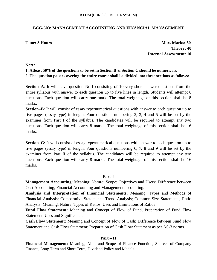# **BCG-503: MANAGEMENT ACCOUNTING AND FINANCIAL MANAGEMENT**

**Time: 3 Hours Max. Marks: 50 Theory: 40 Internal Assessment: 10**

#### **Note:**

# **1. Atleast 50% of the questions to be set in Section B & Section C should be numericals.**

**2. The question paper covering the entire course shall be divided into three sections as follows:**

**Section–A**: It will have question No.1 consisting of 10 very short answer questions from the entire syllabus with answer to each question up to five lines in length. Students will attempt 8 questions. Each question will carry one mark. The total weightage of this section shall be 8 marks.

**Section–B**: It will consist of essay type/numerical questions with answer to each question up to five pages (essay type) in length. Four questions numbering 2, 3, 4 and 5 will be set by the examiner from Part I of the syllabus. The candidates will be required to attempt any two questions. Each question will carry 8 marks. The total weightage of this section shall be 16 marks.

**Section–C**: It will consist of essay type/numerical questions with answer to each question up to five pages (essay type) in length. Four questions numbering 6, 7, 8 and 9 will be set by the examiner from Part II of the syllabus. The candidates will be required to attempt any two questions. Each question will carry 8 marks. The total weightage of this section shall be 16 marks.

# **Part-I**

**Management Accounting:** Meaning; Nature; Scope; Objectives and Users; Difference between Cost Accounting, Financial Accounting and Management accounting.

**Analysis and Interpretation of Financial Statements:** Meaning; Types and Methods of Financial Analysis; Comparative Statements; Trend Analysis; Common Size Statements; Ratio Analysis: Meaning, Nature, Types of Ratios, Uses and Limitations of Ratios

**Fund Flow Statement:** Meaning and Concept of Flow of Fund, Preparation of Fund Flow Statement, Uses and Significance.

**Cash Flow Statement:** Meaning and Concept of Flow of Cash; Difference between Fund Flow Statement and Cash Flow Statement; Preparation of Cash Flow Statement as per AS-3 norms.

# **Part – II**

**Financial Management:** Meaning, Aims and Scope of Finance Function, Sources of Company Finance, Long Term and Short Term, Dividend Policy and Models.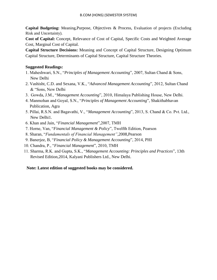**Capital Budgeting:** Meaning,Purpose, Objectives & Process, Evaluation of projects (Excluding Risk and Uncertainty).

**Cost of Capital:** Concept, Relevance of Cost of Capital, Specific Costs and Weighted Average Cost, Marginal Cost of Capital.

**Capital Structure Decisions:** Meaning and Concept of Capital Structure, Designing Optimum Capital Structure, Determinants of Capital Structure, Capital Structure Theories.

# **Suggested Readings:**

- 1. Maheshwari, S.N., "*Principles of Management Accounting*", 2007, Sultan Chand & Sons, New Delhi
- 2. Vashisht, C.D. and Sexana, V.K., "*Advanced Management Accounting*", 2012, Sultan Chand & "Sons, New Delhi
- 3. Gowda, J.M., "*Management Accounting*", 2010, Himalaya Publishing House, New Delhi.
- 4. Manmohan and Goyal, S.N., "*Principles of Management Accounting*", Shakithabhavan Publication, Agra
- 5. Pillai, R.S.N. and Bagavathi, V., "*Management Accounting*", 2013, S. Chand & Co. Pvt. Ltd., New Delhi1.
- 6. Khan and Jain, "*Financial Management*",2007, TMH
- 7. Horne, Van, "*Financial Management & Policy*", Twelfth Edition, Pearson
- 8. Sharan, "*Fundamentals of Financial Management"*,2008,Pearson
- 9. Banerjee, B, "*Financial Policy & Management Accounting*", 2014, PHI
- 10. Chandra, P., "*Financial Management*", 2010, TMH
- 11. Sharma, R.K. and Gupta, S.K., "*Management Accounting: Principles and Practices*", 13th Revised Edition,2014, Kalyani Publishers Ltd., New Delhi.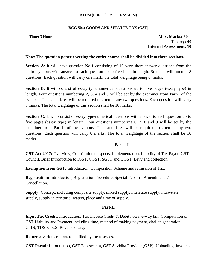#### B.COM (HONS) (SEMESTER SYSTEM)

#### **BCG 504: GOODS AND SERVICE TAX (GST)**

**Time: 3 Hours Max. Marks: 50 Theory: 40 Internal Assessment: 10**

## **Note: The question paper covering the entire course shall be divided into three sections.**

**Section–A**: It will have question No.1 consisting of 10 very short answer questions from the entire syllabus with answer to each question up to five lines in length. Students will attempt 8 questions. Each question will carry one mark; the total weightage being 8 marks.

**Section–B**: It will consist of essay type/numerical questions up to five pages (essay type) in length. Four questions numbering 2, 3, 4 and 5 will be set by the examiner from Part-I of the syllabus. The candidates will be required to attempt any two questions. Each question will carry 8 marks. The total weightage of this section shall be 16 marks.

**Section–C**: It will consist of essay type/numerical questions with answer to each question up to five pages (essay type) in length. Four questions numbering 6, 7, 8 and 9 will be set by the examiner from Part-II of the syllabus. The candidates will be required to attempt any two questions. Each question will carry 8 marks. The total weightage of the section shall be 16 marks.

## **Part – I**

**GST Act 2017:** Overview, Constitutional aspects, Implementation, Liability of Tax Payer, GST Council, Brief Introduction to IGST, CGST, SGST and UGST. Levy and collection.

**Exemption from GST:** Introduction, Composition Scheme and remission of Tax.

**Registration:** Introduction, Registration Procedure, Special Persons, Amendments / Cancellation.

**Supply:** Concept, including composite supply, mixed supply, interstate supply, intra-state supply, supply in territorial waters, place and time of supply.

## **Part-II**

**Input Tax Credit:** Introduction, Tax Invoice Credit & Debit notes, e-way bill. Computation of GST Liability and Payment including time, method of making payment, challan generation, CPIN, TDS &TCS. Reverse charge.

**Returns:** various returns to be filed by the assesses.

**GST Portal:** Introduction, GST Eco-system, GST Suvidha Provider (GSP), Uploading Invoices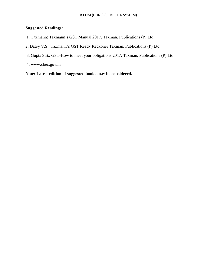# **Suggested Readings:**

- 1. Taxmann: Taxmann"s GST Manual 2017. Taxman, Publications (P) Ltd.
- 2. Datey V.S., Taxmann"s GST Ready Reckoner Taxman, Publications (P) Ltd.
- 3. Gupta S.S., GST-How to meet your obligations 2017. Taxman, Publications (P) Ltd.
- 4. www.cbec.gov.in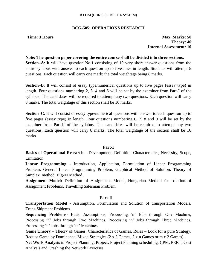## **BCG-505: OPERATIONS RESEARCH**

**Time: 3 Hours Max. Marks: 50 Theory: 40 Internal Assessment: 10**

#### **Note: The question paper covering the entire course shall be divided into three sections.**

**Section–A**: It will have question No.1 consisting of 10 very short answer questions from the entire syllabus with answer to each question up to five lines in length. Students will attempt 8 questions. Each question will carry one mark; the total weightage being 8 marks.

**Section–B**: It will consist of essay type/numerical questions up to five pages (essay type) in length. Four questions numbering 2, 3, 4 and 5 will be set by the examiner from Part-I of the syllabus. The candidates will be required to attempt any two questions. Each question will carry 8 marks. The total weightage of this section shall be 16 marks.

**Section–C**: It will consist of essay type/numerical questions with answer to each question up to five pages (essay type) in length. Four questions numbering 6, 7, 8 and 9 will be set by the examiner from Part-II of the syllabus. The candidates will be required to attempt any two questions. Each question will carry 8 marks. The total weightage of the section shall be 16 marks.

## **Part-I**

**Basics of Operational Research** – Development, Definition Characteristics, Necessity, Scope, Limitation.

**Linear Programming** - Introduction, Application, Formulation of Linear Programming Problem, General Linear Programming Problem, Graphical Method of Solution. Theory of Simplex method, Big-M Method.

**Assignment Model:** Definition of Assignment Model, Hungarian Method for solution of Assignment Problems, Travelling Salesman Problem.

## **Part-II**

**Transportation Model** - Assumption, Formulation and Solution of transportation Models, Trans-Shipment Problems.

**Sequencing Problems-** Basic Assumptions, Processing "n" Jobs through One Machine, Processing "n" Jobs through Two Machines, Processing "n" Jobs through Three Machines, Processing 'n' Jobs through 'm' Machines.

**Game Theory** – Theory of Games, Characteristics of Games, Rules – Look for a pure Strategy, Reduce Game by Dominance, Mixed Strategies (2 x 2 Games, 2 x n Games or m x 2 Games).

**Net Work Analysis** in Project Planning: Project, Project Planning scheduling, CPM, PERT, Cost Analysis and Crashing the Network Exercises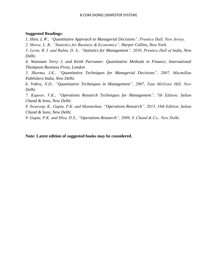#### **Suggested Readings:**

1*. Hien, L.W., "Quantitative Approach to Managerial Decisions", Prentice Hall, New Jersey.*

*2. Morse, L. B., "Statistics for Business & Economics", Harper Collins, New York.*

*3. Levin, R. I. and Rubin, D. S., "Statistics for Management", 2010, Prentice Hall of India, New Delhi.*

*4. Watsnam Terry J. and Keith Parramor: Quantitative Methods in Finance, International Thompson Business Press, London*

*5. Sharma, J.K., "Quantitative Techniques for Managerial Decisions", 2007, Macmillan Publishers India, New Delhi.*

*6. Vohra, N.D., "Quantitative Techniques in Management", 2007, Tata McGraw Hill, New Delhi.*

*7. Kapoor, V.K., "Operations Research Techniques for Management", 7th Edition, Sultan Chand & Sons, New Delhi.*

*8. Swaroop, K., Gupta, P.K. and Manmohan, "Operations Research", 2013, 18th Edition, Sultan Chand & Sons, New Delhi.*

*9. Gupta, P.K. and Hira, D.S., "Operations Research", 2009, S. Chand & Co., New Delhi.*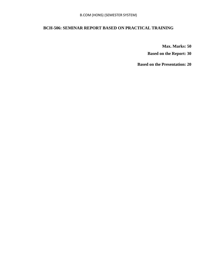# **BCH-506: SEMINAR REPORT BASED ON PRACTICAL TRAINING**

**Max. Marks: 50** 

**Based on the Report: 30**

**Based on the Presentation: 20**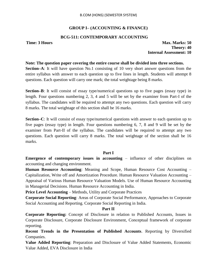# **GROUP I– (ACCOUNTING & FINANCE)**

## **BCG-511: CONTEMPORARY ACCOUNTING**

**Time: 3 Hours Max. Marks: 50 Theory: 40 Internal Assessment: 10**

#### **Note: The question paper covering the entire course shall be divided into three sections.**

**Section–A**: It will have question No.1 consisting of 10 very short answer questions from the entire syllabus with answer to each question up to five lines in length. Students will attempt 8 questions. Each question will carry one mark; the total weightage being 8 marks.

**Section–B**: It will consist of essay type/numerical questions up to five pages (essay type) in length. Four questions numbering 2, 3, 4 and 5 will be set by the examiner from Part-I of the syllabus. The candidates will be required to attempt any two questions. Each question will carry 8 marks. The total weightage of this section shall be 16 marks.

**Section–C**: It will consist of essay type/numerical questions with answer to each question up to five pages (essay type) in length. Four questions numbering 6, 7, 8 and 9 will be set by the examiner from Part-II of the syllabus. The candidates will be required to attempt any two questions. Each question will carry 8 marks. The total weightage of the section shall be 16 marks.

## **Part I**

**Emergence of contemporary issues in accounting – influence of other disciplines on** accounting and changing environment.

**Human Resource Accounting**: Meaning and Scope, Human Resource Cost Accounting – Capitalization, Write off and Amortization Procedure. Human Resource Valuation Accounting – Appraisal of Various Human Resource Valuation Models. Use of Human Resource Accounting in Managerial Decisions. Human Resource Accounting in India.

**Price Level Accounting – Methods, Utility and Corporate Practices** 

**Corporate Social Reporting**: Areas of Corporate Social Performance, Approaches to Corporate Social Accounting and Reporting. Corporate Social Reporting in India.

## **Part II**

**Corporate Reporting:** Concept of Disclosure in relation to Published Accounts, Issues in Corporate Disclosure, Corporate Disclosure Environment, Conceptual framework of corporate reporting.

**Recent Trends in the Presentation of Published Accounts**. Reporting by Diversified Companies.

**Value Added Reporting**: Preparation and Disclosure of Value Added Statements, Economic Value Added, EVA Disclosure in India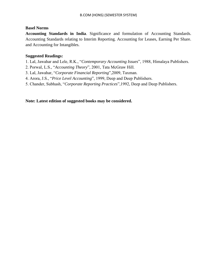## **Basel Norms**

**Accounting Standards in India**. Significance and formulation of Accounting Standards. Accounting Standards relating to Interim Reporting. Accounting for Leases, Earning Per Share. and Accounting for Intangibles.

## **Suggested Readings:**

- 1. Lal, Jawahar and Lele, R.K., "*Contemporary Accounting Issues*", 1988, Himalaya Publishers.
- 2. Porwal, L.S., "*Accounting Theory*", 2001, Tata McGraw Hill.
- 3. Lal, Jawahar, "*Corporate Financial Reporting*",2009, Taxman.
- 4. Arora, J.S., "*Price Level Accounting*", 1999, Deep and Deep Publishers.
- 5. Chander, Subhash, "*Corporate Reporting Practices*",1992, Deep and Deep Publishers.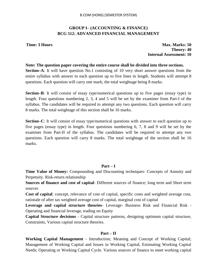# **GROUP I– (ACCOUNTING & FINANCE) BCG 512: ADVANCED FINANCIAL MANAGEMENT**

**Time: 3 Hours Max. Marks: 50 Theory: 40 Internal Assessment: 10**

#### **Note: The question paper covering the entire course shall be divided into three sections.**

**Section–A**: It will have question No.1 consisting of 10 very short answer questions from the entire syllabus with answer to each question up to five lines in length. Students will attempt 8 questions. Each question will carry one mark; the total weightage being 8 marks.

**Section–B**: It will consist of essay type/numerical questions up to five pages (essay type) in length. Four questions numbering 2, 3, 4 and 5 will be set by the examiner from Part-I of the syllabus. The candidates will be required to attempt any two questions. Each question will carry 8 marks. The total weightage of this section shall be 16 marks.

**Section–C**: It will consist of essay type/numerical questions with answer to each question up to five pages (essay type) in length. Four questions numbering 6, 7, 8 and 9 will be set by the examiner from Part-II of the syllabus. The candidates will be required to attempt any two questions. Each question will carry 8 marks. The total weightage of the section shall be 16 marks.

## **Part – I**

**Time Value of Money:** Compounding and Discounting techniques- Concepts of Annuity and Perpetuity. Risk-return relationship

**Sources of finance and cost of capital**- Different sources of finance; long term and Short term sources

**Cost of capital**: concept, relevance of cost of capital, specific costs and weighted average cost, rationale of after tax weighted average cost of capital, marginal cost of capital

**Leverage and capital structure theories**- Leverage- Business Risk and Financial Risk - Operating and financial leverage, trading on Equity

**Capital Structure decisions** - Capital structure patterns, designing optimum capital structure, Constraints, Various capital structure theories.

## **Part – II**

**Working Capital Management** - Introduction; Meaning and Concept of Working Capital; Management of Working Capital and Issues in Working Capital; Estimating Working Capital Needs; Operating or Working Capital Cycle. Various sources of finance to meet working capital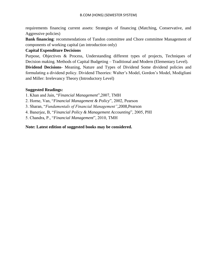requirements financing current assets: Strategies of financing (Matching, Conservative, and Aggressive policies)

**Bank financing:** recommendations of Tandon committee and Chore committee Management of components of working capital (an introduction only)

# **Capital Expenditure Decisions**

Purpose, Objectives & Process, Understanding different types of projects, Techniques of Decision making. Methods of Capital Budgeting – Traditional and Modern (Elementary Level).

**Dividend Decisions**- Meaning, Nature and Types of Dividend Some dividend policies and formulating a dividend policy. Dividend Theories: Walter"s Model, Gordon"s Model, Modigliani and Miller: Irrelevancy Theory (Introductory Level)

# **Suggested Readings:**

1. Khan and Jain, "*Financial Management*",2007, TMH

2. Horne, Van, "*Financial Management & Policy*", 2002, Pearson

3. Sharan, "*Fundamentals of Financial Management"*,2008,Pearson

4. Banerjee, B, "*Financial Policy & Management Accounting*", 2005, PHI

5. Chandra, P., "*Financial Management*", 2010, TMH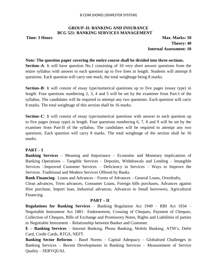## **GROUP–II: BANKING AND INSURANCE BCG 521: BANKING SERVICES MANAGEMENT**

**Time: 3 Hours Max. Marks: 50 Theory: 40 Internal Assessment: 10**

#### **Note: The question paper covering the entire course shall be divided into three sections.**

**Section–A**: It will have question No.1 consisting of 10 very short answer questions from the entire syllabus with answer to each question up to five lines in length. Students will attempt 8 questions. Each question will carry one mark; the total weightage being 8 marks.

**Section–B**: It will consist of essay type/numerical questions up to five pages (essay type) in length. Four questions numbering 2, 3, 4 and 5 will be set by the examiner from Part-I of the syllabus. The candidates will be required to attempt any two questions. Each question will carry 8 marks. The total weightage of this section shall be 16 marks.

**Section–C**: It will consist of essay type/numerical questions with answer to each question up to five pages (essay type) in length. Four questions numbering 6, 7, 8 and 9 will be set by the examiner from Part-II of the syllabus. The candidates will be required to attempt any two questions. Each question will carry 8 marks. The total weightage of the section shall be 16 marks.

# **PART – I**

**Banking Services** – Meaning and Importance – Economic and Monetary implications of Banking Operations – Tangible Services – Deposits, Withdrawals and Lending – Intangible Services –Improved Customer Services – Deficiency in Services – Ways to Improve the Services. Traditional and Modern Services Offered by Banks.

**Bank Financing**– Loans and Advances – Forms of Advances – General Loans, Overdrafts,

Clean advances, Term advances, Consumer Loans, Foreign bills purchases, Advances against Hire purchase, Import loan, Industrial advances, Advances to Small borrowers, Agricultural Financing.

## **PART – II**

**Regulations for Banking Services** – Banking Regulation Act 1949 – RBI Act 1934 – Negotiable Instrument Act 1881– Endorsement, Crossing of Cheques, Payment of Cheques, Collection of Cheques, Bills of Exchange and Promissory Notes, Rights and Liabilities of parties to Negotiable Instrument – Relationship between Banker and Customer.

**E – Banking Services** – Internet Banking, Phone Banking, Mobile Banking, ATM"s, Debit Card, Credit Cards, RTGS, NEFT.

**Banking Sector Reforms** – Basel Norms – Capital Adequacy – Globalised Challenges in Banking Services – Recent Developments in Banking Services – Measurement of Service Quality – SERVQUAL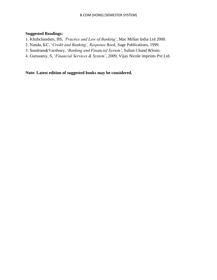# **Suggested Readings:**

- 1. Khubchandani, BS, *"Practice and Law of Banking"*, Mac Millan India Ltd 2000.
- 2. Nanda, KC, "*Credit and Banking", Response Book*, Sage Publications, 1999.
- 3. Sundram&Varshney, "*Banking and Financial System"*, Sultan Chand &Sons.
- 4. Gurusamy, S, "*Financial Services & System"*, 2009, Vijay Nicole imprints Pvt Ltd.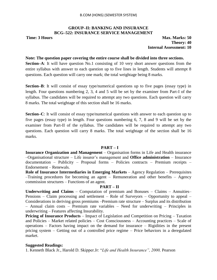## **GROUP–II: BANKING AND INSURANCE BCG–522: INSURANCE SERVICE MANAGEMENT**

**Time: 3 Hours Max. Marks: 50 Theory: 40 Internal Assessment: 10**

#### **Note: The question paper covering the entire course shall be divided into three sections.**

**Section–A**: It will have question No.1 consisting of 10 very short answer questions from the entire syllabus with answer to each question up to five lines in length. Students will attempt 8 questions. Each question will carry one mark; the total weightage being 8 marks.

**Section–B**: It will consist of essay type/numerical questions up to five pages (essay type) in length. Four questions numbering 2, 3, 4 and 5 will be set by the examiner from Part-I of the syllabus. The candidates will be required to attempt any two questions. Each question will carry 8 marks. The total weightage of this section shall be 16 marks.

**Section–C**: It will consist of essay type/numerical questions with answer to each question up to five pages (essay type) in length. Four questions numbering 6, 7, 8 and 9 will be set by the examiner from Part-II of the syllabus. The candidates will be required to attempt any two questions. Each question will carry 8 marks. The total weightage of the section shall be 16 marks.

#### **PART – I**

**Insurance Organization and Management** – Organisation forms in Life and Health insurance –Organisational structure – Life insurer"s management and **Office administration** – Insurance documentation – Publicity – Proposal forms – Policies contracts – Premium receipts – Endorsement – Renewals.

**Role of Insurance Intermediaries in Emerging Markets** – Agency Regulation – Prerequisites –Training procedures for becoming an agent – Remuneration and other benefits – Agency commission structures – Functions of an agent.

## **PART – II**

**Underwriting and Claims** – Computation of premium and Bonuses – Claims – Annuities– Pensions – Claim processing and settlement – Role of Surveyors – Opportunity to appeal – Considerations in deriving gross premiums –Premium rate structure – Surplus and its distribution – Annual claim costs – Premium rate variables – Need for underwriting – Principles in underwriting – Features affecting Insurability.

**Pricing of Insurance Products** – Impact of Legislation and Competition on Pricing – Taxation and Policies – Market related policies – Cost Consciousness – Accounting practices – Scale of operations – Factors having impact on the demand for insurance – Rigidities in the present pricing system – Getting out of a controlled price regime – Price behaviors in a deregulated market.

## **Suggested Readings:**

1. Kenneth Black Jr., Harold D. Skipper.Jr: "*Life and Health Insurance", 2000,* Pearson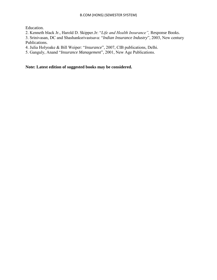Education.

2. Kenneth black Jr., Harold D. Skipper.Jr: "*Life and Health Insurance",* Response Books.

3. Srinivasan, DC and Shashanksrivastsava: "*Indian Insurance Industry*", 2003, New century Publications.

4. Julia Holyoake & Bill Weiper: "*Insurance*", 2007, CIB publications, Delhi.

5. Ganguly, Anand "*Insurance Management*", 2001, New Age Publications.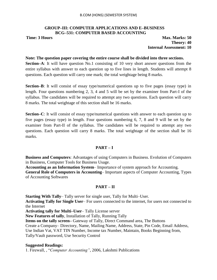#### **GROUP–III: COMPUTER APPLICATIONS AND E–BUSINESS BCG–531: COMPUTER BASED ACCOUNTING**

**Time: 3 Hours Max. Marks: 50 Theory: 40 Internal Assessment: 10**

#### **Note: The question paper covering the entire course shall be divided into three sections.**

**Section–A**: It will have question No.1 consisting of 10 very short answer questions from the entire syllabus with answer to each question up to five lines in length. Students will attempt 8 questions. Each question will carry one mark; the total weightage being 8 marks.

**Section–B**: It will consist of essay type/numerical questions up to five pages (essay type) in length. Four questions numbering 2, 3, 4 and 5 will be set by the examiner from Part-I of the syllabus. The candidates will be required to attempt any two questions. Each question will carry 8 marks. The total weightage of this section shall be 16 marks.

**Section–C**: It will consist of essay type/numerical questions with answer to each question up to five pages (essay type) in length. Four questions numbering 6, 7, 8 and 9 will be set by the examiner from Part-II of the syllabus. The candidates will be required to attempt any two questions. Each question will carry 8 marks. The total weightage of the section shall be 16 marks.

## **PART – I**

**Business and Computers**: Advantages of using Computers in Business. Evolution of Computers in Business, Computer Tools for Business Usage.

**Accounting as an Information System**– Importance of system approach for Accounting.

**General Role of Computers in Accounting**– Important aspects of Computer Accounting, Types of Accounting Softwares

## **PART – II**

**Starting With Tally**– Tally server for single user, Tally for Multi–User.

**Activating Tally for Single User**– For users connected to the internet, for users not connected to the Internet

**Activating tally for Multi–User**– Tally License server

**New Features of tally**, Installation of Tally, Running Tally

**Items on the tally screen–** Gateway of Tally, Direct Command area, The Buttons

Create a Company– Directory, Name, Mailing Name, Address, State, Pin Code, Email Address,

Use Indian Vat, VAT TIN Number, Income tax Number, Maintain, Books Beginning from,

Tally/Vault password, Use Security Control

## **Suggested Readings:**

1. Firewall, , "*Computer Accounting"*, 2006, Lakshmi Publications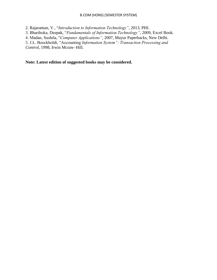#### B.COM (HONS) (SEMESTER SYSTEM)

2. Rajaraman, V., "*Introduction to Information Technology"*, 2013, PHI.

3. Bharihoka, Deepak, "*Fundamentals of Information Technology"*, 2009, Excel Book.

4. Madan, Sushila, "*Computer Applications"*, 2007, Mayur Paperbacks, New Delhi.

5. J.L. Boockholdt, "Accounting *Information System": Transaction Processing and Control*, 1998, Irwin Mcraw–Hill.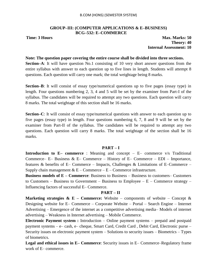#### **GROUP–III: (COMPUTER APPLICATIONS & E–BUSINESS) BCG–532: E–COMMERCE**

**Time: 3 Hours Max. Marks: 50 Theory: 40 Internal Assessment: 10**

#### **Note: The question paper covering the entire course shall be divided into three sections.**

**Section–A**: It will have question No.1 consisting of 10 very short answer questions from the entire syllabus with answer to each question up to five lines in length. Students will attempt 8 questions. Each question will carry one mark; the total weightage being 8 marks.

**Section–B**: It will consist of essay type/numerical questions up to five pages (essay type) in length. Four questions numbering 2, 3, 4 and 5 will be set by the examiner from Part-I of the syllabus. The candidates will be required to attempt any two questions. Each question will carry 8 marks. The total weightage of this section shall be 16 marks.

**Section–C**: It will consist of essay type/numerical questions with answer to each question up to five pages (essay type) in length. Four questions numbering 6, 7, 8 and 9 will be set by the examiner from Part-II of the syllabus. The candidates will be required to attempt any two questions. Each question will carry 8 marks. The total weightage of the section shall be 16 marks.

#### **PART – I**

**Introduction to E– commerce** : Meaning and concept – E– commerce v/s Traditional Commerce– E– Business & E– Commerce – History of E– Commerce – EDI – Importance, features & benefits of E– Commerce – Impacts, Challenges & Limitations of E–Commerce – Supply chain management  $& E$  – Commerce – E – Commerce infrastructure.

**Business models of E – Commerce**: Business to Business – Business to customers– Customers to Customers – Business to Government – Business to Employee –  $E$  – Commerce strategy – Influencing factors of successful E– Commerce.

## **PART – II**

**Marketing strategies & E – Commerce:** Website – components of website – Concept & Designing website for E– Commerce – Corporate Website – Portal – Search Engine – Internet Advertising – Emergence of the internet as a competitive advertising media– Models of internet advertising – Weakness in Internet advertising – Mobile Commerce.

**Electronic Payment system :** Introduction – Online payment systems – prepaid and postpaid payment systems – e– cash, e– cheque, Smart Card, Credit Card , Debit Card, Electronic purse – Security issues on electronic payment system – Solutions to security issues – Biometrics – Types of biometrics.

**Legal and ethical issues in E– Commerce**: Security issues in E– Commerce–Regulatory frame work of E– commerce.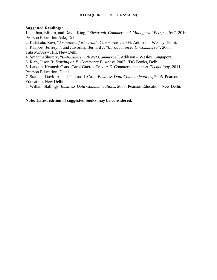## **Suggested Readings:**

1. Turban, Efraim, and David King, "*Electronic Commerce: A Managerial Perspective",* 2010, Pearson Education Asia, Delhi.

2. Kalakota, Ravi, "*Frontiers of Electronic Commerce",* 2004, Addison – Wesley, Delhi.

3. Rayport, Jeffrey F. and Jaworksi, Bernard J, "*Introduction to E–Commerce"*, 2003, Tata McGraw Hill, New Delhi.

4. SmanthaShurety, "*E–Business with Net Commerce"*, Addison – Wesley, Singapore.

5. Rich, Jason R: *Starting an E–Commerce Business,* 2007, IDG Books, Delhi.

6. Laudon, Kenneth C and Carol GuercioTraver: *E–Commerce business. Technology*, 2011, Pearson Education, Delhi.

7. Stamper David A, and Thomas L.Case: *Business Data Communications*, 2005, Pearson Education, New Delhi.

8. Willam Stallings: *Business Data Communications*, 2007, Pearson Education, New Delhi.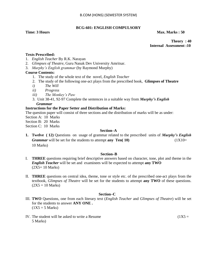## **BCG-601: ENGLISH COMPULSORY**

**Time: 3 Hours Max. Marks : 50**  Max. Marks : 50 **Max. Marks : 50** 

**Theory : 40 Internal Assessment :10**

#### **Texts Prescribed:**

- 1. *English Teacher* By R.K. Narayan
- 2. *Glimpses of Theatre*, Guru Nanak Dev University Amritsar.
- 3. *Murphy"s English grammar* (by Raymond Murphy)

#### **Course Contents:**

- 1. The study of the whole text of the novel, *English Teacher*
- 2. The study of the following one-act plays from the prescribed book, **Glimpses of Theatre**
- *i) The Will*
- *ii) Progress*
- *iii) The Monkey"s Paw*
- 3. Unit 38-41, 92-97 Complete the sentences in a suitable way from *Murphy's English Grammar*

#### **Instructions for the Paper Setter and Distribution of Marks:**

The question paper will consist of three sections and the distribution of marks will be as under:

- Section A: 10 Marks
- Section B: 20 Marks
- Section C: 10 Marks

#### **Section–A**

**1. Twelve ( 12)** Questions on usage of grammar related to the prescribed units of *Murphy's English Grammar* will be set for the students to attempt **any Ten( 10)** (1X10= 10 Marks)

#### **Section–B**

- I. **THREE** questions requiring brief descriptive answers based on character, tone, plot and theme in the *English Teacher* will be set and examinees will be expected to attempt **any TWO**  $(2X5=10 \text{ Marks})$
- II. **THREE** questions on central idea, theme, tone or style etc. of the prescribed one-act plays from the textbook, *Glimpses of Theatre* will be set for the students to attempt **any TWO** of these questions.  $(2X5 = 10 \text{ Marks})$

#### **Section–C**

- III. **TWO** Questions, one from each literary text (*English Teacher* and *Glimpses of Theatre*) will be set for the students to answer **ANY ONE .**  $(1X5 = 5 Marks)$
- IV. The student will be asked to write a Resume  $(1X5 =$ 5 Marks)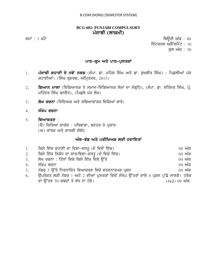# **BCG-602: PUNJABI COMPULSORY** ਪੰਜਾਬੀ (ਲਾਜ਼ਮੀ)

 $\overline{r}$ ਸਮਾਂ : 3 ਘੰਟੇ ਪਰਿਆਸ ਦੀ ਸ਼ਾਹ ਕਰਨ ਦੀ ਸ਼ਾਹ ਕਰਨ ਦੀ ਸ਼ਾਹ ਕਰਨ ਦੀ ਸ਼ਾਹ ਕਰਨ ਦੀ ਸ਼ਾਹ ਕਰਨ ਦੀ ਸ਼ਾਹ ਕਰਨ ਦੀ ਸ਼ਾਹ ਕਰਨ ਦੀ ਸ਼ਾਹ ਇੰਟਰਨਲ ਅਸੈੱਸਮੈਂਟ :  $10$ 

ਕੁਲ ਅੰਕ $: 50$ 

# **ਪਾਠ-ਕ੍ਰਮ ਅਤੇ ਪਾਠ-ਪੁਸਤਕਾਂ**

- 1. ਪੰਜਾਬੀ ਕਹਾਣੀ ਦੇ ਨਵੇਂ ਨਕਸ਼ (ਸੰਪਾ. ਡਾ. ਮਹਿਲ ਸਿੰਘ ਅਤੇ ਡਾ. ਸੁਖਬੀਰ ਸਿੰਘ) ਪਿਛਲੀਆਂ ਪੰਜ ਕਹਾਣੀਆਂ। (ਸਿੰਘ ਬੁਦਰਜ਼, ਅੰਮ੍ਰਿਤਸਰ, 2015)
- 2. **ਗਿਆਨ ਮਾਲਾ** (ਵਿਗਿਆਨਕ ਤੇ ਸਮਾਜ-ਵਿਗਿਆਨਕ ਲੇਖਾਂ ਦਾ ਸੰਗ੍ਰਹਿ), (ਸੰਪਾ. ਡਾ. ਸਤਿੰਦਰ ਸਿੰਘ, ਪ੍ਰੋ. ਮਹਿੰਦਰ ਸਿੰਘ ਬਨਵੈਤ), (ਪਿਛਲੇ ਪੰਜ ਲੇਖ)
- 3. **· ਲੇਖ ਰਚਨਾ** (ਵਿਦਿਅਕ ਅਤੇ ਸਭਿਆਚਾਰਕ ਵਿਸ਼ਿਆਂ ਬਾਰੇ)
- 4. **ਸੰਖੇਪ ਰਚਨਾ**
- 5. **ਵਿਆਕਰਣ** :
	- (ੳ) ਕਿਰਿਆ ਵਾਕੰਸ਼ : ਪਰਿਭਾਸ਼ਾ, ਬਣਤਰ ਤੇ ਪਕਾਰ
	- (ਅ) ਕਾਰਕ ਅਤੇ ਕਾਰਕੀ ਸੰਬੰਧ

# ਅੰਕ-ਵੰਡ ਅਤੇ ਪਰੀਖਿਅਕ ਲਈ ਹਦਾਇਤਾ<u>ਂ</u>

| 1. | ਕਿਸੇ ਇੱਕ ਕਹਾਣੀ ਦਾ ਵਿਸ਼ਾ-ਵਸਤੂ (ਦੋ ਵਿਚੋਂ ਇੱਕ)                                             | $08$ ਅੰਕ                             |
|----|-----------------------------------------------------------------------------------------|--------------------------------------|
| 2. | ਕਿਸੇ ਇੱਕ ਨਿਬੰਧ ਦਾ ਸਾਰ/ਵਿਸ਼ਾ-ਵਸਤੂ (ਦੋ ਵਿਚੋ ਇੱਕ)                                          | $08 \nwarrow \overline{\mathcal{A}}$ |
|    | 3. ਲੇਖ ਰਚਨਾ : ਤਿੰਨਾਂ ਵਿਚੋ ਕਿਸੇ ਇੱਕ ਵਿਸ਼ੇ ਉੱਤੇ                                           | $04 \n m\overline{\alpha}$           |
| 4. | ਸੰਖੇਪ ਰਚਨਾ                                                                              | $04 \n m\bar{\alpha}$                |
| 5. | ਨੰਬਰ 5 ਉੱਤੇ ਨਿਰਧਾਰਿਤ ਵਿਆਕਰਣ ਵਿਚੋ ਵਰਣਨਾਤਮਕ ਪ੍ਰਸ਼ਨ                                        | $08 \nwarrow \overline{\mathcal{A}}$ |
| 6. | ਉਪਰੋਕਤ ਲੜੀ ਨੰਬਰ 1 ਅਤੇ 2 ਦੀਆਂ ਪੁਸਤਕਾਂ ਵਿਚੋਂ ਸੰਖੇਪ ਉੱਤਰਾਂ ਵਾਲੇ 4 ਪ੍ਰਸ਼ਨ ਪੁੱਛੇ ਜਾਣਗੇ। ਹਰੇਕ |                                      |
|    | ਦਾ ਉੱਤਰ 50 ਸ਼ਬਦਾਂ ਤੋ ਵੱਧ ਨਾ ਹੋਵੇ।                                                       | $(4x2)$ 08 ਅੰਕ                       |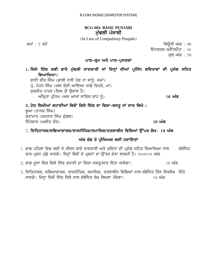# **BCG-602: BASIC PUNJABI**  ਮੱਢਲੀ ਪੰਜਾਬੀ

(In Lieu of Compulsory Punjabi)

ਸਮਾਂ : 3 ਘੰਟੇ ਵਿੱਚ ਸ਼ਾਹਿਰ ਦੀ ਸ਼ਾਹਿਰ ਦੀ ਸ਼ਾਹਿਰ ਦੀ ਸ਼ਾਹਿਰ ਦੀ ਸ਼ਾਹਿਰ ਦੀ ਸ਼ਾਹਿਰ ਦੀ ਸ਼ਾਹਿਰ ਦੀ ਸ਼ਾਹਿਰ ਦੀ ਸ਼ਾਹਿਰ ਦੀ ਸ

ਇੰਟਰਨਲ ਅਸੈੱਸਮੈਂਟ : 10

ਕਲ ਅੰਕ : 50

# ਪਾਠ-ਕੁਮ ਅਤੇ ਪਾਠ-ਪੁਸਤਕਾਂ

1. ਕਿਸੇ ਇੱਕ ਕਵੀ ਬਾਰੇ ਮੁੱਢਲੀ ਜਾਣਕਾਰੀ ਜਾਂ ਇਨ੍ਹਾਂ ਦੀਆਂ ਪ੍ਰਸਿੱਧ ਕਵਿਤਾਵਾਂ ਦੀ ਪ੍ਰਸੰਗ ਸਹਿਤ ਵਿਆਖਿਆ।

ਭਾਈ ਵੀਰ ਸਿੰਘ (ਡਾਲੀ ਨਾਲੋਂ ਤੋੜ ਨਾ ਸਾਨੂੰ, ਸਮਾਂ)  $\vec{\mu}$ . ਮੋਹਨ ਸਿੰਘ (ਅੱਜ ਕੋਈ ਆਇਆ ਸਾਡੇ ਵਿਹੜੇ, ਮਾਂ) ਸਰਜੀਤ ਪਾਤਰ (ਦਿਲ ਹੀ ੳਦਾਸ ਹੈ) AMimRqw pRIqm (A`j AwKW vwirs Swh ƒ) **16 AMk**

# 2. ਹੇਠ ਲਿਖੀਆਂ ਕਹਾਣੀਆਂ ਵਿਚੋਂ ਕਿਸੇ ਇੱਕ ਦਾ ਵਿਸ਼ਾ-ਵਸਤੂ ਜਾਂ ਸਾਰ ਲਿਖੋ :

ਭਆ (ਨਾਨਕ ਸਿੰਘ) ਕਰਾਮਾਤ (ਕਰਤਾਰ ਸਿੰਘ ਦੁੱਗਲ) ਇੰਤਜ਼ਾਰ (ਅਜੀਤ ਕੌਰ) **ਤੋਂ ਕਰਦੀ ਹੈ ਕਿ ਸ਼ਹਿਰ ਦੀ ਸ਼ਹਿਰ ਅੰਕ** 10 **ਅੰਕ** 

# 3. ਇਤਿਹਾਸਕ/ਸਭਿਆਚਾਰਕ/ਰਾਜਨੀਤਿਕ/ਸਮਾਜਿਕ/ਤਤਕਾਲੀਨ ਵਿਸ਼ਿਆਂ ੳੱਪਰ ਲੇਖ**। 14 ਅੰ**ਕ

# ਅੰਕ ਵੰਡ ਤੇ ਪ੍ਰੀਖਿਅਕ ਲਈ ਹਦਾਇ**ਤਾਂ**

- <u>1. ਭਾਗ ਪਹਿਲਾ ਵਿਚ ਕਵੀ ਦੇ ਜੀਵਨ ਬਾਰੇ ਜਾਣਕਾਰੀ ਅਤੇ ਕਵਿਤਾ ਦੀ ਪਸੰਗ ਸਹਿਤ ਵਿਆਖਿਆ ਨਾਲ ਸੰਬੰਧਿਤ</u> ਚਾਰ ਪ੍ਰਸ਼ਨ ਪੁੱਛੇ ਜਾਣਗੇ। ਜਿਨ੍ਹਾਂ ਵਿਚੋਂ ਦੋ ਪ੍ਰਸ਼ਨਾਂ ਦਾ ਉੱਤਰ ਦੇਣਾ ਲਾਜ਼ਮੀ ਹੈ। 8+8=16 ਅੰਕ
- 2. ਭਾਗ ਦੂਜਾ ਵਿਚ ਕਿਸੇ ਇੱਕ ਕਹਾਣੀ ਦਾ ਵਿਸ਼ਾ-ਵਸਤੂ/ਸਾਰ ਦਿੱਤਾ ਜਾਵੇਗਾ। 10 ਅੰਕ
- 3. ਇਤਿਹਾਸਕ, ਸਭਿਆਚਾਰਕ, ਰਾਜਨੀਤਿਕ, ਸਮਾਜਿਕ, ਤਤਕਾਲੀਨ ਵਿਸ਼ਿਆਂ ਨਾਲ ਸੰਬੰਧਿਤ ਤਿੰਨ ਸਿਰਲੇਖ ਦਿੱਤੇ ਜਾਣਗੇ। ਜਿਨ੍ਹਾ ਵਿਚੋਂ ਇੱਕ ਵਿਸ਼ੇ ਨਾਲ ਸੰਬੰਧਿਤ ਲੇਖ ਲਿਖਣਾ ਹੋਵੇਗਾ। ਬਾਲ ਸਾਰੀ ਅੰਕ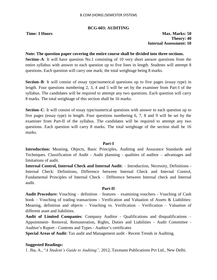# **BCG-603: AUDITING**

**Time: 3 Hours Max. Marks: 50 Theory: 40 Internal Assessment: 10**

## **Note: The question paper covering the entire course shall be divided into three sections.**

**Section–A**: It will have question No.1 consisting of 10 very short answer questions from the entire syllabus with answer to each question up to five lines in length. Students will attempt 8 questions. Each question will carry one mark; the total weightage being 8 marks.

**Section–B**: It will consist of essay type/numerical questions up to five pages (essay type) in length. Four questions numbering 2, 3, 4 and 5 will be set by the examiner from Part-I of the syllabus. The candidates will be required to attempt any two questions. Each question will carry 8 marks. The total weightage of this section shall be 16 marks.

**Section–C**: It will consist of essay type/numerical questions with answer to each question up to five pages (essay type) in length. Four questions numbering 6, 7, 8 and 9 will be set by the examiner from Part-II of the syllabus. The candidates will be required to attempt any two questions. Each question will carry 8 marks. The total weightage of the section shall be 16 marks.

## **Part-I**

**Introduction:** Meaning, Objects, Basic Principles, Auditing and Assurance Standards and Techniques. Classification of Audit - Audit planning - qualities of auditor – advantages and limitations of audit.

**Internal Control, Internal Check and Internal Audit**: – Introduction, Necessity, Definitions - Internal Check: Definitions, Difference between Internal Check and Internal Control, Fundamental Principles of Internal Check – Difference between Internal check and Internal audit.

## **Part-II**

**Audit Procedure:** Vouching – definition – features – examining vouchers - Vouching of Cash book – Vouching of trading transactions - Verification and Valuation of Assets & Liabilities: Meaning, definition and objects – Vouching vs. Verification – Verification – Valuation of different asset and liabilities.

**Audit of Limited Companies**: Company Auditor - Qualifications and disqualifications – Appointment- Removal, Remuneration, Rights, Duties and Liabilities - Audit Committee - Auditor"s Report - Contents and Types - Auditor"s certificates

**Special Areas of Audit**: Tax audit and Management audit - Recent Trends in Auditing.

# **Suggested Readings:**

1. Jha, A., "*A Student"s Guide to Auditing",* 2012, Taxmann Publications Pvt Ltd., New Delhi.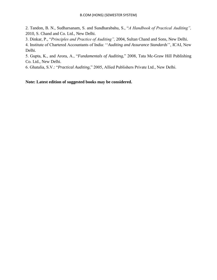2. Tandon, B. N., Sudharsanam, S. and Sundharabahu, S., "*A Handbook of Practical Auditing",*  2010, S. Chand and Co. Ltd., New Delhi.

3. Dinkar, P., "*Principles and Practice of Auditing",* 2004, Sultan Chand and Sons, New Delhi.

4. Institute of Chartered Accountants of India: ""*Auditing and Assurance Standards*"", ICAI, New Delhi.

5. Gupta, K., and Arora, A., "*Fundamentals of Auditing,*" 2008, Tata Mc-Graw Hill Publishing Co. Ltd., New Delhi.

6. Ghatalia, S.V.: "*Practical Auditing,*" 2005, Allied Publishers Private Ltd., New Delhi.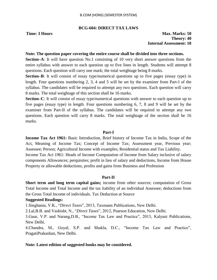#### **BCG-604: DIRECT TAX LAWS**

**Time: 3 Hours Max. Marks: 50 Theory: 40 Internal Assessment: 10**

#### **Note: The question paper covering the entire course shall be divided into three sections.**

**Section–A**: It will have question No.1 consisting of 10 very short answer questions from the entire syllabus with answer to each question up to five lines in length. Students will attempt 8 questions. Each question will carry one mark; the total weightage being 8 marks.

**Section–B**: It will consist of essay type/numerical questions up to five pages (essay type) in length. Four questions numbering 2, 3, 4 and 5 will be set by the examiner from Part-I of the syllabus. The candidates will be required to attempt any two questions. Each question will carry 8 marks. The total weightage of this section shall be 16 marks.

**Section–C**: It will consist of essay type/numerical questions with answer to each question up to five pages (essay type) in length. Four questions numbering 6, 7, 8 and 9 will be set by the examiner from Part-II of the syllabus. The candidates will be required to attempt any two questions. Each question will carry 8 marks. The total weightage of the section shall be 16 marks.

#### **Part-I**

**Income Tax Act 1961:** Basic Introduction, Brief history of Income Tax in India, Scope of the Act, Meaning of Income Tax; Concept of Income Tax; Assessment year, Previous year; Assessee; Person; Agricultural Income with examples; Residential status and Tax Liability. Income Tax Act 1961: Heads of Income Computation of Income from Salary inclusive of salary components Allowances; perquisites; profit in lieu of salary and deductions, Income from House Property or allowable deductions, profits and gains from Business and Profession

#### **Part-II**

**Short term and long term capital gains;** income from other sources; computation of Gross Total Income and Total Income and the tax liability of an individual Assessee; deductions from the Gross Total Income of individuals. Tax Deduction at Source

#### **Suggested Readings:**

1.Singhania, V.K., "*Direct Taxes*", 2013, Taxmann Publications, New Delhi.

2.Lal,B.B. and Vashisht, N., "*Direct Taxes*", 2012, Pearson Education, New Delhi.

3.Gaur, V.P. and Narang,D.B., "Income Tax Law and Practice", 2013, Kalyani Publications, New Delhi.

4.Chandra, M., Goyal, S.P. and Shukla, D.C., "Income Tax Law and Practice", PragatiPrakashan, New Delhi.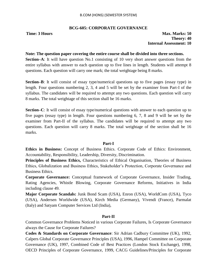# **BCG-605: CORPORATE GOVERNANCE**

**Time: 3 Hours Max. Marks: 50 Theory: 40 Internal Assessment: 10**

#### **Note: The question paper covering the entire course shall be divided into three sections.**

**Section–A**: It will have question No.1 consisting of 10 very short answer questions from the entire syllabus with answer to each question up to five lines in length. Students will attempt 8 questions. Each question will carry one mark; the total weightage being 8 marks.

**Section–B**: It will consist of essay type/numerical questions up to five pages (essay type) in length. Four questions numbering 2, 3, 4 and 5 will be set by the examiner from Part-I of the syllabus. The candidates will be required to attempt any two questions. Each question will carry 8 marks. The total weightage of this section shall be 16 marks.

**Section–C**: It will consist of essay type/numerical questions with answer to each question up to five pages (essay type) in length. Four questions numbering 6, 7, 8 and 9 will be set by the examiner from Part-II of the syllabus. The candidates will be required to attempt any two questions. Each question will carry 8 marks. The total weightage of the section shall be 16 marks.

## **Part-I**

**Ethics in Business:** Concept of Business Ethics. Corporate Code of Ethics: Environment, Accountability, Responsibility, Leadership, Diversity, Discrimination.

**Principles of Business Ethics,** Characteristics of Ethical Organisation, Theories of Business Ethics, Globalization and Business Ethics, Stakeholder"s Protection, Corporate Governance and Business Ethics.

**Corporate Governance:** Conceptual framework of Corporate Governance, Insider Trading, Rating Agencies, Whistle Blowing, Corporate Governance Reforms, Initiatives in India including clause 49.

**Major Corporate Scandals:** Junk Bond Scam (USA), Enron (USA), WorldCom (USA), Tyco (USA), Andersen Worldwide (USA), Kirch Media (Germany), Vivendi (France), Parmalat (Italy) and Satyam Computer Services Ltd (India),

## **Part-II**

Common Governance Problems Noticed in various Corporate Failures, Is Corporate Governance always the Cause for Corporate Failures?

**Codes & Standards on Corporate Governance**: Sir Adrian Cadbury Committee (UK), 1992, Calpers Global Corporate Governance Principles (USA), 1996, Hampel Committee on Corporate Governance (UK), 1997, Combined Code of Best Practices (London Stock Exchange), 1998, OECD Principles of Corporate Governance, 1999, CACG Guidelines/Principles for Corporate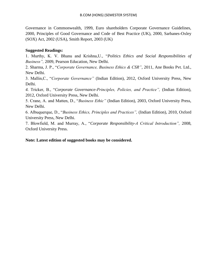Governance in Commonwealth, 1999, Euro shareholders Corporate Governance Guidelines, 2000, Principles of Good Governance and Code of Best Practice (UK), 2000, Sarbanes-Oxley (SOX) Act, 2002 (USA), Smith Report, 2003 (UK)

# **Suggested Readings:**

1. Murthy, K. V. Bhanu and Krishna,U., "*Politics Ethics and Social Responsibilities of Business",* 2009, Pearson Education, New Delhi.

2. Sharma, J. P., "*Corporate Governance, Business Ethics & CSR"*, 2011, Ane Books Pvt. Ltd., New Delhi.

3. Mallin,C., "*Corporate Governance"* (Indian Edition), 2012, Oxford University Press, New Delhi.

*4.* Tricker, B., "*Corporate Governance-Principles, Policies, and Practice",* (Indian Edition), 2012, Oxford University Press, New Delhi.

5. Crane, A. and Matten, D., "*Business Ethic"* (Indian Edition), 2003, Oxford University Press, New Delhi.

6. Albuquerque, D., "*Business Ethics, Principles and Practices",* (Indian Edition), 2010, Oxford University Press, New Delhi.

7. Blowfield, M. and Murray, A., "*Corporate Responsibility-A Critical Introduction",* 2008, Oxford University Press.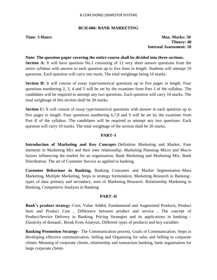## **BCH-606: BANK MARKETING**

**Time: 3 Hours Max. Marks: 50 Theory: 40 Internal Assessment: 10**

#### **Note: The question paper covering the entire course shall be divided into three sections.**

**Section A:** It will have question No.1 consisting of 12 very short answer questions from the entire syllabus with answer to each question up to five lines in length. Students will attempt 10 questions. Each question will carry one mark; The total weightage being 10 marks.

**Section B:** It will consist of essay type/numerical questions up to five pages in length. Four questions numbering 2, 3, 4 and 5 will be set by the examiner from Part–I of the syllabus. The candidates will be required to attempt any two questions. Each question will carry 10 marks. The total weightage of this section shall be 20 marks.

**Section C:** It will consist of essay type/numerical questions with answer to each question up to five pages in length. Four questions numbering 6,7,8 and 9 will be set by the examiner from Part–II of the syllabus. The candidates will be required to attempt any two questions. Each question will carry 10 marks. The total weightage of the section shall be 20 marks.

## **PART–I**

**Introduction of Marketing and Key Concepts**–Definition Marketing and Market, Four elements in Marketing Mix and their inter relationship. Marketing Planning–Micro and Macro factors influencing the market for an organisation, Bank Marketing and Marketing Mix, Bank Distribution. The art of Customer Service as applied to banking.

**Customer Behaviour in Banking,** Banking Consumer and Market Segmentation–Mass Marketing, Multiple Marketing, Steps in strategy formulation, Marketing Research in Banking– types of data–primary and secondary, uses of Marketing Research. Relationship Marketing in Banking, Competitive Analysis in Banking

## **PART–II**

**Bank's product strategy**–Core, Value Added, Fundamental and Augmented Products, Product Item and Product Line , Difference between product and service , The concept of Product/Service Delivery in Banking, Pricing Strategies and its applications in banking–– Elasticity of demand , Break Even Analysis, Different types of products and key variables

**Banking Promotion Strategy**– The Communication process, Goals of Communication, Steps in developing effective communication, Selling and Organising for sales and Selling to corporate clients–Meaning of corporate clients, relationship and transaction banking, bank organisation for large corporate clients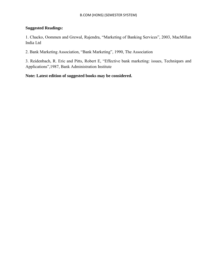# **Suggested Readings:**

1. Chacko, Oommen and Grewal, Rajendra, "Marketing of Banking Services", 2003, MacMillan India Ltd

2. Bank Marketing Association, "Bank Marketing", 1990, The Association

3. Reidenbach, R. Eric and Pitts, Robert E, "Effective bank marketing: issues, Techniques and Applications",1987, Bank Administration Institute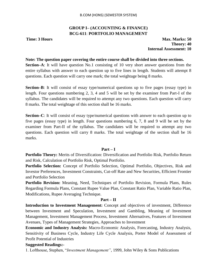# **GROUP I– (ACCOUNTING & FINANCE) BCG-611**: **PORTFOLIO MANAGEMENT**

**Time: 3 Hours Max. Marks: 50 Theory: 40 Internal Assessment: 10**

#### **Note: The question paper covering the entire course shall be divided into three sections.**

**Section–A**: It will have question No.1 consisting of 10 very short answer questions from the entire syllabus with answer to each question up to five lines in length. Students will attempt 8 questions. Each question will carry one mark; the total weightage being 8 marks.

**Section–B**: It will consist of essay type/numerical questions up to five pages (essay type) in length. Four questions numbering 2, 3, 4 and 5 will be set by the examiner from Part-I of the syllabus. The candidates will be required to attempt any two questions. Each question will carry 8 marks. The total weightage of this section shall be 16 marks.

**Section–C**: It will consist of essay type/numerical questions with answer to each question up to five pages (essay type) in length. Four questions numbering 6, 7, 8 and 9 will be set by the examiner from Part-II of the syllabus. The candidates will be required to attempt any two questions. Each question will carry 8 marks. The total weightage of the section shall be 16 marks.

#### **Part – I**

**Portfolio Theory:** Merits of Diversification: Diversification and Portfolio Risk, Portfolio Return and Risk, Calculation of Portfolio Risk, Optimal Portfolio.

**Portfolio Selection:** Concept of Portfolio Selection, Optimal Portfolio, Objectives, Risk and Investor Preferences, Investment Constraints, Cut-off Rate and New Securities, Efficient Frontier and Portfolio Selection

**Portfolio Revision:** Meaning, Need, Techniques of Portfolio Revision, Formula Plans, Rules Regarding Formula Plans, Constant Rupee Value Plan, Constant Ratio Plan, Variable Ratio Plan, Modifications, Rupee Averaging Technique.

#### **Part – II**

**Introduction to Investment Management:** Concept and objectives of investment, Difference between Investment and Speculation, Investment and Gambling, Meaning of Investment Management, Investment Management Process, Investment Alternatives, Features of Investment Avenues, Types of Management Strategies, Approaches to Investment

**Economic and Industry Analysis:** Macro-Economic Analysis, Forecasting, Industry Analysis, Sensitivity of Business Cycle, Industry Life Cycle Analysis, Porter Model of Assessment of Profit Potential of Industries

## **Suggested Readings:-**

1. Lofthouse, Stephen, "*Investment Management"*, 1999, John Wiley & Sons Publications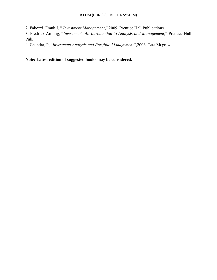2. Fabozzi, Frank J, " *Investment Management*," 2009, Prentice Hall Publications

3. Fredrick Amling, "*Investment- An Introduction to Analysis and Management*," Prentice Hall Pub.

4. Chandra, P, "*Investment Analysis and Portfolio Management"*,2003, Tata Mcgraw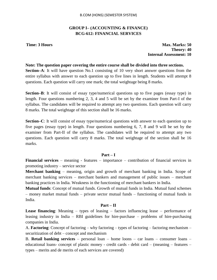# **GROUP I– (ACCOUNTING & FINANCE) BCG-612: FINANCIAL SERVICES**

**Time: 3 Hours Max. Marks: 50 Theory: 40 Internal Assessment: 10**

#### **Note: The question paper covering the entire course shall be divided into three sections.**

**Section–A**: It will have question No.1 consisting of 10 very short answer questions from the entire syllabus with answer to each question up to five lines in length. Students will attempt 8 questions. Each question will carry one mark; the total weightage being 8 marks.

**Section–B**: It will consist of essay type/numerical questions up to five pages (essay type) in length. Four questions numbering 2, 3, 4 and 5 will be set by the examiner from Part-I of the syllabus. The candidates will be required to attempt any two questions. Each question will carry 8 marks. The total weightage of this section shall be 16 marks.

**Section–C**: It will consist of essay type/numerical questions with answer to each question up to five pages (essay type) in length. Four questions numbering 6, 7, 8 and 9 will be set by the examiner from Part-II of the syllabus. The candidates will be required to attempt any two questions. Each question will carry 8 marks. The total weightage of the section shall be 16 marks.

## **Part – I**

**Financial services** – meaning - features – importance – contribution of financial services in promoting industry – service sector

**Merchant banking** – meaning, origin and growth of merchant banking in India. Scope of merchant banking services – merchant bankers and management of public issues – merchant banking practices in India. Weakness in the functioning of merchant bankers in India.

**Mutual funds**: Concept of mutual funds. Growth of mutual funds in India. Mutual fund schemes – money market mutual funds – private sector mutual funds – functioning of mutual funds in India.

## **Part – II**

**Lease financing**: Meaning – types of leasing – factors influencing lease – performance of leasing industry in India – RBI guidelines for hire-purchase – problems of hire-purchasing companies in India.

A. **Factoring**: Concept of factoring – why factoring – types of factoring – factoring mechanism – securitization of debt – concept and mechanism

B. **Retail banking services** – personal loan – home loons – car loans – consumer loans – educational loans- concept of plastic money - credit cards - debit card – (meaning – features – types – merits and de merits of each services are covered)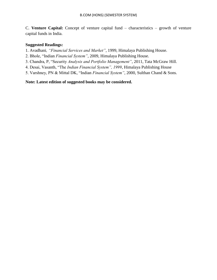C. **Venture Capital:** Concept of venture capital fund – characteristics – growth of venture capital funds in India.

# **Suggested Readings:**

1. Avadhani*, "Financial Services and Market"*, 1999, Himalaya Publishing House.

- 2. Bhole, "Indian *Financial System"*, 2009, Himalaya Publishing House.
- 3. Chandra, P, "Security *Analysis and Portfolio Management"*, 2011, Tata McGraw Hill.
- 4. Desai, Vasanth, "The *Indian Financial System", 1999*, Himalaya Publishing House
- 5. Varshney, PN & Mittal DK, "Indian *Financial System"*, 2000, Sulthan Chand & Sons.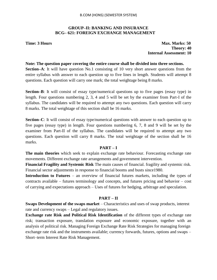# **GROUP–II: BANKING AND INSURANCE BCG– 621: FOREIGN EXCHANGE MANAGEMENT**

**Time: 3 Hours Max. Marks: 50 Theory: 40 Internal Assessment: 10**

### **Note: The question paper covering the entire course shall be divided into three sections.**

**Section–A**: It will have question No.1 consisting of 10 very short answer questions from the entire syllabus with answer to each question up to five lines in length. Students will attempt 8 questions. Each question will carry one mark; the total weightage being 8 marks.

**Section–B**: It will consist of essay type/numerical questions up to five pages (essay type) in length. Four questions numbering 2, 3, 4 and 5 will be set by the examiner from Part-I of the syllabus. The candidates will be required to attempt any two questions. Each question will carry 8 marks. The total weightage of this section shall be 16 marks.

**Section–C**: It will consist of essay type/numerical questions with answer to each question up to five pages (essay type) in length. Four questions numbering 6, 7, 8 and 9 will be set by the examiner from Part-II of the syllabus. The candidates will be required to attempt any two questions. Each question will carry 8 marks. The total weightage of the section shall be 16 marks.

### **PART – I**

**The main theories** which seek to explain exchange rate behaviour. Forecasting exchange rate movements. Different exchange rate arrangements and government intervention.

**Financial Fragility and Systemic Risk** The main causes of financial. fragility and systemic risk. Financial sector adjustments in response to financial booms and busts since1980.

**Introduction to Futures** – an overview of financial futures markets, including the types of contracts available – futures terminology and concepts, and futures pricing and behavior – cost of carrying and expectations approach – Uses of futures for hedging, arbitrage and speculation.

# **PART – II**

**Swaps Development of the swaps market** – Characteristics and uses of swap products, interest rate and currency swaps – Legal and regulatory issues.

**Exchange rate Risk and Political Risk Identification** of the different types of exchange rate risk; transaction exposure, translation exposure and economic exposure, together with an analysis of political risk. Managing Foreign Exchange Rate Risk Strategies for managing foreign exchange rate risk and the instruments available; currency forwards, futures, options and swaps – Short–term Interest Rate Risk Management.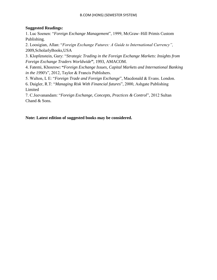# **Suggested Readings:**

1. Luc Soenen: "*Foreign Exchange Management*", 1999, McGraw–Hill Primis Custom Publishing.

2. Loosigian, Allan: "*Foreign Exchange Futures: A Guide to International Currency",* 2009,ScholarlyBooks,USA

3. Klopfenstein, Gary: "*Strategic Trading in the Foreign Exchange Markets: Insights from Foreign Exchange Traders Worldwide***"**, 1993, AMACOM.

4. Fatemi, Khosrow**: "***Foreign Exchange Issues, Capital Markets and International Banking in the 1990's*", 2012, Taylor & Francis Publishers.

5. Walton, L E: "*Foreign Trade and Foreign Exchange*", Macdonald & Evans. London.

6. Daigler, R.T: "*Managing Risk With Financial futures*", 2000, Ashgate Publishing Limited

7. C.Jeevanandam: "*Foreign Exchange, Concepts, Practices & Control*", 2012 Sultan Chand & Sons.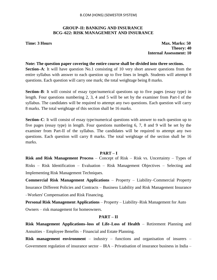# **GROUP–II: BANKING AND INSURANCE BCG–622: RISK MANAGEMENT AND INSURANCE**

**Time: 3 Hours Max. Marks: 50 Theory: 40 Internal Assessment: 10**

### **Note: The question paper covering the entire course shall be divided into three sections.**

**Section–A**: It will have question No.1 consisting of 10 very short answer questions from the entire syllabus with answer to each question up to five lines in length. Students will attempt 8 questions. Each question will carry one mark; the total weightage being 8 marks.

**Section–B**: It will consist of essay type/numerical questions up to five pages (essay type) in length. Four questions numbering 2, 3, 4 and 5 will be set by the examiner from Part-I of the syllabus. The candidates will be required to attempt any two questions. Each question will carry 8 marks. The total weightage of this section shall be 16 marks.

**Section–C**: It will consist of essay type/numerical questions with answer to each question up to five pages (essay type) in length. Four questions numbering 6, 7, 8 and 9 will be set by the examiner from Part-II of the syllabus. The candidates will be required to attempt any two questions. Each question will carry 8 marks. The total weightage of the section shall be 16 marks.

### **PART – I**

**Risk and Risk Management Process** – Concept of Risk – Risk vs. Uncertainty – Types of Risks – Risk Identification – Evaluation – Risk Management Objectives – Selecting and Implementing Risk Management Techniques.

**Commercial Risk Management Applications** – Property – Liability–Commercial Property Insurance Different Policies and Contracts – Business Liability and Risk Management Insurance –Workers' Compensation and Risk Financing.

**Personal Risk Management Applications** – Property – Liability–Risk Management for Auto Owners – risk management for homeowners.

### **PART – II**

**Risk Management Applications–loss of Life–Loss of Health** – Retirement Planning and Annuities – Employee Benefits – Financial and Estate Planning.

**Risk management environment** – industry – functions and organisation of insurers – Government regulation of insurance sector  $-$  IRA  $-$  Privatisation of insurance business in India  $-$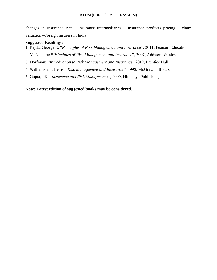changes in Insurance Act – Insurance intermediaries – insurance products pricing – claim valuation –Foreign insurers in India.

## **Suggested Readings:**

- 1. Rejda, George E: "*Principles of Risk Management and Insurance*", 2011, Pearson Education.
- 2. McNamara: **"***Principles of Risk Management and Insurance*", 2007, Addison–Wesley
- 3. Dorfman**: "***Introduction to Risk Management and Insurance*",2012, Prentice Hall.
- 4. Williams and Heins, "*Risk Management and Insurance*", 1998, McGraw Hill Pub.
- 5. Gupta, PK, "*Insurance and Risk Management"*, 2009, Himalaya Publishing.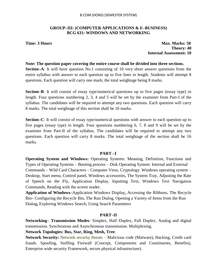# **GROUP–III: (COMPUTER APPLICATIONS & E–BUSINESS) BCG 631: WINDOWS AND NETWORKING**

**Time: 3 Hours Max. Marks: 50 Theory: 40 Internal Assessment: 10**

### **Note: The question paper covering the entire course shall be divided into three sections.**

**Section–A**: It will have question No.1 consisting of 10 very short answer questions from the entire syllabus with answer to each question up to five lines in length. Students will attempt 8 questions. Each question will carry one mark; the total weightage being 8 marks.

**Section–B**: It will consist of essay type/numerical questions up to five pages (essay type) in length. Four questions numbering 2, 3, 4 and 5 will be set by the examiner from Part-I of the syllabus. The candidates will be required to attempt any two questions. Each question will carry 8 marks. The total weightage of this section shall be 16 marks.

**Section–C**: It will consist of essay type/numerical questions with answer to each question up to five pages (essay type) in length. Four questions numbering 6, 7, 8 and 9 will be set by the examiner from Part-II of the syllabus. The candidates will be required to attempt any two questions. Each question will carry 8 marks. The total weightage of the section shall be 16 marks.

### **PART –I**

**Operating System and Windows:** Operating Systems: Meaning, Definition, Functions and Types of Operating Systems – Booting process – Disk Operating System: Internal and External Commands – Wild Card Characters – Computer Virus, Cryptology. Windows operating system – Desktop, Start menu, Control panel, Windows accessories, The System Tray, Adjusting the Rate of Speech on the Fly, Application Display, Inputting Text, Windows Text Navigation Commands, Reading with the screen reader.

**Application of Windows–**Application Windows Display**,** Accessing the Ribbons**.** The Recycle Bin**–** Configuring the Recycle Bin**.** The Run Dialog, Opening a Variety of Items from the Run Dialog**,** Exploring Windows Search, Using Search Parameters

### **PART–II**

**Networking– Transmission Modes**: Simplex, Half–Duplex, Full Duplex. Analog and digital transmission. Synchronous and Asynchronous transmission. Multiplexing.

# **Network Topologies: Bus, Star, Ring, Mesh, Tree**.

**Network Security:** Network security threats – Malicious code (Malware), Hacking, Credit card frauds. Spoofing, Sniffing Firewall (Concept, Components and Constituents, Benefits), Enterprise wide security Framework, secure physical infrastructure).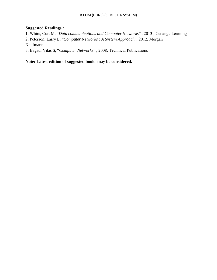# **Suggested Readings :**

1. White, Curt M, "*Data communications and Computer Networks*" , 2013 , Cenange Learning 2. Peterson, Larry L, "*Computer Networks : A System Approach*", 2012, Morgan Kaufmann

3. Bagad, Vilas S, "*Computer Networks*" , 2008, Technical Publications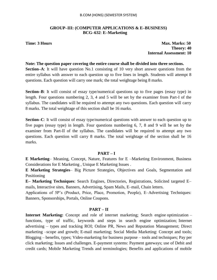## **GROUP–III: (COMPUTER APPLICATIONS & E–BUSINESS) BCG–632**: **E–Marketing**

**Time: 3 Hours Max. Marks: 50 Theory: 40 Internal Assessment: 10**

### **Note: The question paper covering the entire course shall be divided into three sections.**

**Section–A**: It will have question No.1 consisting of 10 very short answer questions from the entire syllabus with answer to each question up to five lines in length. Students will attempt 8 questions. Each question will carry one mark; the total weightage being 8 marks.

**Section–B**: It will consist of essay type/numerical questions up to five pages (essay type) in length. Four questions numbering 2, 3, 4 and 5 will be set by the examiner from Part-I of the syllabus. The candidates will be required to attempt any two questions. Each question will carry 8 marks. The total weightage of this section shall be 16 marks.

**Section–C**: It will consist of essay type/numerical questions with answer to each question up to five pages (essay type) in length. Four questions numbering 6, 7, 8 and 9 will be set by the examiner from Part-II of the syllabus. The candidates will be required to attempt any two questions. Each question will carry 8 marks. The total weightage of the section shall be 16 marks.

# **PART – I**

**E Marketing**– Meaning, Concept, Nature, Features for E –Marketing Environment, Business Considerations for E Marketing , Unique E Marketing Issues .

**E Marketing Strategies**– Big Picture Strategies, Objectives and Goals, Segmentation and Positioning

**E– Marketing Techniques**: Search Engines, Directories, Registrations, Solicited targeted E– mails, Interactive sites, Banners, Advertising, Spam Mails, E–mail, Chain letters.

Applications of 5P"s (Product, Price, Place, Promotion, People), E–Advertising Techniques: Banners, Sponsorships, Portals, Online Coupons.

# **PART – II**

**Internet Marketing:** Concept and role of internet marketing; Search engine optimization – functions, type of traffic, keywords and steps in search engine optimization; Internet advertising – types and tracking ROI; Online PR, News and Reputation Management; Direct marketing –scope and growth; E-mail marketing; Social Media Marketing: Concept and tools; Blogging – benefits, types; Video-marketing for business purpose – tools and techniques; Pay per click marketing; Issues and challenges. E-payment systems: Payment gateways; use of Debit and credit cards; Mobile Marketing Trends and terminologies; Benefits and applications of mobile